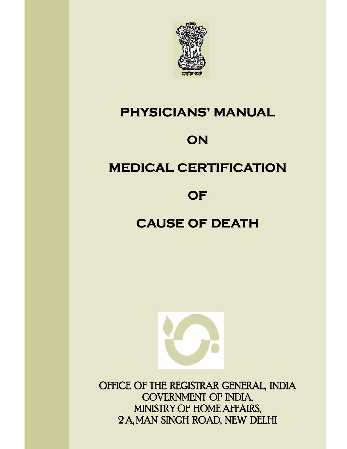

# **PHYSICIANS' MANUAL**

# **ON**

# **MEDICAL CERTIFICATION**

# **OF**

# **CAUSE OF DEATH**



OFFICE OF THE REGISTRAR GENERAL, INDIA GOVERNMENT OF INDIA, MINISTRY OF HOME AFFAIRS, 2 A, MAN SINGH ROAD, NEW DELHI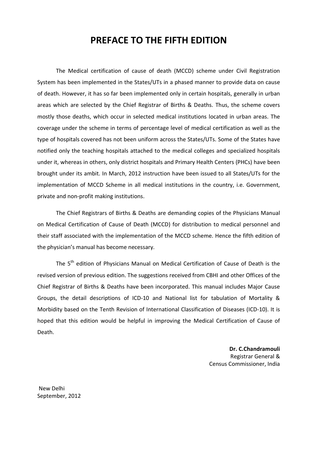# **PREFACE TO THE FIFTH EDITION**

The Medical certification of cause of death (MCCD) scheme under Civil Registration System has been implemented in the States/UTs in a phased manner to provide data on cause of death. However, it has so far been implemented only in certain hospitals, generally in urban areas which are selected by the Chief Registrar of Births & Deaths. Thus, the scheme covers mostly those deaths, which occur in selected medical institutions located in urban areas. The coverage under the scheme in terms of percentage level of medical certification as well as the type of hospitals covered has not been uniform across the States/UTs. Some of the States have notified only the teaching hospitals attached to the medical colleges and specialized hospitals under it, whereas in others, only district hospitals and Primary Health Centers (PHCs) have been brought under its ambit. In March, 2012 instruction have been issued to all States/UTs for the implementation of MCCD Scheme in all medical institutions in the country, i.e. Government, private and non-profit making institutions.

The Chief Registrars of Births & Deaths are demanding copies of the Physicians Manual on Medical Certification of Cause of Death (MCCD) for distribution to medical personnel and their staff associated with the implementation of the MCCD scheme. Hence the fifth edition of the physician's manual has become necessary.

The 5<sup>th</sup> edition of Physicians Manual on Medical Certification of Cause of Death is the revised version of previous edition. The suggestions received from CBHI and other Offices of the Chief Registrar of Births & Deaths have been incorporated. This manual includes Major Cause Groups, the detail descriptions of ICD-10 and National list for tabulation of Mortality & Morbidity based on the Tenth Revision of International Classification of Diseases (ICD-10). It is hoped that this edition would be helpful in improving the Medical Certification of Cause of Death.

> **Dr. C.Chandramouli**  Registrar General & Census Commissioner, India

 New Delhi September, 2012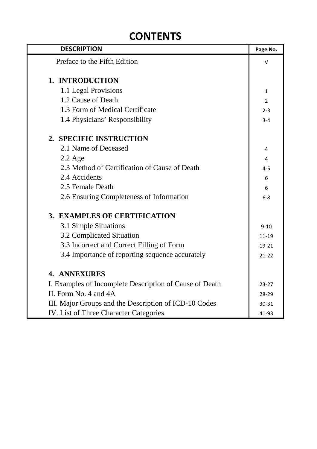# **CONTENTS**

| <b>DESCRIPTION</b>                                      | Page No.       |
|---------------------------------------------------------|----------------|
| Preface to the Fifth Edition                            | v              |
|                                                         |                |
| 1. INTRODUCTION                                         |                |
| 1.1 Legal Provisions                                    | $\mathbf{1}$   |
| 1.2 Cause of Death                                      | $\overline{2}$ |
| 1.3 Form of Medical Certificate                         | $2 - 3$        |
| 1.4 Physicians' Responsibility                          | $3 - 4$        |
| 2. SPECIFIC INSTRUCTION                                 |                |
| 2.1 Name of Deceased                                    | 4              |
| $2.2$ Age                                               | 4              |
| 2.3 Method of Certification of Cause of Death           | $4 - 5$        |
| 2.4 Accidents                                           | 6              |
| 2.5 Female Death                                        | 6              |
| 2.6 Ensuring Completeness of Information                | $6-8$          |
| 3. EXAMPLES OF CERTIFICATION                            |                |
| 3.1 Simple Situations                                   | $9 - 10$       |
| 3.2 Complicated Situation                               | $11 - 19$      |
| 3.3 Incorrect and Correct Filling of Form               | 19-21          |
| 3.4 Importance of reporting sequence accurately         | $21 - 22$      |
| <b>4. ANNEXURES</b>                                     |                |
| I. Examples of Incomplete Description of Cause of Death | $23 - 27$      |
| II. Form No. 4 and 4A                                   | 28-29          |
| III. Major Groups and the Description of ICD-10 Codes   | 30-31          |
| <b>IV.</b> List of Three Character Categories           | 41-93          |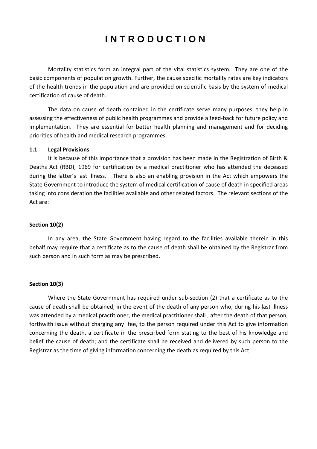# **I N T R O D U C T I O N**

 Mortality statistics form an integral part of the vital statistics system. They are one of the basic components of population growth. Further, the cause specific mortality rates are key indicators of the health trends in the population and are provided on scientific basis by the system of medical certification of cause of death.

 The data on cause of death contained in the certificate serve many purposes: they help in assessing the effectiveness of public health programmes and provide a feed-back for future policy and implementation. They are essential for better health planning and management and for deciding priorities of health and medical research programmes.

#### **1.1 Legal Provisions**

It is because of this importance that a provision has been made in the Registration of Birth & Deaths Act (RBD), 1969 for certification by a medical practitioner who has attended the deceased during the latter's last illness. There is also an enabling provision in the Act which empowers the State Government to introduce the system of medical certification of cause of death in specified areas taking into consideration the facilities available and other related factors. The relevant sections of the Act are:

#### **Section 10(2)**

 In any area, the State Government having regard to the facilities available therein in this behalf may require that a certificate as to the cause of death shall be obtained by the Registrar from such person and in such form as may be prescribed.

#### **Section 10(3)**

 Where the State Government has required under sub-section (2) that a certificate as to the cause of death shall be obtained, in the event of the death of any person who, during his last illness was attended by a medical practitioner, the medical practitioner shall , after the death of that person, forthwith issue without charging any fee, to the person required under this Act to give information concerning the death, a certificate in the prescribed form stating to the best of his knowledge and belief the cause of death; and the certificate shall be received and delivered by such person to the Registrar as the time of giving information concerning the death as required by this Act.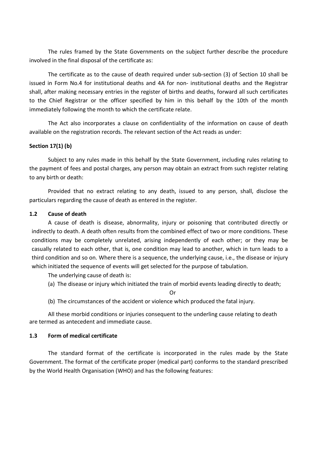The rules framed by the State Governments on the subject further describe the procedure involved in the final disposal of the certificate as:

 The certificate as to the cause of death required under sub-section (3) of Section 10 shall be issued in Form No.4 for institutional deaths and 4A for non- institutional deaths and the Registrar shall, after making necessary entries in the register of births and deaths, forward all such certificates to the Chief Registrar or the officer specified by him in this behalf by the 10th of the month immediately following the month to which the certificate relate.

 The Act also incorporates a clause on confidentiality of the information on cause of death available on the registration records. The relevant section of the Act reads as under:

#### **Section 17(1) (b)**

 Subject to any rules made in this behalf by the State Government, including rules relating to the payment of fees and postal charges, any person may obtain an extract from such register relating to any birth or death:

 Provided that no extract relating to any death, issued to any person, shall, disclose the particulars regarding the cause of death as entered in the register.

#### **1.2 Cause of death**

A cause of death is disease, abnormality, injury or poisoning that contributed directly or indirectly to death. A death often results from the combined effect of two or more conditions. These conditions may be completely unrelated, arising independently of each other; or they may be casually related to each other, that is, one condition may lead to another, which in turn leads to a third condition and so on. Where there is a sequence, the underlying cause, i.e., the disease or injury which initiated the sequence of events will get selected for the purpose of tabulation.

The underlying cause of death is:

(a) The disease or injury which initiated the train of morbid events leading directly to death;

Or

(b) The circumstances of the accident or violence which produced the fatal injury.

All these morbid conditions or injuries consequent to the underling cause relating to death are termed as antecedent and immediate cause.

#### **1.3 Form of medical certificate**

The standard format of the certificate is incorporated in the rules made by the State Government. The format of the certificate proper (medical part) conforms to the standard prescribed by the World Health Organisation (WHO) and has the following features: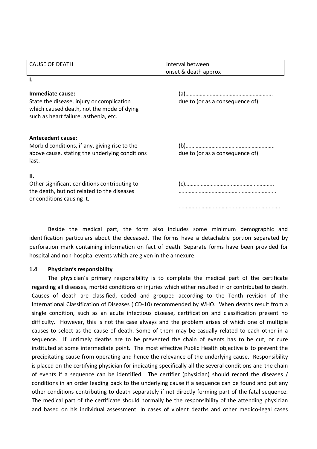| <b>CAUSE OF DEATH</b>                                                                                                           | Interval between                |  |
|---------------------------------------------------------------------------------------------------------------------------------|---------------------------------|--|
|                                                                                                                                 | onset & death approx            |  |
| Ι.                                                                                                                              |                                 |  |
| Immediate cause:                                                                                                                |                                 |  |
| State the disease, injury or complication<br>which caused death, not the mode of dying<br>such as heart failure, asthenia, etc. | due to (or as a consequence of) |  |
| <b>Antecedent cause:</b>                                                                                                        |                                 |  |
| Morbid conditions, if any, giving rise to the                                                                                   |                                 |  |
| above cause, stating the underlying conditions<br>last.                                                                         | due to (or as a consequence of) |  |
| П.                                                                                                                              |                                 |  |
| Other significant conditions contributing to                                                                                    |                                 |  |
| the death, but not related to the diseases<br>or conditions causing it.                                                         |                                 |  |
|                                                                                                                                 |                                 |  |

Beside the medical part, the form also includes some minimum demographic and identification particulars about the deceased. The forms have a detachable portion separated by perforation mark containing information on fact of death. Separate forms have been provided for hospital and non-hospital events which are given in the annexure.

#### **1.4 Physician's responsibility**

The physician's primary responsibility is to complete the medical part of the certificate regarding all diseases, morbid conditions or injuries which either resulted in or contributed to death. Causes of death are classified, coded and grouped according to the Tenth revision of the International Classification of Diseases (ICD-10) recommended by WHO. When deaths result from a single condition, such as an acute infectious disease, certification and classification present no difficulty. However, this is not the case always and the problem arises of which one of multiple causes to select as the cause of death. Some of them may be casually related to each other in a sequence. If untimely deaths are to be prevented the chain of events has to be cut, or cure instituted at some intermediate point. The most effective Public Health objective is to prevent the precipitating cause from operating and hence the relevance of the underlying cause. Responsibility is placed on the certifying physician for indicating specifically all the several conditions and the chain of events if a sequence can be identified. The certifier (physician) should record the diseases / conditions in an order leading back to the underlying cause if a sequence can be found and put any other conditions contributing to death separately if not directly forming part of the fatal sequence. The medical part of the certificate should normally be the responsibility of the attending physician and based on his individual assessment. In cases of violent deaths and other medico-legal cases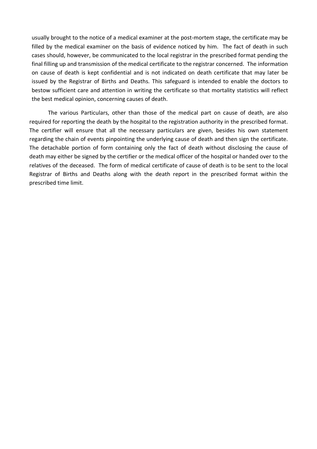usually brought to the notice of a medical examiner at the post-mortem stage, the certificate may be filled by the medical examiner on the basis of evidence noticed by him. The fact of death in such cases should, however, be communicated to the local registrar in the prescribed format pending the final filling up and transmission of the medical certificate to the registrar concerned. The information on cause of death is kept confidential and is not indicated on death certificate that may later be issued by the Registrar of Births and Deaths. This safeguard is intended to enable the doctors to bestow sufficient care and attention in writing the certificate so that mortality statistics will reflect the best medical opinion, concerning causes of death.

The various Particulars, other than those of the medical part on cause of death, are also required for reporting the death by the hospital to the registration authority in the prescribed format. The certifier will ensure that all the necessary particulars are given, besides his own statement regarding the chain of events pinpointing the underlying cause of death and then sign the certificate. The detachable portion of form containing only the fact of death without disclosing the cause of death may either be signed by the certifier or the medical officer of the hospital or handed over to the relatives of the deceased. The form of medical certificate of cause of death is to be sent to the local Registrar of Births and Deaths along with the death report in the prescribed format within the prescribed time limit.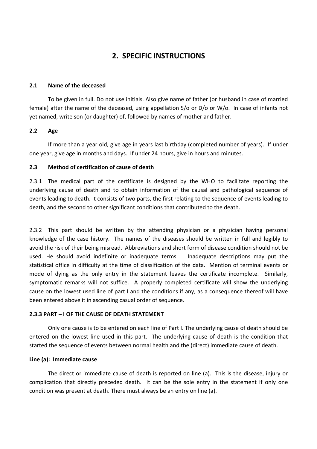# **2. SPECIFIC INSTRUCTIONS**

#### **2.1 Name of the deceased**

To be given in full. Do not use initials. Also give name of father (or husband in case of married female) after the name of the deceased, using appellation S/o or D/o or W/o. In case of infants not yet named, write son (or daughter) of, followed by names of mother and father.

#### **2.2 Age**

If more than a year old, give age in years last birthday (completed number of years). If under one year, give age in months and days. If under 24 hours, give in hours and minutes.

#### **2.3 Method of certification of cause of death**

2.3.1 The medical part of the certificate is designed by the WHO to facilitate reporting the underlying cause of death and to obtain information of the causal and pathological sequence of events leading to death. It consists of two parts, the first relating to the sequence of events leading to death, and the second to other significant conditions that contributed to the death.

2.3.2 This part should be written by the attending physician or a physician having personal knowledge of the case history. The names of the diseases should be written in full and legibly to avoid the risk of their being misread. Abbreviations and short form of disease condition should not be used. He should avoid indefinite or inadequate terms. Inadequate descriptions may put the statistical office in difficulty at the time of classification of the data. Mention of terminal events or mode of dying as the only entry in the statement leaves the certificate incomplete. Similarly, symptomatic remarks will not suffice. A properly completed certificate will show the underlying cause on the lowest used line of part I and the conditions if any, as a consequence thereof will have been entered above it in ascending casual order of sequence.

#### **2.3.3 PART – I OF THE CAUSE OF DEATH STATEMENT**

Only one cause is to be entered on each line of Part I. The underlying cause of death should be entered on the lowest line used in this part. The underlying cause of death is the condition that started the sequence of events between normal health and the (direct) immediate cause of death.

#### **Line (a): Immediate cause**

The direct or immediate cause of death is reported on line (a). This is the disease, injury or complication that directly preceded death. It can be the sole entry in the statement if only one condition was present at death. There must always be an entry on line (a).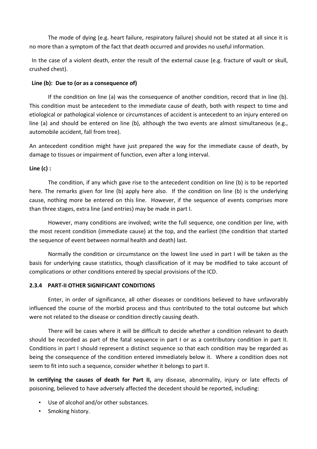The mode of dying (e.g. heart failure, respiratory failure) should not be stated at all since it is no more than a symptom of the fact that death occurred and provides no useful information.

In the case of a violent death, enter the result of the external cause (e.g. fracture of vault or skull, crushed chest).

#### **Line (b): Due to (or as a consequence of)**

If the condition on line (a) was the consequence of another condition, record that in line (b). This condition must be antecedent to the immediate cause of death, both with respect to time and etiological or pathological violence or circumstances of accident is antecedent to an injury entered on line (a) and should be entered on line (b), although the two events are almost simultaneous (e.g., automobile accident, fall from tree).

An antecedent condition might have just prepared the way for the immediate cause of death, by damage to tissues or impairment of function, even after a long interval.

# **Line (c) :**

The condition, if any which gave rise to the antecedent condition on line (b) is to be reported here. The remarks given for line (b) apply here also. If the condition on line (b) is the underlying cause, nothing more be entered on this line. However, if the sequence of events comprises more than three stages, extra line (and entries) may be made in part I.

However, many conditions are involved; write the full sequence, one condition per line, with the most recent condition (immediate cause) at the top, and the earliest (the condition that started the sequence of event between normal health and death) last.

Normally the condition or circumstance on the lowest line used in part I will be taken as the basis for underlying cause statistics, though classification of it may be modified to take account of complications or other conditions entered by special provisions of the ICD.

# **2.3.4 PART-II OTHER SIGNIFICANT CONDITIONS**

Enter, in order of significance, all other diseases or conditions believed to have unfavorably influenced the course of the morbid process and thus contributed to the total outcome but which were not related to the disease or condition directly causing death.

There will be cases where it will be difficult to decide whether a condition relevant to death should be recorded as part of the fatal sequence in part I or as a contributory condition in part II. Conditions in part I should represent a distinct sequence so that each condition may be regarded as being the consequence of the condition entered immediately below it. Where a condition does not seem to fit into such a sequence, consider whether it belongs to part II.

**In certifying the causes of death for Part II,** any disease, abnormality, injury or late effects of poisoning, believed to have adversely affected the decedent should be reported, including:

- Use of alcohol and/or other substances.
- Smoking history.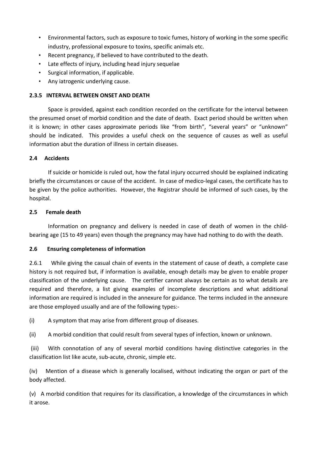- Environmental factors, such as exposure to toxic fumes, history of working in the some specific industry, professional exposure to toxins, specific animals etc.
- Recent pregnancy, if believed to have contributed to the death.
- Late effects of injury, including head injury sequelae
- Surgical information, if applicable.
- Any iatrogenic underlying cause.

#### **2.3.5 INTERVAL BETWEEN ONSET AND DEATH**

Space is provided, against each condition recorded on the certificate for the interval between the presumed onset of morbid condition and the date of death. Exact period should be written when it is known; in other cases approximate periods like "from birth", "several years" or "unknown" should be indicated. This provides a useful check on the sequence of causes as well as useful information abut the duration of illness in certain diseases.

# **2.4 Accidents**

If suicide or homicide is ruled out, how the fatal injury occurred should be explained indicating briefly the circumstances or cause of the accident. In case of medico-legal cases, the certificate has to be given by the police authorities. However, the Registrar should be informed of such cases, by the hospital.

# **2.5 Female death**

Information on pregnancy and delivery is needed in case of death of women in the childbearing age (15 to 49 years) even though the pregnancy may have had nothing to do with the death.

# **2.6 Ensuring completeness of information**

2.6.1 While giving the casual chain of events in the statement of cause of death, a complete case history is not required but, if information is available, enough details may be given to enable proper classification of the underlying cause. The certifier cannot always be certain as to what details are required and therefore, a list giving examples of incomplete descriptions and what additional information are required is included in the annexure for guidance. The terms included in the annexure are those employed usually and are of the following types:-

(i) A symptom that may arise from different group of diseases.

(ii) A morbid condition that could result from several types of infection, known or unknown.

 (iii) With connotation of any of several morbid conditions having distinctive categories in the classification list like acute, sub-acute, chronic, simple etc.

(iv) Mention of a disease which is generally localised, without indicating the organ or part of the body affected.

(v) A morbid condition that requires for its classification, a knowledge of the circumstances in which it arose.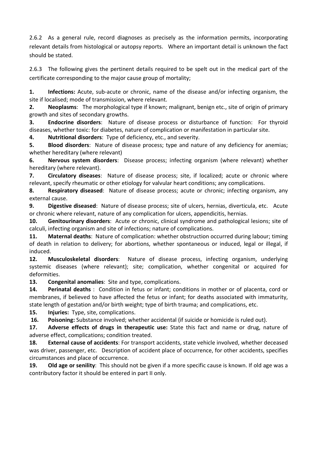2.6.2 As a general rule, record diagnoses as precisely as the information permits, incorporating relevant details from histological or autopsy reports. Where an important detail is unknown the fact should be stated.

2.6.3 The following gives the pertinent details required to be spelt out in the medical part of the certificate corresponding to the major cause group of mortality;

**1. Infections:** Acute, sub-acute or chronic, name of the disease and/or infecting organism, the site if localised; mode of transmission, where relevant.

**2. Neoplasms**: The morphological type if known; malignant, benign etc., site of origin of primary growth and sites of secondary growths.

**3. Endocrine disorders**: Nature of disease process or disturbance of function: For thyroid diseases, whether toxic: for diabetes, nature of complication or manifestation in particular site.

**4. Nutritional disorders**: Type of deficiency, etc., and severity.

**5. Blood disorders**: Nature of disease process; type and nature of any deficiency for anemias; whether hereditary (where relevant)

**6. Nervous system disorders**: Disease process; infecting organism (where relevant) whether hereditary (where relevant).

**7. Circulatory diseases**: Nature of disease process; site, if localized; acute or chronic where relevant, specify rheumatic or other etiology for valvular heart conditions; any complications.

**8. Respiratory diseased**: Nature of disease process; acute or chronic; infecting organism, any external cause.

**9. Digestive diseased**: Nature of disease process; site of ulcers, hernias, diverticula, etc. Acute or chronic where relevant, nature of any complication for ulcers, appendicitis, hernias.

**10. Genitourinary disorders**: Acute or chronic, clinical syndrome and pathological lesions; site of calculi, infecting organism and site of infections; nature of complications.

**11. Maternal deaths**: Nature of complication: whether obstruction occurred during labour; timing of death in relation to delivery; for abortions, whether spontaneous or induced, legal or illegal, if induced.

**12. Musculoskeletal disorders**: Nature of disease process, infecting organism, underlying systemic diseases (where relevant); site; complication, whether congenital or acquired for deformities.

**13. Congenital anomalies**: Site and type, complications.

**14. Perinatal deaths** : Condition in fetus or infant; conditions in mother or of placenta, cord or membranes, if believed to have affected the fetus or infant; for deaths associated with immaturity, state length of gestation and/or birth weight; type of birth trauma; and complications, etc.

**15. Injuries:** Type, site, complications.

 **16. Poisoning:** Substance involved; whether accidental (if suicide or homicide is ruled out).

**17. Adverse effects of drugs in therapeutic use:** State this fact and name or drug, nature of adverse effect, complications; condition treated.

**18. External cause of accidents**: For transport accidents, state vehicle involved, whether deceased was driver, passenger, etc. Description of accident place of occurrence, for other accidents, specifies circumstances and place of occurrence.

**19. Old age or senility**: This should not be given if a more specific cause is known. If old age was a contributory factor it should be entered in part II only.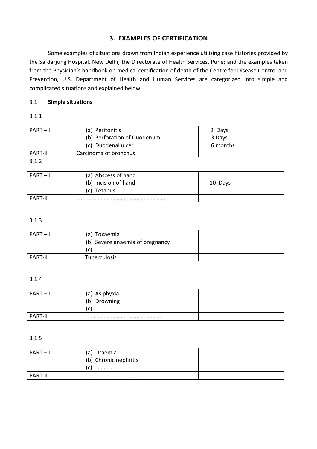# **3. EXAMPLES OF CERTIFICATION**

 Some examples of situations drawn from Indian experience utilizing case histories provided by the Safdarjung Hospital, New Delhi; the Directorate of Health Services, Pune; and the examples taken from the Physician's handbook on medical certification of death of the Centre for Disease Control and Prevention, U.S. Department of Health and Human Services are categorized into simple and complicated situations and explained below.

# 3.1 **Simple situations**

# 3.1.1

| $PART-I$       | (a) Peritonitis             | 2 Days   |
|----------------|-----------------------------|----------|
|                | (b) Perforation of Duodenum | 3 Days   |
|                | (c) Duodenal ulcer          | 6 months |
| <b>PART-II</b> | Carcinoma of bronchus       |          |
| 3.1.2          |                             |          |

| $PART-I$       | (a) Abscess of hand<br>(b) Incision of hand<br>(c) Tetanus | 10 Days |
|----------------|------------------------------------------------------------|---------|
| <b>PART-II</b> |                                                            |         |

# 3.1.3

| $PART-I$       | (a) Toxaemia<br>(b) Severe anaemia of pregnancy<br> |  |
|----------------|-----------------------------------------------------|--|
| <b>PART-II</b> | Tuberculosis                                        |  |

#### 3.1.4

| $PART-I$       | (a) Aslphyxia<br>(b) Drowning<br>r<br><u>. J</u><br> |  |
|----------------|------------------------------------------------------|--|
| <b>PART-II</b> |                                                      |  |

#### 3.1.5

| $PART - 1$     | (a) Uraemia<br>(b) Chronic nephritis<br>J.<br> |  |
|----------------|------------------------------------------------|--|
| <b>PART-II</b> |                                                |  |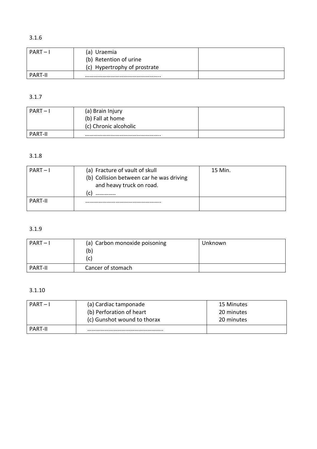# 3.1.6

| $PART-I$       | (a) Uraemia                  |  |
|----------------|------------------------------|--|
|                | (b) Retention of urine       |  |
|                | (c) Hypertrophy of prostrate |  |
| <b>PART-II</b> |                              |  |

# 3.1.7

| $PART -$       | (a) Brain Injury<br>(b) Fall at home |  |
|----------------|--------------------------------------|--|
|                | (c) Chronic alcoholic                |  |
| <b>PART-II</b> |                                      |  |

# 3.1.8

| $PART-I$       | (a) Fracture of vault of skull<br>(b) Collision between car he was driving<br>and heavy truck on road.<br>l C<br> | 15 Min. |
|----------------|-------------------------------------------------------------------------------------------------------------------|---------|
| <b>PART-II</b> |                                                                                                                   |         |

# 3.1.9

| $PART-I$       | (a) Carbon monoxide poisoning<br>(b)<br>(C) | Unknown |
|----------------|---------------------------------------------|---------|
| <b>PART-II</b> | Cancer of stomach                           |         |

# 3.1.10

| $PART-I$       | (a) Cardiac tamponade<br>(b) Perforation of heart<br>(c) Gunshot wound to thorax | 15 Minutes<br>20 minutes<br>20 minutes |
|----------------|----------------------------------------------------------------------------------|----------------------------------------|
|                |                                                                                  |                                        |
| <b>PART-II</b> |                                                                                  |                                        |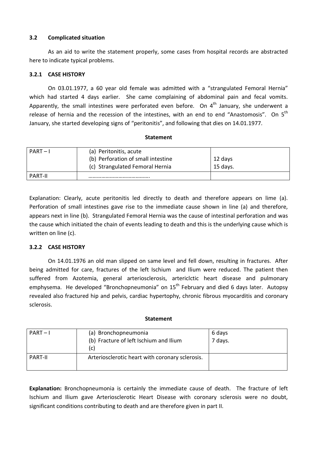#### **3.2 Complicated situation**

 As an aid to write the statement properly, some cases from hospital records are abstracted here to indicate typical problems.

# **3.2.1 CASE HISTORY**

 On 03.01.1977, a 60 year old female was admitted with a "strangulated Femoral Hernia" which had started 4 days earlier. She came complaining of abdominal pain and fecal vomits. Apparently, the small intestines were perforated even before. On  $4<sup>th</sup>$  January, she underwent a release of hernia and the recession of the intestines, with an end to end "Anastomosis". On 5<sup>th</sup> January, she started developing signs of "peritonitis", and following that dies on 14.01.1977.

#### **Statement**

| $PART-I$       | (a) Peritonitis, acute<br>(b) Perforation of small intestine<br>(c) Strangulated Femoral Hernia | 12 days<br>15 days. |
|----------------|-------------------------------------------------------------------------------------------------|---------------------|
| <b>PART-II</b> |                                                                                                 |                     |

Explanation: Clearly, acute peritonitis led directly to death and therefore appears on lime (a). Perforation of small intestines gave rise to the immediate cause shown in line (a) and therefore, appears next in line (b). Strangulated Femoral Hernia was the cause of intestinal perforation and was the cause which initiated the chain of events leading to death and this is the underlying cause which is written on line (c).

#### **3.2.2 CASE HISTORY**

 On 14.01.1976 an old man slipped on same level and fell down, resulting in fractures. After being admitted for care, fractures of the left Ischium and Ilium were reduced. The patient then suffered from Azotemia, general arteriosclerosis, artericlctic heart disease and pulmonary emphysema. He developed "Bronchopneumonia" on 15<sup>th</sup> February and died 6 days later. Autopsy revealed also fractured hip and pelvis, cardiac hypertophy, chronic fibrous myocarditis and coronary sclerosis.

#### **Statement**

| $PART-I$       | (a) Bronchopneumonia<br>(b) Fracture of left Ischium and Ilium<br>(c) | 6 days<br>7 days. |
|----------------|-----------------------------------------------------------------------|-------------------|
| <b>PART-II</b> | Arteriosclerotic heart with coronary sclerosis.                       |                   |

**Explanation:** Bronchopneumonia is certainly the immediate cause of death. The fracture of left Ischium and Ilium gave Arteriosclerotic Heart Disease with coronary sclerosis were no doubt, significant conditions contributing to death and are therefore given in part II.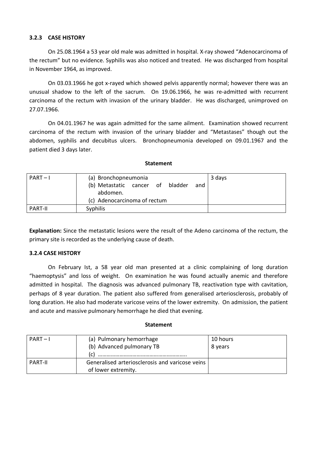#### **3.2.3 CASE HISTORY**

 On 25.08.1964 a 53 year old male was admitted in hospital. X-ray showed "Adenocarcinoma of the rectum" but no evidence. Syphilis was also noticed and treated. He was discharged from hospital in November 1964, as improved.

 On 03.03.1966 he got x-rayed which showed pelvis apparently normal; however there was an unusual shadow to the left of the sacrum. On 19.06.1966, he was re-admitted with recurrent carcinoma of the rectum with invasion of the urinary bladder. He was discharged, unimproved on 27.07.1966.

 On 04.01.1967 he was again admitted for the same ailment. Examination showed recurrent carcinoma of the rectum with invasion of the urinary bladder and "Metastases" though out the abdomen, syphilis and decubitus ulcers. Bronchopneumonia developed on 09.01.1967 and the patient died 3 days later.

#### **Statement**

| $PART-I$       | (a) Bronchopneumonia<br>3 days             |
|----------------|--------------------------------------------|
|                | (b) Metastatic cancer of<br>bladder<br>and |
|                | abdomen.                                   |
|                | (c) Adenocarcinoma of rectum               |
| <b>PART-II</b> | <b>Syphilis</b>                            |

**Explanation:** Since the metastatic lesions were the result of the Adeno carcinoma of the rectum, the primary site is recorded as the underlying cause of death.

#### **3.2.4 CASE HISTORY**

 On February Ist, a 58 year old man presented at a clinic complaining of long duration "haemoptysis" and loss of weight. On examination he was found actually anemic and therefore admitted in hospital. The diagnosis was advanced pulmonary TB, reactivation type with cavitation, perhaps of 8 year duration. The patient also suffered from generalised arteriosclerosis, probably of long duration. He also had moderate varicose veins of the lower extremity. On admission, the patient and acute and massive pulmonary hemorrhage he died that evening.

#### **Statement**

| $PART-I$       | (a) Pulmonary hemorrhage                        | 10 hours |
|----------------|-------------------------------------------------|----------|
|                | (b) Advanced pulmonary TB                       | 8 years  |
|                | (C)                                             |          |
| <b>PART-II</b> | Generalised arteriosclerosis and varicose veins |          |
|                | of lower extremity.                             |          |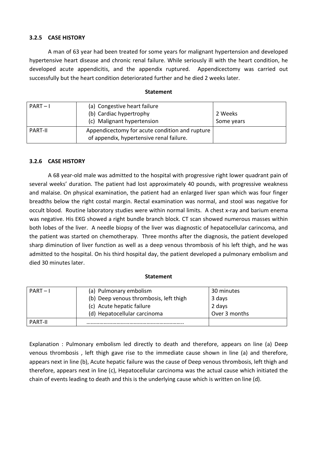### **3.2.5 CASE HISTORY**

 A man of 63 year had been treated for some years for malignant hypertension and developed hypertensive heart disease and chronic renal failure. While seriously ill with the heart condition, he developed acute appendicitis, and the appendix ruptured. Appendicectomy was carried out successfully but the heart condition deteriorated further and he died 2 weeks later.

| $PART-I$       | (a) Congestive heart failure<br>(b) Cardiac hypertrophy<br>(c) Malignant hypertension      | 2 Weeks<br>Some years |
|----------------|--------------------------------------------------------------------------------------------|-----------------------|
| <b>PART-II</b> | Appendicectomy for acute condition and rupture<br>of appendix, hypertensive renal failure. |                       |

#### **Statement**

#### **3.2.6 CASE HISTORY**

 A 68 year-old male was admitted to the hospital with progressive right lower quadrant pain of several weeks' duration. The patient had lost approximately 40 pounds, with progressive weakness and malaise. On physical examination, the patient had an enlarged liver span which was four finger breadths below the right costal margin. Rectal examination was normal, and stool was negative for occult blood. Routine laboratory studies were within normal limits. A chest x-ray and barium enema was negative. His EKG showed a right bundle branch block. CT scan showed numerous masses within both lobes of the liver. A needle biopsy of the liver was diagnostic of hepatocellular carincoma, and the patient was started on chemotherapy. Three months after the diagnosis, the patient developed sharp diminution of liver function as well as a deep venous thrombosis of his left thigh, and he was admitted to the hospital. On his third hospital day, the patient developed a pulmonary embolism and died 30 minutes later.

#### **Statement**

| $PART-I$       | (a) Pulmonary embolism                 | 30 minutes    |
|----------------|----------------------------------------|---------------|
|                | (b) Deep venous thrombosis, left thigh | 3 days        |
|                | (c) Acute hepatic failure              | 2 days        |
|                | (d) Hepatocellular carcinoma           | Over 3 months |
| <b>PART-II</b> |                                        |               |

Explanation : Pulmonary embolism led directly to death and therefore, appears on line (a) Deep venous thrombosis , left thigh gave rise to the immediate cause shown in line (a) and therefore, appears next in line (b), Acute hepatic failure was the cause of Deep venous thrombosis, left thigh and therefore, appears next in line (c), Hepatocellular carcinoma was the actual cause which initiated the chain of events leading to death and this is the underlying cause which is written on line (d).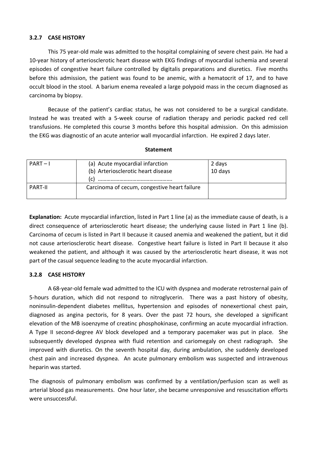# **3.2.7 CASE HISTORY**

 This 75 year-old male was admitted to the hospital complaining of severe chest pain. He had a 10-year history of arteriosclerotic heart disease with EKG findings of myocardial ischemia and several episodes of congestive heart failure controlled by digitalis preparations and diuretics. Five months before this admission, the patient was found to be anemic, with a hematocrit of 17, and to have occult blood in the stool. A barium enema revealed a large polypoid mass in the cecum diagnosed as carcinoma by biopsy.

 Because of the patient's cardiac status, he was not considered to be a surgical candidate. Instead he was treated with a 5-week course of radiation therapy and periodic packed red cell transfusions. He completed this course 3 months before this hospital admission. On this admission the EKG was diagnostic of an acute anterior wall myocardial infarction. He expired 2 days later.

| $PART-I$       | (a) Acute myocardial infarction<br>(b) Arteriosclerotic heart disease<br>(c) | 2 days<br>10 days |
|----------------|------------------------------------------------------------------------------|-------------------|
| <b>PART-II</b> | Carcinoma of cecum, congestive heart failure                                 |                   |

#### **Statement**

**Explanation:** Acute myocardial infarction, listed in Part 1 line (a) as the immediate cause of death, is a direct consequence of arteriosclerotic heart disease; the underlying cause listed in Part 1 line (b). Carcinoma of cecum is listed in Part II because it caused anemia and weakened the patient, but it did not cause arteriosclerotic heart disease. Congestive heart failure is listed in Part II because it also weakened the patient, and although it was caused by the arteriosclerotic heart disease, it was not part of the casual sequence leading to the acute myocardial infarction.

#### **3.2.8 CASE HISTORY**

A 68-year-old female wad admitted to the ICU with dyspnea and moderate retrosternal pain of 5-hours duration, which did not respond to nitroglycerin. There was a past history of obesity, noninsulin-dependent diabetes mellitus, hypertension and episodes of nonexertional chest pain, diagnosed as angina pectoris, for 8 years. Over the past 72 hours, she developed a significant elevation of the MB isoenzyme of creatinc phosphokinase, confirming an acute myocardial infraction. A Type II second-degree AV block developed and a temporary pacemaker was put in place. She subsequently developed dyspnea with fluid retention and cariomegaly on chest radiograph. She improved with diuretics. On the seventh hospital day, during ambulation, she suddenly developed chest pain and increased dyspnea. An acute pulmonary embolism was suspected and intravenous heparin was started.

The diagnosis of pulmonary embolism was confirmed by a ventilation/perfusion scan as well as arterial blood gas measurements. One hour later, she became unresponsive and resuscitation efforts were unsuccessful.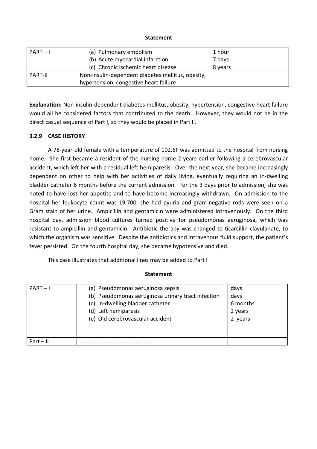#### **Statement**

| $PART-I$       | (a) Pulmonary embolism                            | 1 hour  |
|----------------|---------------------------------------------------|---------|
|                | (b) Acute myocardial infarction                   | 7 days  |
|                | (c) Chronic ischemic heart disease                | 8 years |
| <b>PART-II</b> | Non-insulin-dependent diabetes mellitus, obesity, |         |
|                | hypertension, congestive heart failure            |         |

**Explanation:** Non-insulin-dependent diabetes mellitus, obesity, hypertension, congestive heart failure would all be considered factors that contributed to the death. However, they would not be in the direct casual sequence of Part I, so they would be placed in Part II.

# **3.2.9 CASE HISTORY**

 A 78-year-old female with a temperature of 102.6F was admitted to the hospital from nursing home. She first became a resident of the nursing home 2 years earlier following a cerebrovascular accident, which left her with a residual left hemiparesis. Over the next year, she became increasingly dependent on other to help with her activities of daily living, eventually requiring an in-dwelling bladder catheter 6 months before the current admission. For the 3 days prior to admission, she was noted to have lost her appetite and to have become increasingly withdrawn. On admission to the hospital her leukocyte count was 19,700, she had pyuria and gram-negative rods were seen on a Gram stain of her urine. Ampicillin and gentamicin were administered intravenously. On the third hospital day, admission blood cultures turned positive for pseudomonas aeruginosa, which was resistant to ampicillin and gentamicin. Antibiotic therapy was changed to ticarcillin clavulanate, to which the organism was sensitive. Despite the antibiotics and intravenous fluid support, the patient's fever persisted. On the fourth hospital day, she became hypotensive and died.

This case illustrates that additional lines may be added to Part I

#### **Statement**

| $PART-I$    | (a) Pseudomonas aeruginosa sepsis                  | days     |
|-------------|----------------------------------------------------|----------|
|             | (b) Pseudomonas aeruginosa urinary tract infection | days     |
|             | (c) In-dwelling bladder catheter                   | 6 months |
|             | (d) Left hemiparesis                               | 2 years  |
|             | (e) Old cerebrovascular accident                   | 2 years  |
|             |                                                    |          |
|             |                                                    |          |
| $Part - II$ |                                                    |          |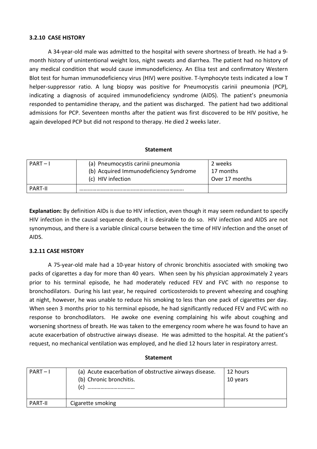#### **3.2.10 CASE HISTORY**

A 34-year-old male was admitted to the hospital with severe shortness of breath. He had a 9 month history of unintentional weight loss, night sweats and diarrhea. The patient had no history of any medical condition that would cause immunodeficiency. An Elisa test and confirmatory Western Blot test for human immunodeficiency virus (HIV) were positive. T-Iymphocyte tests indicated a low T helper-suppressor ratio. A lung biopsy was positive for Pneumocystis carinii pneumonia (PCP), indicating a diagnosis of acquired immunodeficiency syndrome (AIDS). The patient's pneumonia responded to pentamidine therapy, and the patient was discharged. The patient had two additional admissions for PCP. Seventeen months after the patient was first discovered to be HIV positive, he again developed PCP but did not respond to therapy. He died 2 weeks later.

#### **Statement**

| $PART-I$       | (a) Pneumocystis carinii pneumonia<br>(b) Acquired Immunodeficiency Syndrome<br>(c) HIV infection | 2 weeks<br>17 months<br>Over 17 months |
|----------------|---------------------------------------------------------------------------------------------------|----------------------------------------|
| <b>PART-II</b> |                                                                                                   |                                        |

**Explanation:** By definition AIDs is due to HIV infection, even though it may seem redundant to specify HIV infection in the causal sequence death, it is desirable to do so. HIV infection and AIDS are not synonymous, and there is a variable clinical course between the time of HIV infection and the onset of AIDS.

#### **3.2.11 CASE HISTORY**

 A 75-year-old male had a 10-year history of chronic bronchitis associated with smoking two packs of cigarettes a day for more than 40 years. When seen by his physician approximately 2 years prior to his terminal episode, he had moderately reduced FEV and FVC with no response to bronchodilators. During his last year, he required corticosteroids to prevent wheezing and coughing at night, however, he was unable to reduce his smoking to less than one pack of cigarettes per day. When seen 3 months prior to his terminal episode, he had significantly reduced FEV and FVC with no response to bronchodilators. He awoke one evening complaining his wife about coughing and worsening shortness of breath. He was taken to the emergency room where he was found to have an acute exacerbation of obstructive airways disease. He was admitted to the hospital. At the patient's request, no mechanical ventilation was employed, and he died 12 hours later in respiratory arrest.

| $PART-I$       | (a) Acute exacerbation of obstructive airways disease.<br>(b) Chronic bronchitis.<br> | 12 hours<br>10 years |
|----------------|---------------------------------------------------------------------------------------|----------------------|
| <b>PART-II</b> | Cigarette smoking                                                                     |                      |

#### **Statement**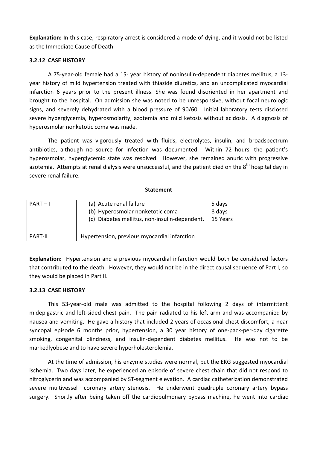**Explanation:** In this case, respiratory arrest is considered a mode of dying, and it would not be listed as the Immediate Cause of Death.

#### **3.2.12 CASE HISTORY**

 A 75-year-old female had a 15- year history of noninsulin-dependent diabetes mellitus, a 13 year history of mild hypertension treated with thiazide diuretics, and an uncomplicated myocardial infarction 6 years prior to the present illness. She was found disoriented in her apartment and brought to the hospital. On admission she was noted to be unresponsive, without focal neurologic signs, and severely dehydrated with a blood pressure of 90/60. Initial laboratory tests disclosed severe hyperglycemia, hyperosmolarity, azotemia and mild ketosis without acidosis. A diagnosis of hyperosmolar nonketotic coma was made.

 The patient was vigorously treated with fluids, electrolytes, insulin, and broadspectrum antibiotics, although no source for infection was documented. Within 72 hours, the patient's hyperosmolar, hyperglycemic state was resolved. However, she remained anuric with progressive azotemia. Attempts at renal dialysis were unsuccessful, and the patient died on the 8<sup>th</sup> hospital day in severe renal failure.

#### **Statement**

| $PART-I$       | (a) Acute renal failure<br>(b) Hyperosmolar nonketotic coma<br>(c) Diabetes mellitus, non-insulin-dependent. | 5 days<br>8 days<br>15 Years |
|----------------|--------------------------------------------------------------------------------------------------------------|------------------------------|
| <b>PART-II</b> | Hypertension, previous myocardial infarction                                                                 |                              |

**Explanation:** Hypertension and a previous myocardial infarction would both be considered factors that contributed to the death. However, they would not be in the direct causal sequence of Part I, so they would be placed in Part II.

#### **3.2.13 CASE HISTORY**

 This 53-year-old male was admitted to the hospital following 2 days of intermittent midepigastric and left-sided chest pain. The pain radiated to his left arm and was accompanied by nausea and vomiting. He gave a history that included 2 years of occasional chest discomfort, a near syncopal episode 6 months prior, hypertension, a 30 year history of one-pack-per-day cigarette smoking, congenital blindness, and insulin-dependent diabetes mellitus. He was not to be markedlyobese and to have severe hyperholesterolemia.

 At the time of admission, his enzyme studies were normal, but the EKG suggested myocardial ischemia. Two days later, he experienced an episode of severe chest chain that did not respond to nitroglycerin and was accompanied by ST-segment elevation. A cardiac catheterization demonstrated severe multivessel coronary artery stenosis. He underwent quadruple coronary artery bypass surgery. Shortly after being taken off the cardiopulmonary bypass machine, he went into cardiac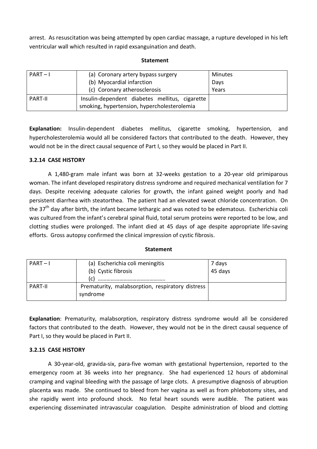arrest. As resuscitation was being attempted by open cardiac massage, a rupture developed in his left ventricular wall which resulted in rapid exsanguination and death.

#### **Statement**

| $PART-I$       | (a) Coronary artery bypass surgery             | <b>Minutes</b> |
|----------------|------------------------------------------------|----------------|
|                | (b) Myocardial infarction                      | Days           |
|                | (c) Coronary atherosclerosis                   | Years          |
| <b>PART-II</b> | Insulin-dependent diabetes mellitus, cigarette |                |
|                | smoking, hypertension, hypercholesterolemia    |                |

**Explanation:** Insulin-dependent diabetes mellitus, cigarette smoking, hypertension, and hypercholesterolemia would all be considered factors that contributed to the death. However, they would not be in the direct causal sequence of Part I, so they would be placed in Part II.

#### **3.2.14 CASE HISTORY**

 A 1,480-gram male infant was born at 32-weeks gestation to a 20-year old primiparous woman. The infant developed respiratory distress syndrome and required mechanical ventilation for 7 days. Despite receiving adequate calories for growth, the infant gained weight poorly and had persistent diarrhea with steatorthea. The patient had an elevated sweat chloride concentration. On the 37<sup>th</sup> day after birth, the infant became lethargic and was noted to be edematous. Escherichia coli was cultured from the infant's cerebral spinal fluid, total serum proteins were reported to be low, and clotting studies were prolonged. The infant died at 45 days of age despite appropriate life-saving efforts. Gross autopsy confirmed the clinical impression of cystic fibrosis.

#### **Statement**

| $PART-I$       | (a) Escherichia coli meningitis<br>(b) Cystic fibrosis<br>(c) | 7 days<br>45 days |
|----------------|---------------------------------------------------------------|-------------------|
| <b>PART-II</b> | Prematurity, malabsorption, respiratory distress<br>syndrome  |                   |

**Explanation**: Prematurity, malabsorption, respiratory distress syndrome would all be considered factors that contributed to the death. However, they would not be in the direct causal sequence of Part I, so they would be placed in Part II.

#### **3.2.15 CASE HISTORY**

A 30-year-old, gravida-six, para-five woman with gestational hypertension, reported to the emergency room at 36 weeks into her pregnancy. She had experienced 12 hours of abdominal cramping and vaginal bleeding with the passage of large clots. A presumptive diagnosis of abruption placenta was made. She continued to bleed from her vagina as well as from phlebotomy sites, and she rapidly went into profound shock. No fetal heart sounds were audible. The patient was experiencing disseminated intravascular coagulation. Despite administration of blood and clotting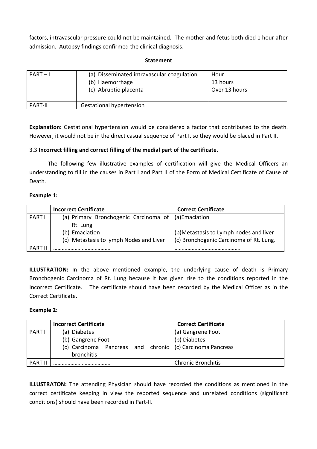factors, intravascular pressure could not be maintained. The mother and fetus both died 1 hour after admission. Autopsy findings confirmed the clinical diagnosis.

#### **Statement**

| $PART-I$       | (a) Disseminated intravascular coagulation<br>(b) Haemorrhage<br>(c) Abruptio placenta | Hour<br>13 hours<br>Over 13 hours |
|----------------|----------------------------------------------------------------------------------------|-----------------------------------|
| <b>PART-II</b> | <b>Gestational hypertension</b>                                                        |                                   |

**Explanation:** Gestational hypertension would be considered a factor that contributed to the death. However, it would not be in the direct casual sequence of Part I, so they would be placed in Part II.

# 3.3 **Incorrect filling and correct filling of the medial part of the certificate.**

 The following few illustrative examples of certification will give the Medical Officers an understanding to fill in the causes in Part I and Part II of the Form of Medical Certificate of Cause of Death.

# **Example 1:**

|                | <b>Incorrect Certificate</b>            | <b>Correct Certificate</b>              |
|----------------|-----------------------------------------|-----------------------------------------|
| <b>PART I</b>  | (a) Primary Bronchogenic Carcinoma of   | (a)Emaciation                           |
|                | Rt. Lung                                |                                         |
|                | (b) Emaciation                          | (b) Metastasis to Lymph nodes and liver |
|                | (c) Metastasis to lymph Nodes and Liver | (c) Bronchogenic Carcinoma of Rt. Lung. |
| <b>PART II</b> |                                         |                                         |

**ILLUSTRATION:** In the above mentioned example, the underlying cause of death is Primary Bronchogenic Carcinoma of Rt. Lung because it has given rise to the conditions reported in the Incorrect Certificate. The certificate should have been recorded by the Medical Officer as in the Correct Certificate.

#### **Example 2:**

|                | <b>Incorrect Certificate</b>                                     | <b>Correct Certificate</b> |
|----------------|------------------------------------------------------------------|----------------------------|
| PART I         | (a) Diabetes                                                     | (a) Gangrene Foot          |
|                | (b) Gangrene Foot                                                | (b) Diabetes               |
|                | (c) Carcinoma Pancreas and chronic $\int$ (c) Carcinoma Pancreas |                            |
|                | bronchitis                                                       |                            |
| <b>PART II</b> |                                                                  | <b>Chronic Bronchitis</b>  |

**ILLUSTRATON:** The attending Physician should have recorded the conditions as mentioned in the correct certificate keeping in view the reported sequence and unrelated conditions (significant conditions) should have been recorded in Part-II.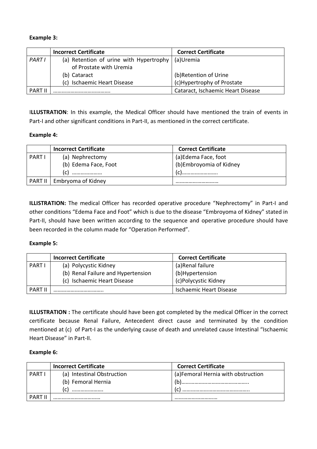# **Example 3:**

|                | <b>Incorrect Certificate</b>                               | <b>Correct Certificate</b>        |
|----------------|------------------------------------------------------------|-----------------------------------|
| <b>PART I</b>  | (a) Retention of urine with Hypertrophy $\vert$ (a) Uremia |                                   |
|                | of Prostate with Uremia                                    |                                   |
|                | (b) Cataract                                               | (b)Retention of Urine             |
|                | (c) Ischaemic Heart Disease                                | (c)Hypertrophy of Prostate        |
| <b>PART II</b> |                                                            | Cataract, Ischaemic Heart Disease |

I**LLUSTRATION**: In this example, the Medical Officer should have mentioned the train of events in Part-I and other significant conditions in Part-II, as mentioned in the correct certificate.

# **Example 4:**

|             | <b>Incorrect Certificate</b> | <b>Correct Certificate</b> |
|-------------|------------------------------|----------------------------|
| <b>PART</b> | (a) Nephrectomy              | (a)Edema Face, foot        |
|             | (b) Edema Face, Foot         | (b) Embroyomia of Kidney   |
|             | (c)<br>                      | !                          |
|             | PART II   Embryoma of Kidney |                            |

**ILLISTRATION:** The medical Officer has recorded operative procedure "Nephrectomy" in Part-I and other conditions "Edema Face and Foot" which is due to the disease "Embroyoma of Kidney" stated in Part-II, should have been written according to the sequence and operative procedure should have been recorded in the column made for "Operation Performed".

#### **Example 5:**

|                | <b>Incorrect Certificate</b>       | <b>Correct Certificate</b>     |
|----------------|------------------------------------|--------------------------------|
| PARTI          | (a) Polycystic Kidney              | (a)Renal failure               |
|                | (b) Renal Failure and Hypertension | (b)Hypertension                |
|                | (c) Ischaemic Heart Disease        | (c)Polycystic Kidney           |
| <b>PART II</b> |                                    | <b>Ischaemic Heart Disease</b> |

**ILLUSTRATION :** The certificate should have been got completed by the medical Officer in the correct certificate because Renal Failure, Antecedent direct cause and terminated by the condition mentioned at (c) of Part-I as the underlying cause of death and unrelated cause Intestinal "Ischaemic Heart Disease" in Part-II.

#### **Example 6:**

|                | <b>Incorrect Certificate</b> | <b>Correct Certificate</b>          |
|----------------|------------------------------|-------------------------------------|
| <b>PART</b>    | (a) Intestinal Obstruction   | (a) Femoral Hernia with obstruction |
|                | (b) Femoral Hernia           |                                     |
|                |                              |                                     |
| <b>PART II</b> |                              |                                     |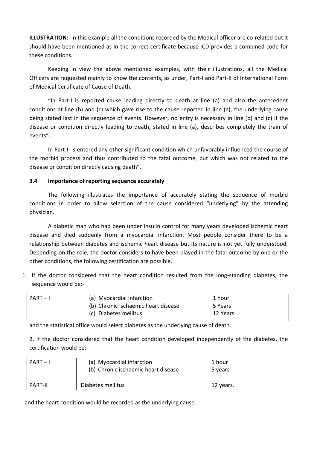**ILLUSTRATION:** In this example all the conditions recorded by the Medical officer are co-related but it should have been mentioned as in the correct certificate because ICD provides a combined code for these conditions.

 Keeping in view the above mentioned examples, with their illustrations, all the Medical Officers are requested mainly to know the contents, as under, Part-I and Part-II of International Form of Medical Certificate of Cause of Death.

 "In Part-I is reported cause leading directly to death at line (a) and also the antecedent conditions at line (b) and (c) which gave rise to the cause reported in line (a), the underlying cause being stated last in the sequence of events. However, no entry is necessary in line (b) and (c) if the disease or condition directly leading to death, stated in line (a), describes completely the train of events".

In Part-II is entered any other significant condition which unfavorably influenced the course of the morbid process and thus contributed to the fatal outcome, but which was not related to the disease or condition directly causing death".

# **3.4 Importance of reporting sequence accurately**

The following illustrates the importance of accurately stating the sequence of morbid conditions in order to allow selection of the cause considered "underlying" by the attending physician.

 A diabetic man who had been under insulin control for many years developed ischemic heart disease and died suddenly from a myocardial infarction. Most people consider there to be a relationship between diabetes and ischemic heart disease but its nature is not yet fully understood. Depending on the role, the doctor considers to have been played in the fatal outcome by one or the other conditions, the following certification are possible.

1. If the doctor considered that the heart condition resulted from the long-standing diabetes, the sequence would be:-

| $PART-I$ | (a) Myocardial Infarction           | 1 hour   |
|----------|-------------------------------------|----------|
|          | (b) Chronic Ischaemic heart disease | 5 Years  |
|          | (c) Diabetes mellitus               | 12 Years |

and the statistical office would select diabetes as the underlying cause of death.

2. If the doctor considered that the heart condition developed independently of the diabetes, the certification would be:-

| $PART-I$       | (a) Myocardial infarction<br>(b) Chronic ischaemic heart disease | 1 hour<br>5 years |
|----------------|------------------------------------------------------------------|-------------------|
| <b>PART-II</b> | Diabetes mellitus                                                | 12 years.         |

and the heart condition would be recorded as the underlying cause.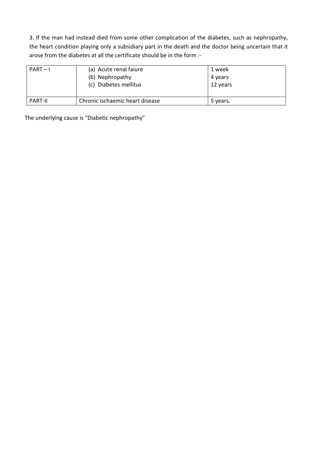3. If the man had instead died from some other complication of the diabetes, such as nephropathy, the heart condition playing only a subsidiary part in the death and the doctor being uncertain that it arose from the diabetes at all the certificate should be in the form :-

| $PART-I$       | (a) Acute renal faiure<br>(b) Nephropathy<br>(c) Diabetes mellitus | 1 week<br>4 years<br>12 years |
|----------------|--------------------------------------------------------------------|-------------------------------|
| <b>PART-II</b> | Chronic ischaemic heart disease                                    | 5 years.                      |

The underlying cause is "Diabetic nephropathy"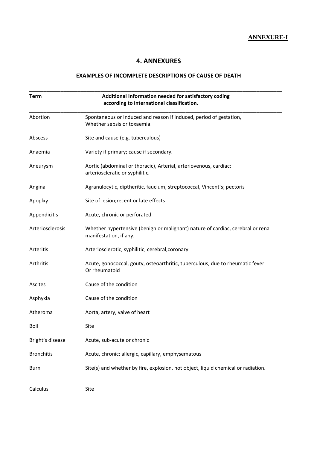**ANNEXURE-I**

# **4. ANNEXURES**

# **EXAMPLES OF INCOMPLETE DESCRIPTIONS OF CAUSE OF DEATH**

| <b>Term</b>       | Additional Information needed for satisfactory coding<br>according to international classification.       |
|-------------------|-----------------------------------------------------------------------------------------------------------|
| Abortion          | Spontaneous or induced and reason if induced, period of gestation,<br>Whether sepsis or toxaemia.         |
| Abscess           | Site and cause (e.g. tuberculous)                                                                         |
| Anaemia           | Variety if primary; cause if secondary.                                                                   |
| Aneurysm          | Aortic (abdominal or thoracic), Arterial, arteriovenous, cardiac;<br>arterioscleratic or syphilitic.      |
| Angina            | Agranulocytic, diptheritic, faucium, streptococcal, Vincent's; pectoris                                   |
| Apoplxy           | Site of lesion; recent or late effects                                                                    |
| Appendicitis      | Acute, chronic or perforated                                                                              |
| Arteriosclerosis  | Whether hypertensive (benign or malignant) nature of cardiac, cerebral or renal<br>manifestation, if any. |
| Arteritis         | Arteriosclerotic, syphilitic; cerebral, coronary                                                          |
| Arthritis         | Acute, gonococcal, gouty, osteoarthritic, tuberculous, due to rheumatic fever<br>Or rheumatoid            |
| Ascites           | Cause of the condition                                                                                    |
| Asphyxia          | Cause of the condition                                                                                    |
| Atheroma          | Aorta, artery, valve of heart                                                                             |
| Boil              | Site                                                                                                      |
| Bright's disease  | Acute, sub-acute or chronic                                                                               |
| <b>Bronchitis</b> | Acute, chronic; allergic, capillary, emphysematous                                                        |
| Burn              | Site(s) and whether by fire, explosion, hot object, liquid chemical or radiation.                         |
| Calculus          | Site                                                                                                      |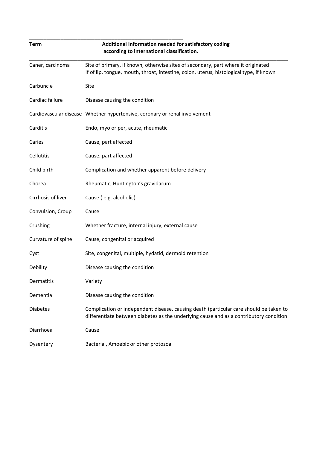| <b>Term</b>        | Additional Information needed for satisfactory coding<br>according to international classification.                                                                              |
|--------------------|----------------------------------------------------------------------------------------------------------------------------------------------------------------------------------|
| Caner, carcinoma   | Site of primary, if known, otherwise sites of secondary, part where it originated<br>If of lip, tongue, mouth, throat, intestine, colon, uterus; histological type, if known     |
| Carbuncle          | Site                                                                                                                                                                             |
| Cardiac failure    | Disease causing the condition                                                                                                                                                    |
|                    | Cardiovascular disease Whether hypertensive, coronary or renal involvement                                                                                                       |
| Carditis           | Endo, myo or per, acute, rheumatic                                                                                                                                               |
| Caries             | Cause, part affected                                                                                                                                                             |
| Cellutitis         | Cause, part affected                                                                                                                                                             |
| Child birth        | Complication and whether apparent before delivery                                                                                                                                |
| Chorea             | Rheumatic, Huntington's gravidarum                                                                                                                                               |
| Cirrhosis of liver | Cause (e.g. alcoholic)                                                                                                                                                           |
| Convulsion, Croup  | Cause                                                                                                                                                                            |
| Crushing           | Whether fracture, internal injury, external cause                                                                                                                                |
| Curvature of spine | Cause, congenital or acquired                                                                                                                                                    |
| Cyst               | Site, congenital, multiple, hydatid, dermoid retention                                                                                                                           |
| Debility           | Disease causing the condition                                                                                                                                                    |
| Dermatitis         | Variety                                                                                                                                                                          |
| Dementia           | Disease causing the condition                                                                                                                                                    |
| <b>Diabetes</b>    | Complication or independent disease, causing death (particular care should be taken to<br>differentiate between diabetes as the underlying cause and as a contributory condition |
| Diarrhoea          | Cause                                                                                                                                                                            |
| Dysentery          | Bacterial, Amoebic or other protozoal                                                                                                                                            |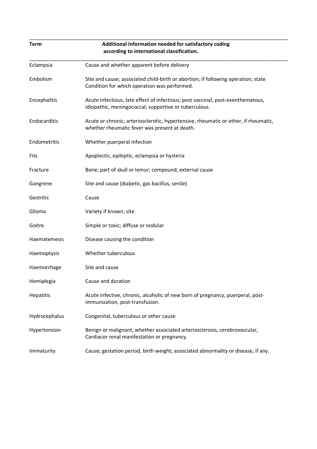| <b>Term</b>   | Additional Information needed for satisfactory coding<br>according to international classification.                                      |
|---------------|------------------------------------------------------------------------------------------------------------------------------------------|
| Eclampsia     | Cause and whether apparent before delivery                                                                                               |
| Embolism      | Site and cause; associated child-birth or abortion; if following operation; state<br>Condition for which operation was performed.        |
| Encephalitis  | Acute infectious, late effect of infectious; post vaccinal, post-exenthematous,<br>idiopathic, meningococcal, supportive or tuberculous. |
| Endocarditis  | Acute or chronic; arteriosclerotic, hypertensive, rheumatic or other, if rheumatic,<br>whether rheumatic fever was present at death.     |
| Endometritis  | Whether puerperal infection                                                                                                              |
| Fits          | Apoplectic, epileptic, eclampsia or hysteria                                                                                             |
| Fracture      | Bone; part of skull or lemur; compound; external cause                                                                                   |
| Gangrene      | Site and cause (diabetic, gas bacillus, senile)                                                                                          |
| Gestritis     | Cause                                                                                                                                    |
| Glioma        | Variety if known; site                                                                                                                   |
| Goitre        | Simple or toxic; diffuse or nodular                                                                                                      |
| Haematemesis  | Disease causing the condition                                                                                                            |
| Haemoptysis   | Whether tuberculous                                                                                                                      |
| Haemorrhage   | Site and cause                                                                                                                           |
| Hemiplegia    | Cause and duration                                                                                                                       |
| Hepatitis     | Acute infective, chronic, alcoholic of new born of pregnancy, puerperal, post-<br>immunization, post-transfusion.                        |
| Hydrocephalus | Congenital, tuberculous or other cause                                                                                                   |
| Hypertension  | Benign or malignant, whether associated arteriosclerosis, cerebrovascular,<br>Cardiacor renal manifestation or pregnancy.                |
| Immaturity    | Cause; gestation period, birth weight; associated abnormality or disease, if any.                                                        |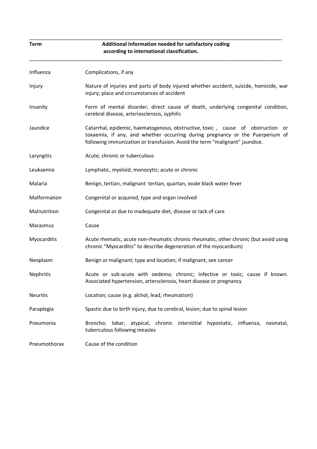| <b>Term</b>     | Additional Information needed for satisfactory coding<br>according to international classification.                                                                                                                                                |  |  |  |  |  |  |
|-----------------|----------------------------------------------------------------------------------------------------------------------------------------------------------------------------------------------------------------------------------------------------|--|--|--|--|--|--|
| Influenza       | Complications, if any                                                                                                                                                                                                                              |  |  |  |  |  |  |
| Injury          | Nature of injuries and parts of body injured whether accident, suicide, homicide, war<br>injury; place and circumstances of accident                                                                                                               |  |  |  |  |  |  |
| Insanity        | Form of mental disorder, direct cause of death, underlying congenital condition,<br>cerebral disease, arteriosclerosis, syphilis                                                                                                                   |  |  |  |  |  |  |
| Jaundice        | Catarrhal, epidemic, haematogenous, obstructive, toxic, cause of obstruction<br>or<br>toxaemia, if any, and whether occurring during pregnancy or the Puerperium of<br>following immunization or transfusion. Avoid the term "malignant" jaundice. |  |  |  |  |  |  |
| Laryngitis      | Acute, chronic or tuberculous                                                                                                                                                                                                                      |  |  |  |  |  |  |
| Leukaemia       | Lymphatic, myeloid, monocytic; acute or chronic                                                                                                                                                                                                    |  |  |  |  |  |  |
| Malaria         | Benign, tertian, malignant tertian, quartan, ovale black water fever                                                                                                                                                                               |  |  |  |  |  |  |
| Malformation    | Congenital or acquired, type and organ involved                                                                                                                                                                                                    |  |  |  |  |  |  |
| Malnutrition    | Congeintal or due to inadequate diet, disease or lack of care                                                                                                                                                                                      |  |  |  |  |  |  |
| Marasmus        | Cause                                                                                                                                                                                                                                              |  |  |  |  |  |  |
| Myocarditis     | Acute rhematic, acute non-rheumatic chronic rheumatic, other chronic (but avoid using<br>chronic "Myocarditis" to describe degeneration of the myocardium)                                                                                         |  |  |  |  |  |  |
| Neoplasm        | Benign or malignant; type and location; if malignant, see cancer                                                                                                                                                                                   |  |  |  |  |  |  |
| Nephritis       | Acute or sub-acute with oedema; chronic; Infective or toxic; cause if known.<br>Associated hypertension, artersclerosis, heart disease or pregnancy                                                                                                |  |  |  |  |  |  |
| <b>Neuritis</b> | Location; cause (e.g. alchol, lead, rheumatism)                                                                                                                                                                                                    |  |  |  |  |  |  |
| Paraplegia      | Spastic due to birth injury, due to cerebral, lesion; due to spinal lesion                                                                                                                                                                         |  |  |  |  |  |  |
| Pneumonia       | Broncho; lobar, atypical, chronic interstitial hypostatic,<br>influenza,<br>neonatal,<br>tuberculous following measles                                                                                                                             |  |  |  |  |  |  |
| Pneumothorax    | Cause of the condition                                                                                                                                                                                                                             |  |  |  |  |  |  |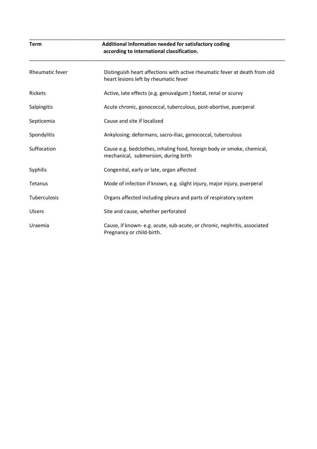| <b>Term</b>     | Additional Information needed for satisfactory coding<br>according to international classification.                 |  |  |  |  |  |
|-----------------|---------------------------------------------------------------------------------------------------------------------|--|--|--|--|--|
| Rheumatic fever | Distinguish heart affections with active rheumatic fever at death from old<br>heart lesions left by rheumatic fever |  |  |  |  |  |
| <b>Rickets</b>  | Active, late effects (e.g. genuvalgum) foetal, renal or scurvy                                                      |  |  |  |  |  |
| Salpingitis     | Acute chronic, gonococcal, tuberculous, post-abortive, puerperal                                                    |  |  |  |  |  |
| Septicemia      | Cause and site if localized                                                                                         |  |  |  |  |  |
| Spondylitis     | Ankylosing; deformans, sacro-iliac, genococcal, tuberculous                                                         |  |  |  |  |  |
| Suffocation     | Cause e.g. bedclothes, inhaling food, foreign body or smoke, chemical,<br>mechanical, submersion, during birth      |  |  |  |  |  |
| Syphilis        | Congenital, early or late, organ affected                                                                           |  |  |  |  |  |
| Tetanus         | Mode of infection if known, e.g. slight injury, major injury, puerperal                                             |  |  |  |  |  |
| Tuberculosis    | Organs affected including pleura and parts of respiratory system                                                    |  |  |  |  |  |
| Ulcers          | Site and cause, whether perforated                                                                                  |  |  |  |  |  |
| Uraemia         | Cause, if known-e.g. acute, sub-acute, or chronic, nephritis, associated<br>Pregnancy or child-birth.               |  |  |  |  |  |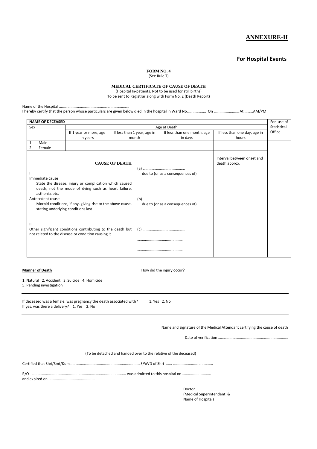#### **ANNEXURE-II**

#### **For Hospital Events**

**FORM NO. 4** 

(See Rule 7)

**MEDICAL CERTIFICATE OF CAUSE OF DEATH** 

(Hospital In-patients. Not to be used for still births)

To be sent to Registrar along with Form No. 2 (Death Report)

Name of the Hospital ……………………………………………………………….

I hereby certify that the person whose particulars are given below died in the hospital in Ward No……………….. On …………………….. At ………AM/PM

| <b>NAME OF DECEASED</b>                                                                                                              |                             |                             |                                  |                              |        |  |  |  |
|--------------------------------------------------------------------------------------------------------------------------------------|-----------------------------|-----------------------------|----------------------------------|------------------------------|--------|--|--|--|
| Sex                                                                                                                                  | Statistical<br>Age at Death |                             |                                  |                              |        |  |  |  |
| If 1 year or more, age                                                                                                               |                             | If less than 1 year, age in | If less than one month, age      | If less than one day, age in | Office |  |  |  |
|                                                                                                                                      | in years                    | month                       | in days                          | hours                        |        |  |  |  |
| Male<br>1.                                                                                                                           |                             |                             |                                  |                              |        |  |  |  |
| 2.<br>Female                                                                                                                         |                             |                             |                                  |                              |        |  |  |  |
| Interval between onset and<br><b>CAUSE OF DEATH</b><br>death approx.                                                                 |                             |                             |                                  |                              |        |  |  |  |
|                                                                                                                                      |                             |                             | due to (or as a consequences of) |                              |        |  |  |  |
| Immediate cause                                                                                                                      |                             |                             |                                  |                              |        |  |  |  |
| State the disease, injury or complication which caused<br>death, not the mode of dying such as heart failure,<br>asthenia, etc.      |                             |                             |                                  |                              |        |  |  |  |
| Antecedent cause                                                                                                                     |                             |                             |                                  |                              |        |  |  |  |
| Morbid conditions, if any, giving rise to the above cause,<br>due to (or as a consequences of)<br>stating underlying conditions last |                             |                             |                                  |                              |        |  |  |  |
| Ш<br>Other significant conditions contributing to the death but<br>(c)<br>not related to the disease or condition causing it         |                             |                             |                                  |                              |        |  |  |  |
|                                                                                                                                      |                             |                             |                                  |                              |        |  |  |  |
|                                                                                                                                      |                             |                             |                                  |                              |        |  |  |  |

**Manner of Death Manner of Death How did the injury occur?** 

1. Natural 2. Accident 3. Suicide 4. Homicide

5. Pending investigation

If deceased was a female, was pregnancy the death associated with? 1. Yes 2. No If yes, was there a delivery? 1. Yes 2. No

Name and signature of the Medical Attendant certifying the cause of death

| (To be detached and handed over to the relative of the deceased) |
|------------------------------------------------------------------|

Certified that Shri/Smt/Kum……………………………………….......................... S/W/D of Shri ...... ……………………………………

R/O ………………………………………………………….............................. was admitted to this hospital on …………………………

and expired on …………………………………………..

Doctor…… (Medical Superintendent & Name of Hospital)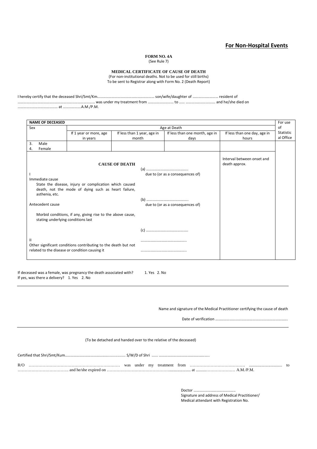#### **For Non-Hospital Events**

#### **FORM NO. 4A**

(See Rule 7)

#### **MEDICAL CERTIFICATE OF CAUSE OF DEATH**

(For non-institutional deaths. Not to be used for still births) To be sent to Registrar along with Form No. 2 (Death Report)

I hereby certify that the deceased Shri/Smt/Km…………………………………………………… son/wife/daughter of ……………………… resident of

……………………………………………………………………… was under my treatment from ……………………… to …… …………………………. and he/she died on

…………………………………… at ……………….A.M./P.M.

| <b>NAME OF DECEASED</b>            |                                                                                                                                                                    |                             |       |                                  |                              | For use   |  |
|------------------------------------|--------------------------------------------------------------------------------------------------------------------------------------------------------------------|-----------------------------|-------|----------------------------------|------------------------------|-----------|--|
| Sex                                | of<br>Age at Death                                                                                                                                                 |                             |       |                                  |                              |           |  |
|                                    | If 1 year or more, age                                                                                                                                             | If less than 1 year, age in |       | If less than one month, age in   | If less than one day, age in | Statistic |  |
|                                    | in years                                                                                                                                                           |                             | month | days                             | hours                        | al Office |  |
| 3.<br>Male                         |                                                                                                                                                                    |                             |       |                                  |                              |           |  |
| Female<br>4.                       |                                                                                                                                                                    |                             |       |                                  |                              |           |  |
| Immediate cause                    | Interval between onset and<br><b>CAUSE OF DEATH</b><br>death approx.<br>due to (or as a consequences of)<br>State the disease, injury or complication which caused |                             |       |                                  |                              |           |  |
| asthenia, etc.<br>Antecedent cause | death, not the mode of dying such as heart failure,                                                                                                                |                             |       | due to (or as a consequences of) |                              |           |  |
| stating underlying conditions last | Morbid conditions, if any, giving rise to the above cause,                                                                                                         |                             |       |                                  |                              |           |  |
|                                    |                                                                                                                                                                    |                             |       |                                  |                              |           |  |
| Ш                                  | Other significant conditions contributing to the death but not                                                                                                     |                             |       |                                  |                              |           |  |
|                                    | related to the disease or condition causing it                                                                                                                     |                             |       |                                  |                              |           |  |

If deceased was a female, was pregnancy the death associated with? 1. Yes 2. No If yes, was there a delivery? 1. Yes 2. No

Name and signature of the Medical Practitioner certifying the cause of death

Date of verification ………………………………………………………………….

#### (To be detached and handed over to the relative of the deceased)

| R/O<br>and he/she expired on | was | under | my | treatment | trom | /P.M<br>at | tΩ |
|------------------------------|-----|-------|----|-----------|------|------------|----|

Doctor …………………………………….. Signature and address of Medical Practitioner/ Medical attendant with Registration No.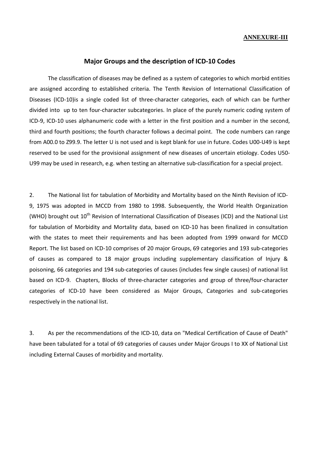#### **ANNEXURE-III**

#### **Major Groups and the description of ICD-10 Codes**

The classification of diseases may be defined as a system of categories to which morbid entities are assigned according to established criteria. The Tenth Revision of International Classification of Diseases (ICD-10)is a single coded list of three-character categories, each of which can be further divided into up to ten four-character subcategories. In place of the purely numeric coding system of ICD-9, ICD-10 uses alphanumeric code with a letter in the first position and a number in the second, third and fourth positions; the fourth character follows a decimal point. The code numbers can range from A00.0 to Z99.9. The letter U is not used and is kept blank for use in future. Codes U00-U49 is kept reserved to be used for the provisional assignment of new diseases of uncertain etiology. Codes U50- U99 may be used in research, e.g. when testing an alternative sub-classification for a special project.

2. The National list for tabulation of Morbidity and Mortality based on the Ninth Revision of ICD-9, 1975 was adopted in MCCD from 1980 to 1998. Subsequently, the World Health Organization (WHO) brought out  $10^{th}$  Revision of International Classification of Diseases (ICD) and the National List for tabulation of Morbidity and Mortality data, based on ICD-10 has been finalized in consultation with the states to meet their requirements and has been adopted from 1999 onward for MCCD Report. The list based on ICD-10 comprises of 20 major Groups, 69 categories and 193 sub-categories of causes as compared to 18 major groups including supplementary classification of Injury & poisoning, 66 categories and 194 sub-categories of causes (includes few single causes) of national list based on ICD-9. Chapters, Blocks of three-character categories and group of three/four-character categories of ICD-10 have been considered as Major Groups, Categories and sub-categories respectively in the national list.

3. As per the recommendations of the ICD-10, data on "Medical Certification of Cause of Death" have been tabulated for a total of 69 categories of causes under Major Groups I to XX of National List including External Causes of morbidity and mortality.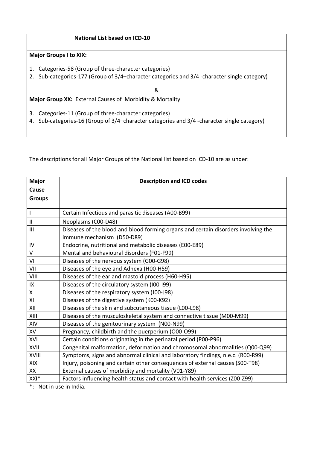### **National List based on ICD-10**

#### **Major Groups I to XIX:**

- 1. Categories-58 (Group of three-character categories)
- 2. Sub-categories-177 (Group of 3/4–character categories and 3/4 -character single category)

&

**Major Group XX:** External Causes of Morbidity & Mortality

3. Categories-11 (Group of three-character categories)

4. Sub-categories-16 (Group of 3/4–character categories and 3/4 -character single category)

The descriptions for all Major Groups of the National list based on ICD-10 are as under:

| <b>Major</b>  | <b>Description and ICD codes</b>                                                   |
|---------------|------------------------------------------------------------------------------------|
| Cause         |                                                                                    |
| <b>Groups</b> |                                                                                    |
|               |                                                                                    |
| $\mathbf{I}$  | Certain Infectious and parasitic diseases (A00-B99)                                |
| $\mathbf{II}$ | Neoplasms (C00-D48)                                                                |
| III           | Diseases of the blood and blood forming organs and certain disorders involving the |
|               | immune mechanism (D50-D89)                                                         |
| ${\sf IV}$    | Endocrine, nutritional and metabolic diseases (E00-E89)                            |
| $\vee$        | Mental and behavioural disorders (F01-F99)                                         |
| VI            | Diseases of the nervous system (G00-G98)                                           |
| VII           | Diseases of the eye and Adnexa (H00-H59)                                           |
| VIII          | Diseases of the ear and mastoid process (H60-H95)                                  |
| IX            | Diseases of the circulatory system (I00-I99)                                       |
| X             | Diseases of the respiratory system (J00-J98)                                       |
| XI            | Diseases of the digestive system (K00-K92)                                         |
| XII           | Diseases of the skin and subcutaneous tissue (L00-L98)                             |
| XIII          | Diseases of the musculoskeletal system and connective tissue (M00-M99)             |
| XIV           | Diseases of the genitourinary system (N00-N99)                                     |
| XV            | Pregnancy, childbirth and the puerperium (O00-O99)                                 |
| XVI           | Certain conditions originating in the perinatal period (P00-P96)                   |
| XVII          | Congenital malformation, deformation and chromosomal abnormalities (Q00-Q99)       |
| XVIII         | Symptoms, signs and abnormal clinical and laboratory findings, n.e.c. (R00-R99)    |
| XIX           | Injury, poisoning and certain other consequences of external causes (S00-T98)      |
| XX            | External causes of morbidity and mortality (V01-Y89)                               |
| XXI*          | Factors influencing health status and contact with health services (Z00-Z99)       |

\*: Not in use in India.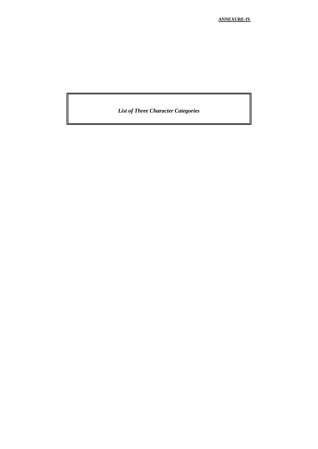*List of Three Character Categories*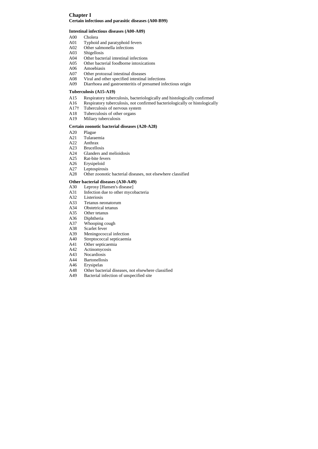# **Chapter I Certain infectious and parasitic diseases (A00-B99)**

#### **Intestinal infectious diseases (A00-A09)**

- A00 Cholera
- A01 Typhoid and paratyphoid fevers
- A02 Other salmonella infections
- A03 Shigellosis
- A04 Other bacterial intestinal infections
- A05 Other bacterial foodborne intoxications
- A06 Amoebiasis
- A07 Other protozoal intestinal diseases
- A08 Viral and other specified intestinal infections
- A09 Diarrhoea and gastroenteritis of presumed infectious origin

# **Tuberculosis (A15-A19)**

- A15 Respiratory tuberculosis, bacteriologically and histologically confirmed
- A16 Respiratory tuberculosis, not confirmed bacteriologically or histologically
- A17† Tuberculosis of nervous system
- A18 Tuberculosis of other organs
- A19 Miliary tuberculosis

# **Certain zoonotic bacterial diseases (A20-A28)**

- A20 Plague
- A21 Tularaemia
- A22 Anthrax
- A23 Brucellosis
- A24 Glanders and melioidosis
- A25 Rat-bite fevers
- A26 Erysipeloid
- A27 Leptospirosis
- A28 Other zoonotic bacterial diseases, not elsewhere classified

#### **Other bacterial diseases (A30-A49)**

- A30 Leprosy [Hansen's disease]
- A31 Infection due to other mycobacteria
- A32 Listeriosis
- A33 Tetanus neonatorum
- A34 Obstetrical tetanus
- A35 Other tetanus
- A36 Diphtheria
- A37 Whooping cough
- A38 Scarlet fever
- A39 Meningococcal infection
- A40 Streptococcal septicaemia
- A41 Other septicaemia
- A42 Actinomycosis
- A43 Nocardiosis
- A44 Bartonellosis
- A46 Erysipelas
- A48 Other bacterial diseases, not elsewhere classified
- A49 Bacterial infection of unspecified site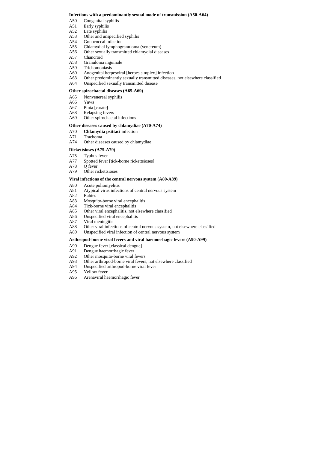### **Infections with a predominantly sexual mode of transmission (A50-A64)**

- A50 Congenital syphilis
- A51 Early syphilis
- A52 Late syphilis
- A53 Other and unspecified syphilis
- A54 Gonococcal infection
- A55 Chlamydial lymphogranuloma (venereum)
- A56 Other sexually transmitted chlamydial diseases
- A57 Chancroid
- A58 Granuloma inguinale
- A59 Trichomoniasis
- A60 Anogenital herpesviral [herpes simplex] infection
- A63 Other predominantly sexually transmitted diseases, not elsewhere classified
- A64 Unspecified sexually transmitted disease

## **Other spirochaetal diseases (A65-A69)**

- A65 Nonvenereal syphilis
- A66 Yaws
- A67 Pinta [carate]
- A68 Relapsing fevers
- A69 Other spirochaetal infections

## Other diseases caused by chlamydiae (A70-A74)

- A70 **Chlamydia psittaci** infection
- A71 Trachoma
- A74 Other diseases caused by chlamydiae

## **Rickettsioses (A75-A79)**

- A75 Typhus fever
- A77 Spotted fever [tick-borne rickettsioses]
- A78 Q fever
- A79 Other rickettsioses

## **Viral infections of the central nervous system (A80-A89)**

- A80 Acute poliomyelitis
- A81 Atypical virus infections of central nervous system
- A82 Rabies
- A83 Mosquito-borne viral encephalitis
- A84 Tick-borne viral encephalitis
- A85 Other viral encephalitis, not elsewhere classified
- A86 Unspecified viral encephalitis
- A87 Viral meningitis
- A88 Other viral infections of central nervous system, not elsewhere classified
- A89 Unspecified viral infection of central nervous system

## **Arthropod-borne viral fevers and viral haemorrhagic fevers (A90-A99)**

- A90 Dengue fever [classical dengue]
- A91 Dengue haemorrhagic fever
- A92 Other mosquito-borne viral fevers
- A93 Other arthropod-borne viral fevers, not elsewhere classified
- A94 Unspecified arthropod-borne viral fever
- A95 Yellow fever
- A96 Arenaviral haemorrhagic fever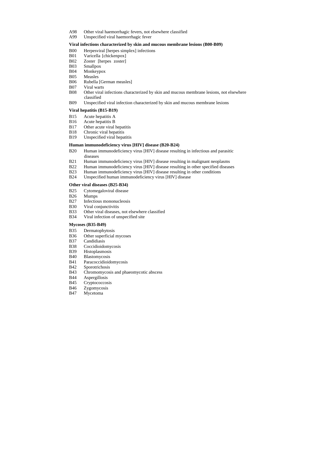- A98 Other viral haemorrhagic fevers, not elsewhere classified
- A99 Unspecified viral haemorrhagic fever

### **Viral infections characterized by skin and mucous membrane lesions (B00-B09)**

- B00 Herpesviral [herpes simplex] infections
- B01 Varicella [chickenpox]
- B02 Zoster [herpes zoster]
- B03 Smallpox
- B04 Monkeypox
- B05 Measles
- B06 Rubella [German measles]
- B07 Viral warts
- B08 Other viral infections characterized by skin and mucous membrane lesions, not elsewhere classified
- B09 Unspecified viral infection characterized by skin and mucous membrane lesions

## **Viral hepatitis (B15-B19)**

- B15 Acute hepatitis A
- B16 Acute hepatitis B
- B17 Other acute viral hepatitis
- B18 Chronic viral hepatitis
- B19 Unspecified viral hepatitis

## **Human immunodeficiency virus [HIV] disease (B20-B24)**

- B20 Human immunodeficiency virus [HIV] disease resulting in infectious and parasitic diseases
- B21 Human immunodeficiency virus [HIV] disease resulting in malignant neoplasms
- B22 Human immunodeficiency virus [HIV] disease resulting in other specified diseases
- B23 Human immunodeficiency virus [HIV] disease resulting in other conditions
- B24 Unspecified human immunodeficiency virus [HIV] disease

## **Other viral diseases (B25-B34)**

- B25 Cytomegaloviral disease
- B26 Mumps
- B27 Infectious mononucleosis
- B30 Viral conjunctivitis
- B33 Other viral diseases, not elsewhere classified
- B34 Viral infection of unspecified site

# **Mycoses (B35-B49)**

- B35 Dermatophytosis
- B36 Other superficial mycoses
- B37 Candidiasis
- B38 Coccidioidomycosis
- B39 Histoplasmosis
- B40 Blastomycosis
- B41 Paracoccidioidomycosis
- B42 Sporotrichosis
- B43 Chromomycosis and phaeomycotic abscess
- B44 Aspergillosis
- B45 Cryptococcosis
- B46 Zygomycosis
- B47 Mycetoma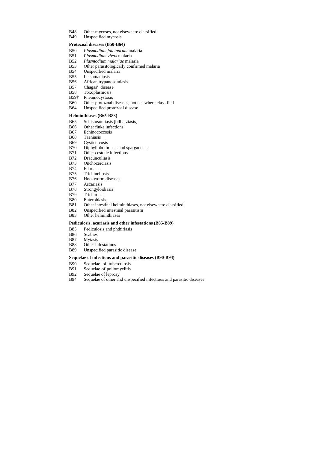- B48 Other mycoses, not elsewhere classified
- B49 Unspecified mycosis

### **Protozoal diseases (B50-B64)**

- B50 *Plasmodium falciparum* malaria
- B51 *Plasmodium vivax* malaria
- B52 *Plasmodium malariae* malaria
- B53 Other parasitologically confirmed malaria
- B54 Unspecified malaria
- B55 Leishmaniasis
- B56 African trypanosomiasis
- B57 Chagas' disease
- B58 Toxoplasmosis
- B59† Pneumocystosis
- B60 Other protozoal diseases, not elsewhere classified
- B64 Unspecified protozoal disease

### **Helminthiases (B65-B83)**

- B65 Schistosomiasis [bilharziasis]
- B66 Other fluke infections
- B67 Echinococcosis
- B68 Taeniasis
- B69 Cysticercosis
- B70 Diphyllobothriasis and sparganosis
- B71 Other cestode infections
- B72 Dracunculiasis
- B73 Onchocerciasis
- B74 Filariasis
- B75 Trichinellosis
- B76 Hookworm diseases
- B77 Ascariasis
- B78 Strongyloidiasis
- B79 Trichuriasis
- B80 Enterobiasis
- B81 Other intestinal helminthiases, not elsewhere classified
- B82 Unspecified intestinal parasitism
- B83 Other helminthiases

#### **Pediculosis, acariasis and other infestations (B85-B89)**

- B85 Pediculosis and phthiriasis
- B86 Scabies
- B87 Myiasis
- B88 Other infestations
- B89 Unspecified parasitic disease

### **Sequelae of infectious and parasitic diseases (B90-B94)**

- B90 Sequelae of tuberculosis
- B91 Sequelae of poliomyelitis
- B92 Sequelae of leprosy
- B94 Sequelae of other and unspecified infectious and parasitic diseases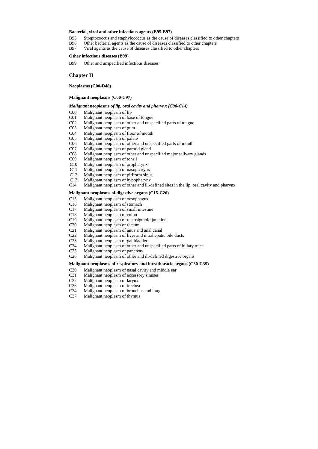### **Bacterial, viral and other infectious agents (B95-B97)**

- B95 Streptococcus and staphylococcus as the cause of diseases classified to other chapters
- B96 Other bacterial agents as the cause of diseases classified to other chapters
- B97 Viral agents as the cause of diseases classified to other chapters

#### **Other infectious diseases (B99)**

B99 Other and unspecified infectious diseases

# **Chapter II**

**Neoplasms (C00-D48)**

### **Malignant neoplasms (C00-C97)**

## *Malignant neoplasms of lip, oral cavity and pharynx (C00-C14)*

- C00 Malignant neoplasm of lip
- C01 Malignant neoplasm of base of tongue
- C02 Malignant neoplasm of other and unspecified parts of tongue
- C03 Malignant neoplasm of gum
- C04 Malignant neoplasm of floor of mouth
- C05 Malignant neoplasm of palate
- C06 Malignant neoplasm of other and unspecified parts of mouth
- C07 Malignant neoplasm of parotid gland
- C08 Malignant neoplasm of other and unspecified major salivary glands
- C09 Malignant neoplasm of tonsil
- C10 Malignant neoplasm of oropharynx
- C11 Malignant neoplasm of nasopharynx
- C12 Malignant neoplasm of piriform sinus
- C13 Malignant neoplasm of hypopharynx
- C14 Malignant neoplasm of other and ill-defined sites in the lip, oral cavity and pharynx

#### **Malignant neoplasms of digestive organs (C15-C26)**

- C15 Malignant neoplasm of oesophagus
- C16 Malignant neoplasm of stomach
- C17 Malignant neoplasm of small intestine
- C18 Malignant neoplasm of colon
- C19 Malignant neoplasm of rectosigmoid junction
- C20 Malignant neoplasm of rectum
- C21 Malignant neoplasm of anus and anal canal
- C22 Malignant neoplasm of liver and intrahepatic bile ducts
- C23 Malignant neoplasm of gallbladder
- C24 Malignant neoplasm of other and unspecified parts of biliary tract
- C25 Malignant neoplasm of pancreas
- C26 Malignant neoplasm of other and ill-defined digestive organs

#### **Malignant neoplasms of respiratory and intrathoracic organs (C30-C39)**

- C30 Malignant neoplasm of nasal cavity and middle ear
- C31 Malignant neoplasm of accessory sinuses
- C32 Malignant neoplasm of larynx
- C33 Malignant neoplasm of trachea
- C34 Malignant neoplasm of bronchus and lung
- C37 Malignant neoplasm of thymus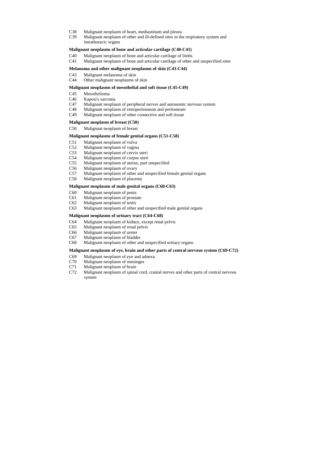- C38 Malignant neoplasm of heart, mediastinum and pleura
- C39 Malignant neoplasm of other and ill-defined sites in the respiratory system and intrathoracic organs

#### **Malignant neoplasms of bone and articular cartilage (C40-C41)**

- C40 Malignant neoplasm of bone and articular cartilage of limbs
- C41 Malignant neoplasm of bone and articular cartilage of other and unspecified sites

#### **Melanoma and other malignant neoplasms of skin (C43-C44)**

- C43 Malignant melanoma of skin
- C44 Other malignant neoplasms of skin

#### **Malignant neoplasms of mesothelial and soft tissue (C45-C49)**

- C45 Mesothelioma
- C46 Kaposi's sarcoma
- C47 Malignant neoplasm of peripheral nerves and autonomic nervous system
- C48 Malignant neoplasm of retroperitoneum and peritoneum
- C49 Malignant neoplasm of other connective and soft tissue

### **Malignant neoplasm of breast (C50)**

C50 Malignant neoplasm of breast

#### **Malignant neoplasms of female genital organs (C51-C58)**

- C51 Malignant neoplasm of vulva
- C52 Malignant neoplasm of vagina
- C53 Malignant neoplasm of cervix uteri
- C54 Malignant neoplasm of corpus uteri
- C55 Malignant neoplasm of uterus, part unspecified
- C56 Malignant neoplasm of ovary
- C57 Malignant neoplasm of other and unspecified female genital organs
- C58 Malignant neoplasm of placenta

#### **Malignant neoplasms of male genital organs (C60-C63)**

- C60 Malignant neoplasm of penis
- C61 Malignant neoplasm of prostate
- C62 Malignant neoplasm of testis
- C63 Malignant neoplasm of other and unspecified male genital organs

#### **Malignant neoplasms of urinary tract (C64-C68)**

- C64 Malignant neoplasm of kidney, except renal pelvis
- C65 Malignant neoplasm of renal pelvis
- C66 Malignant neoplasm of ureter
- C67 Malignant neoplasm of bladder
- C68 Malignant neoplasm of other and unspecified urinary organs

#### **Malignant neoplasms of eye, brain and other parts of central nervous system (C69-C72)**

- C69 Malignant neoplasm of eye and adnexa
- C70 Malignant neoplasm of meninges
- C71 Malignant neoplasm of brain
- C72 Malignant neoplasm of spinal cord, cranial nerves and other parts of central nervous system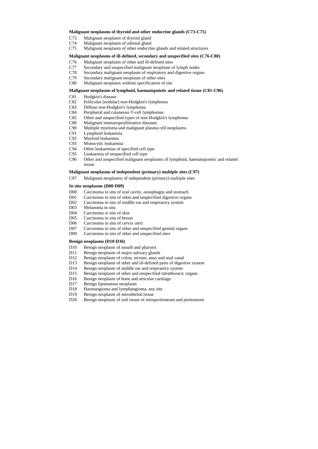#### **Malignant neoplasms of thyroid and other endocrine glands (C73-C75)**

- C73 Malignant neoplasm of thyroid gland
- C74 Malignant neoplasm of adrenal gland
- C75 Malignant neoplasm of other endocrine glands and related structures

#### **Malignant neoplasms of ill-defined, secondary and unspecified sites (C76-C80)**

- C76 Malignant neoplasm of other and ill-defined sites
- C77 Secondary and unspecified malignant neoplasm of lymph nodes
- C78 Secondary malignant neoplasm of respiratory and digestive organs
- C79 Secondary malignant neoplasm of other sites
- C80 Malignant neoplasm without specification of site

### **Malignant neoplasms of lymphoid, haematopoietic and related tissue (C81-C96)**

- C81 Hodgkin's disease
- C82 Follicular [nodular] non-Hodgkin's lymphoma
- C83 Diffuse non-Hodgkin's lymphoma
- C84 Peripheral and cutaneous T-cell lymphomas
- C85 Other and unspecified types of non-Hodgkin's lymphoma
- C88 Malignant immunoproliferative diseases
- C90 Multiple myeloma and malignant plasma cell neoplasms
- C91 Lymphoid leukaemia
- C92 Myeloid leukaemia
- C93 Monocytic leukaemia
- C94 Other leukaemias of specified cell type
- C95 Leukaemia of unspecified cell type
- C96 Other and unspecified malignant neoplasms of lymphoid, haematopoietic and related tissue

#### **Malignant neoplasms of independent (primary) multiple sites (C97)**

C97 Malignant neoplasms of independent (primary) multiple sites

### **In situ neoplasms (D00-D09)**

- D00 Carcinoma in situ of oral cavity, oesophagus and stomach
- D01 Carcinoma in situ of other and unspecified digestive organs
- D02 Carcinoma in situ of middle ear and respiratory system
- D03 Melanoma in situ
- D04 Carcinoma in situ of skin
- D05 Carcinoma in situ of breast
- D06 Carcinoma in situ of cervix uteri
- D07 Carcinoma in situ of other and unspecified genital organs
- D09 Carcinoma in situ of other and unspecified sites

#### **Benign neoplasms (D10-D36)**

- D10 Benign neoplasm of mouth and pharynx
- D11 Benign neoplasm of major salivary glands
- D12 Benign neoplasm of colon, rectum, anus and anal canal
- D13 Benign neoplasm of other and ill-defined parts of digestive system
- D14 Benign neoplasm of middle ear and respiratory system
- D15 Benign neoplasm of other and unspecified intrathoracic organs
- D16 Benign neoplasm of bone and articular cartilage
- D17 Benign lipomatous neoplasm
- D18 Haemangioma and lymphangioma, any site
- D19 Benign neoplasm of mesothelial tissue
- D20 Benign neoplasm of soft tissue of retroperitoneum and peritoneum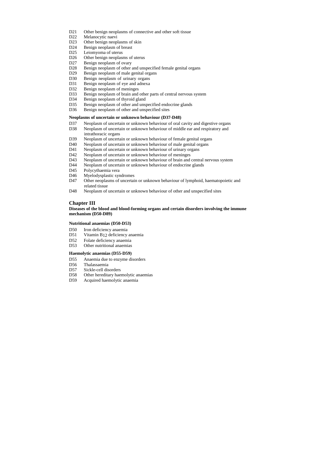- D21 Other benign neoplasms of connective and other soft tissue
- D22 Melanocytic naevi
- D23 Other benign neoplasms of skin
- D24 Benign neoplasm of breast
- D25 Leiomyoma of uterus
- D26 Other benign neoplasms of uterus
- D27 Benign neoplasm of ovary
- D28 Benign neoplasm of other and unspecified female genital organs
- D29 Benign neoplasm of male genital organs
- D30 Benign neoplasm of urinary organs
- D31 Benign neoplasm of eye and adnexa
- D32 Benign neoplasm of meninges
- D33 Benign neoplasm of brain and other parts of central nervous system
- D34 Benign neoplasm of thyroid gland
- D35 Benign neoplasm of other and unspecified endocrine glands
- D36 Benign neoplasm of other and unspecified sites

## **Neoplasms of uncertain or unknown behaviour (D37-D48)**

- D50 Iron deficiency anaemia
- D51 Vitamin B12 deficiency anaemia
- D52 Folate deficiency anaemia
- D53 Other nutritional anaemias
- **Haemolytic anaemias (D55-D59)**
- D55 Anaemia due to enzyme disorders
- D56 Thalassaemia
- D57 Sickle-cell disorders
- D58 Other hereditary haemolytic anaemias
- D59 Acquired haemolytic anaemia

- D37 Neoplasm of uncertain or unknown behaviour of oral cavity and digestive organs
- D38 Neoplasm of uncertain or unknown behaviour of middle ear and respiratory and intrathoracic organs
- D39 Neoplasm of uncertain or unknown behaviour of female genital organs
- D40 Neoplasm of uncertain or unknown behaviour of male genital organs
- D41 Neoplasm of uncertain or unknown behaviour of urinary organs
- D42 Neoplasm of uncertain or unknown behaviour of meninges
- D43 Neoplasm of uncertain or unknown behaviour of brain and central nervous system
- D44 Neoplasm of uncertain or unknown behaviour of endocrine glands
- D45 Polycythaemia vera
- D46 Myelodysplastic syndromes
- D47 Other neoplasms of uncertain or unknown behaviour of lymphoid, haematopoietic and related tissue
- D48 Neoplasm of uncertain or unknown behaviour of other and unspecified sites

# **Chapter III**

## **Diseases of the blood and blood-forming organs and certain disorders involving the immune mechanism (D50-D89)**

## **Nutritional anaemias (D50-D53)**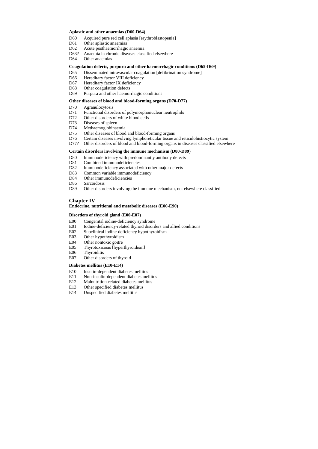- D60 Acquired pure red cell aplasia [erythroblastopenia]
- D61 Other aplastic anaemias
- D62 Acute posthaemorrhagic anaemia
- D63? Anaemia in chronic diseases classified elsewhere
- D64 Other anaemias

#### **Aplastic and other anaemias (D60-D64)**

#### **Coagulation defects, purpura and other haemorrhagic conditions (D65-D69)**

- D65 Disseminated intravascular coagulation [defibrination syndrome]
- D66 Hereditary factor VIII deficiency
- D67 Hereditary factor IX deficiency
- D68 Other coagulation defects
- D69 Purpura and other haemorrhagic conditions

#### **Other diseases of blood and blood-forming organs (D70-D77)**

- D80 Immunodeficiency with predominantly antibody defects
- D81 Combined immunodeficiencies
- D82 Immunodeficiency associated with other major defects
- D83 Common variable immunodeficiency
- D84 Other immunodeficiencies
- D86 Sarcoidosis
- D89 Other disorders involving the immune mechanism, not elsewhere classified
- D70 Agranulocytosis
- D71 Functional disorders of polymorphonuclear neutrophils
- D72 Other disorders of white blood cells
- D73 Diseases of spleen
- D74 Methaemoglobinaemia
- D75 Other diseases of blood and blood-forming organs
- D76 Certain diseases involving lymphoreticular tissue and reticulohistiocytic system
- D77? Other disorders of blood and blood-forming organs in diseases classified elsewhere

#### **Certain disorders involving the immune mechanism (D80-D89)**

#### **Chapter IV**

#### **Endocrine, nutritional and metabolic diseases (E00-E90)**

#### **Disorders of thyroid gland (E00-E07)**

- E00 Congenital iodine-deficiency syndrome
- E01 Iodine-deficiency-related thyroid disorders and allied conditions
- E02 Subclinical iodine-deficiency hypothyroidism
- E03 Other hypothyroidism
- E04 Other nontoxic goitre
- E05 Thyrotoxicosis [hyperthyroidism]
- E06 Thyroiditis
- E07 Other disorders of thyroid

#### **Diabetes mellitus (E10-E14)**

- E10 Insulin-dependent diabetes mellitus
- E11 Non-insulin-dependent diabetes mellitus
- E12 Malnutrition-related diabetes mellitus
- E13 Other specified diabetes mellitus
- E14 Unspecified diabetes mellitus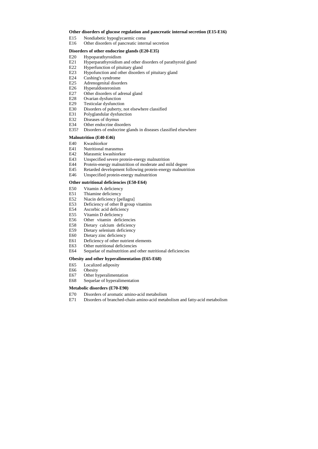#### **Other disorders of glucose regulation and pancreatic internal secretion (E15-E16)**

- E15 Nondiabetic hypoglycaemic coma
- E16 Other disorders of pancreatic internal secretion

#### **Disorders of other endocrine glands (E20-E35)**

- E20 Hypoparathyroidism
- E21 Hyperparathyroidism and other disorders of parathyroid gland
- E22 Hyperfunction of pituitary gland
- E23 Hypofunction and other disorders of pituitary gland
- E24 Cushing's syndrome
- E25 Adrenogenital disorders
- E26 Hyperaldosteronism
- E27 Other disorders of adrenal gland
- E28 Ovarian dysfunction
- E29 Testicular dysfunction
- E30 Disorders of puberty, not elsewhere classified
- E31 Polyglandular dysfunction
- E32 Diseases of thymus
- E34 Other endocrine disorders
- E35? Disorders of endocrine glands in diseases classified elsewhere

### **Malnutrition (E40-E46)**

- E40 Kwashiorkor
- E41 Nutritional marasmus
- E42 Marasmic kwashiorkor
- E43 Unspecified severe protein-energy malnutrition
- E44 Protein-energy malnutrition of moderate and mild degree
- E45 Retarded development following protein-energy malnutrition
- E46 Unspecified protein-energy malnutrition

#### **Other nutritional deficiencies (E50-E64)**

- E50 Vitamin A deficiency
- E51 Thiamine deficiency
- E52 Niacin deficiency [pellagra]
- E53 Deficiency of other B group vitamins
- E54 Ascorbic acid deficiency
- E55 Vitamin D deficiency
- E56 Other vitamin deficiencies
- E58 Dietary calcium deficiency
- E59 Dietary selenium deficiency
- E60 Dietary zinc deficiency
- E61 Deficiency of other nutrient elements
- E63 Other nutritional deficiencies
- E64 Sequelae of malnutrition and other nutritional deficiencies

#### **Obesity and other hyperalimentation (E65-E68)**

- E65 Localized adiposity
- E66 Obesity
- E67 Other hyperalimentation
- E68 Sequelae of hyperalimentation

#### **Metabolic disorders (E70-E90)**

- E70 Disorders of aromatic amino-acid metabolism
- E71 Disorders of branched-chain amino-acid metabolism and fatty-acid metabolism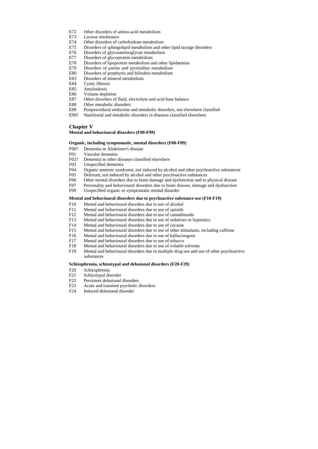- E72 Other disorders of amino-acid metabolism
- E73 Lactose intolerance
- E74 Other disorders of carbohydrate metabolism
- E75 Disorders of sphingolipid metabolism and other lipid storage disorders
- E76 Disorders of glycosaminoglycan metabolism
- E77 Disorders of glycoprotein metabolism
- E78 Disorders of lipoprotein metabolism and other lipidaemias
- E79 Disorders of purine and pyrimidine metabolism
- E80 Disorders of porphyrin and bilirubin metabolism
- E83 Disorders of mineral metabolism
- E84 Cystic fibrosis
- E85 Amyloidosis
- E86 Volume depletion
- E87 Other disorders of fluid, electrolyte and acid-base balance
- E88 Other metabolic disorders
- E89 Postprocedural endocrine and metabolic disorders, not elsewhere classified
- E90? Nutritional and metabolic disorders in diseases classified elsewhere

## **Chapter V**

### **Mental and behavioural disorders (F00-F99)**

### **Organic, including symptomatic, mental disorders (F00-F09)**

- F00? Dementia in Alzheimer's disease
- F01 Vascular dementia
- F02? Dementia in other diseases classified elsewhere
- F03 Unspecified dementia
- F04 Organic amnesic syndrome, not induced by alcohol and other psychoactive substances
- F05 Delirium, not induced by alcohol and other psychoactive substances
- F06 Other mental disorders due to brain damage and dysfunction and to physical disease
- F07 Personality and behavioural disorders due to brain disease, damage and dysfunction
- F09 Unspecified organic or symptomatic mental disorder

#### **Mental and behavioural disorders due to psychoactive substance use (F10-F19)**

- F10 Mental and behavioural disorders due to use of alcohol
- F11 Mental and behavioural disorders due to use of opioids
- F12 Mental and behavioural disorders due to use of cannabinoids
- F13 Mental and behavioural disorders due to use of sedatives or hypnotics
- F14 Mental and behavioural disorders due to use of cocaine
- F15 Mental and behavioural disorders due to use of other stimulants, including caffeine
- F16 Mental and behavioural disorders due to use of hallucinogens
- F17 Mental and behavioural disorders due to use of tobacco
- F18 Mental and behavioural disorders due to use of volatile solvents
- F19 Mental and behavioural disorders due to multiple drug use and use of other psychoactive substances

#### **Schizophrenia, schizotypal and delusional disorders (F20-F29)**

- F20 Schizophrenia
- F21 Schizotypal disorder
- F22 Persistent delusional disorders
- F23 Acute and transient psychotic disorders
- F24 Induced delusional disorder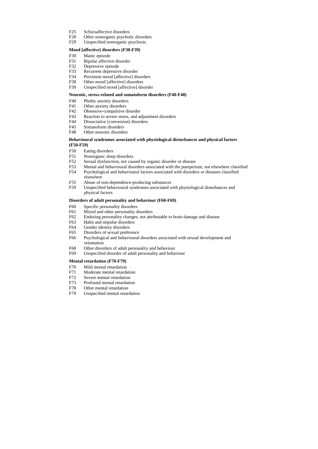- F25 Schizoaffective disorders
- F28 Other nonorganic psychotic disorders
- F29 Unspecified nonorganic psychosis

#### **Mood [affective] disorders (F30-F39)**

- F30 Manic episode
- F31 Bipolar affective disorder
- F32 Depressive episode
- F33 Recurrent depressive disorder
- F34 Persistent mood [affective] disorders
- F38 Other mood [affective] disorders
- F39 Unspecified mood [affective] disorder

### **Neurotic, stress-related and somatoform disorders (F40-F48)**

- F40 Phobic anxiety disorders
- F41 Other anxiety disorders
- F42 Obsessive-compulsive disorder
- F43 Reaction to severe stress, and adjustment disorders
- F44 Dissociative [conversion] disorders
- F45 Somatoform disorders
- F48 Other neurotic disorders

### **Behavioural syndromes associated with physiological disturbances and physical factors (F50-F59)**

- F50 Eating disorders
- F51 Nonorganic sleep disorders
- F52 Sexual dysfunction, not caused by organic disorder or disease
- F53 Mental and behavioural disorders associated with the puerperium, not elsewhere classified
- F54 Psychological and behavioural factors associated with disorders or diseases classified elsewhere
- F55 Abuse of non-dependence-producing substances
- F59 Unspecified behavioural syndromes associated with physiological disturbances and physical factors

### **Disorders of adult personality and behaviour (F60-F69)**

- F60 Specific personality disorders
- F61 Mixed and other personality disorders
- F62 Enduring personality changes, not attributable to brain damage and disease
- F63 Habit and impulse disorders
- F64 Gender identity disorders
- F65 Disorders of sexual preference
- F66 Psychological and behavioural disorders associated with sexual development and orientation
- F68 Other disorders of adult personality and behaviour
- F69 Unspecified disorder of adult personality and behaviour

#### **Mental retardation (F70-F79)**

- F70 Mild mental retardation
- F71 Moderate mental retardation
- F72 Severe mental retardation
- F73 Profound mental retardation
- F78 Other mental retardation
- F79 Unspecified mental retardation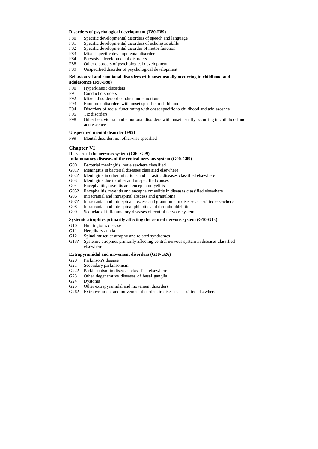#### **Disorders of psychological development (F80-F89)**

- F80 Specific developmental disorders of speech and language
- F81 Specific developmental disorders of scholastic skills
- F82 Specific developmental disorder of motor function
- F83 Mixed specific developmental disorders
- F84 Pervasive developmental disorders
- F88 Other disorders of psychological development
- F89 Unspecified disorder of psychological development

## **Behavioural and emotional disorders with onset usually occurring in childhood and adolescence (F90-F98)**

- F90 Hyperkinetic disorders
- F91 Conduct disorders
- F92 Mixed disorders of conduct and emotions
- F93 Emotional disorders with onset specific to childhood
- F94 Disorders of social functioning with onset specific to childhood and adolescence
- F95 Tic disorders
- F98 Other behavioural and emotional disorders with onset usually occurring in childhood and adolescence

## **Unspecified mental disorder (F99)**

F99 Mental disorder, not otherwise specified

# **Chapter VI**

# **Diseases of the nervous system (G00-G99)**

# **Inflammatory diseases of the central nervous system (G00-G09)**

- G00 Bacterial meningitis, not elsewhere classified
- G01? Meningitis in bacterial diseases classified elsewhere
- G02? Meningitis in other infectious and parasitic diseases classified elsewhere
- G03 Meningitis due to other and unspecified causes
- G04 Encephalitis, myelitis and encephalomyelitis
- G05? Encephalitis, myelitis and encephalomyelitis in diseases classified elsewhere
- G06 Intracranial and intraspinal abscess and granuloma
- G07? Intracranial and intraspinal abscess and granuloma in diseases classified elsewhere
- G08 Intracranial and intraspinal phlebitis and thrombophlebitis
- G09 Sequelae of inflammatory diseases of central nervous system

## **Systemic atrophies primarily affecting the central nervous system (G10-G13)**

- G10 Huntington's disease
- G11 Hereditary ataxia
- G12 Spinal muscular atrophy and related syndromes
- G13? Systemic atrophies primarily affecting central nervous system in diseases classified elsewhere

## **Extrapyramidal and movement disorders (G20-G26)**

- G20 Parkinson's disease
- G21 Secondary parkinsonism
- G22? Parkinsonism in diseases classified elsewhere
- G23 Other degenerative diseases of basal ganglia
- G24 Dystonia
- G25 Other extrapyramidal and movement disorders
- G26? Extrapyramidal and movement disorders in diseases classified elsewhere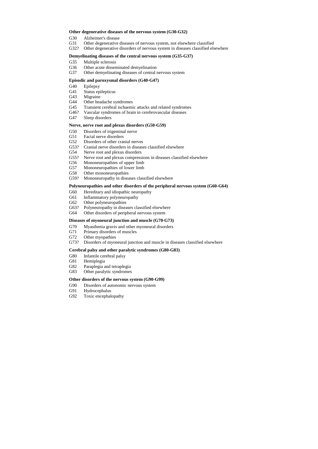#### **Other degenerative diseases of the nervous system (G30-G32)**

- G30 Alzheimer's disease
- G31 Other degenerative diseases of nervous system, not elsewhere classified
- G32? Other degenerative disorders of nervous system in diseases classified elsewhere

### **Demyelinating diseases of the central nervous system (G35-G37)**

- G35 Multiple sclerosis
- G36 Other acute disseminated demyelination
- G37 Other demyelinating diseases of central nervous system

#### **Episodic and paroxysmal disorders (G40-G47)**

- G40 Epilepsy
- G41 Status epilepticus
- G43 Migraine
- G44 Other headache syndromes
- G45 Transient cerebral ischaemic attacks and related syndromes
- G46? Vascular syndromes of brain in cerebrovascular diseases
- G47 Sleep disorders

### **Nerve, nerve root and plexus disorders (G50-G59)**

- G50 Disorders of trigeminal nerve
- G51 Facial nerve disorders
- G52 Disorders of other cranial nerves
- G53? Cranial nerve disorders in diseases classified elsewhere
- G54 Nerve root and plexus disorders
- G55? Nerve root and plexus compressions in diseases classified elsewhere
- G56 Mononeuropathies of upper limb
- G57 Mononeuropathies of lower limb
- G58 Other mononeuropathies
- G59? Mononeuropathy in diseases classified elsewhere

#### **Polyneuropathies and other disorders of the peripheral nervous system (G60-G64)**

- G60 Hereditary and idiopathic neuropathy
- G61 Inflammatory polyneuropathy
- G62 Other polyneuropathies
- G63? Polyneuropathy in diseases classified elsewhere
- G64 Other disorders of peripheral nervous system

#### **Diseases of myoneural junction and muscle (G70-G73)**

- G70 Myasthenia gravis and other myoneural disorders
- G71 Primary disorders of muscles
- G72 Other myopathies
- G73? Disorders of myoneural junction and muscle in diseases classified elsewhere

#### **Cerebral palsy and other paralytic syndromes (G80-G83)**

- G80 Infantile cerebral palsy
- G81 Hemiplegia
- G82 Paraplegia and tetraplegia
- G83 Other paralytic syndromes

#### **Other disorders of the nervous system (G90-G99)**

- G90 Disorders of autonomic nervous system
- G91 Hydrocephalus
- G92 Toxic encephalopathy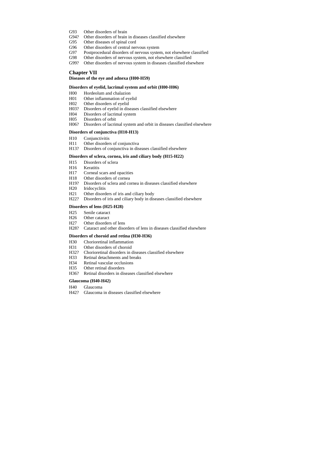- G93 Other disorders of brain
- G94? Other disorders of brain in diseases classified elsewhere
- G95 Other diseases of spinal cord
- G96 Other disorders of central nervous system
- G97 Postprocedural disorders of nervous system, not elsewhere classified
- G98 Other disorders of nervous system, not elsewhere classified
- G99? Other disorders of nervous system in diseases classified elsewhere

# **Chapter VII**

#### **Diseases of the eye and adnexa (H00-H59)**

### **Disorders of eyelid, lacrimal system and orbit (H00-H06)**

- H00 Hordeolum and chalazion
- H01 Other inflammation of eyelid
- H02 Other disorders of eyelid
- H03? Disorders of eyelid in diseases classified elsewhere
- H04 Disorders of lacrimal system
- H05 Disorders of orbit
- H06? Disorders of lacrimal system and orbit in diseases classified elsewhere

### **Disorders of conjunctiva (H10-H13)**

- H10 Conjunctivitis
- H11 Other disorders of conjunctiva
- H13? Disorders of conjunctiva in diseases classified elsewhere

## **Disorders of sclera, cornea, iris and ciliary body (H15-H22)**

- H15 Disorders of sclera
- H16 Keratitis
- H17 Corneal scars and opacities
- H18 Other disorders of cornea
- H19? Disorders of sclera and cornea in diseases classified elsewhere
- H20 Iridocyclitis
- H21 Other disorders of iris and ciliary body
- H22? Disorders of iris and ciliary body in diseases classified elsewhere

#### **Disorders of lens (H25-H28)**

- H25 Senile cataract
- H26 Other cataract
- H27 Other disorders of lens
- H28? Cataract and other disorders of lens in diseases classified elsewhere

## **Disorders of choroid and retina (H30-H36)**

- H30 Chorioretinal inflammation
- H31 Other disorders of choroid
- H32? Chorioretinal disorders in diseases classified elsewhere
- H33 Retinal detachments and breaks
- H34 Retinal vascular occlusions
- H35 Other retinal disorders
- H36? Retinal disorders in diseases classified elsewhere

#### **Glaucoma (H40-H42)**

- H40 Glaucoma
- H42? Glaucoma in diseases classified elsewhere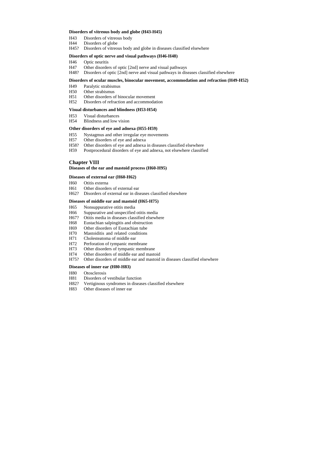#### **Disorders of vitreous body and globe (H43-H45)**

- H43 Disorders of vitreous body
- H44 Disorders of globe
- H45? Disorders of vitreous body and globe in diseases classified elsewhere

#### **Disorders of optic nerve and visual pathways (H46-H48)**

- H46 Optic neuritis
- H47 Other disorders of optic [2nd] nerve and visual pathways
- H48? Disorders of optic [2nd] nerve and visual pathways in diseases classified elsewhere

#### **Disorders of ocular muscles, binocular movement, accommodation and refraction (H49-H52)**

- H49 Paralytic strabismus
- H50 Other strabismus
- H51 Other disorders of binocular movement
- H52 Disorders of refraction and accommodation

### **Visual disturbances and blindness (H53-H54)**

- H53 Visual disturbances
- H54 Blindness and low vision

#### **Other disorders of eye and adnexa (H55-H59)**

- H55 Nystagmus and other irregular eye movements
- H57 Other disorders of eye and adnexa
- H58? Other disorders of eye and adnexa in diseases classified elsewhere
- H59 Postprocedural disorders of eye and adnexa, not elsewhere classified

## **Chapter VIII**

#### **Diseases of the ear and mastoid process (H60-H95)**

#### **Diseases of external ear (H60-H62)**

- H60 Otitis externa
- H61 Other disorders of external ear
- H62? Disorders of external ear in diseases classified elsewhere

#### **Diseases of middle ear and mastoid (H65-H75)**

- H65 Nonsuppurative otitis media
- H66 Suppurative and unspecified otitis media
- H67? Otitis media in diseases classified elsewhere
- H68 Eustachian salpingitis and obstruction
- H69 Other disorders of Eustachian tube
- H70 Mastoiditis and related conditions
- H71 Cholesteatoma of middle ear
- H72 Perforation of tympanic membrane
- H73 Other disorders of tympanic membrane
- H74 Other disorders of middle ear and mastoid
- H75? Other disorders of middle ear and mastoid in diseases classified elsewhere

#### **Diseases of inner ear (H80-H83)**

- H80 Otosclerosis
- H81 Disorders of vestibular function
- H82? Vertiginous syndromes in diseases classified elsewhere
- H83 Other diseases of inner ear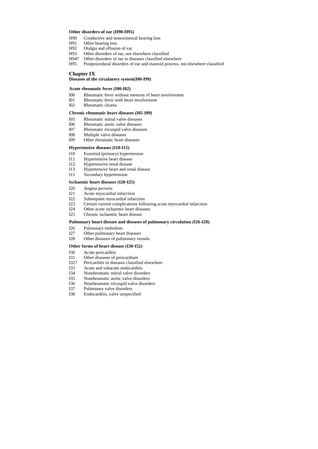### **Other disorders of ear (H90-H95)**

- H90 Conductive and sensorineural hearing loss
- H91 Other hearing loss
- H92 Otalgia and effusion of ear
- H93 Other disorders of ear, not elsewhere classified
- H94? Other disorders of ear in diseases classified elsewhere
- H95 Postprocedural disorders of ear and mastoid process, not elsewhere classified

# **Chapter IX**

## **Diseases of the circulatory system(I00-I99)**

## **Acute rheumatic fever (I00-I02)**

- I00 Rheumatic fever without mention of heart involvement
- I01 Rheumatic fever with heart involvement
- I02 Rheumatic chorea

### **Chronic rheumatic heart diseases (I05-I09)**

- I05 Rheumatic mitral valve diseases
- I06 Rheumatic aortic valve diseases
- I07 Rheumatic tricuspid valve diseases
- I08 Multiple valve diseases
- I09 Other rheumatic heart diseases

### **Hypertensive diseases (I10-I15)**

- I10 Essential (primary) hypertension
- I11 Hypertensive heart disease
- I12 Hypertensive renal disease
- I13 Hypertensive heart and renal disease
- I15 Secondary hypertension

#### **Ischaemic heart diseases (I20-I25)**

- I20 Angina pectoris
- I21 Acute myocardial infarction
- I22 Subsequent myocardial infarction
- I23 Certain current complications following acute myocardial infarction
- I24 Other acute ischaemic heart diseases
- I25 Chronic ischaemic heart disease

#### **Pulmonary heart disease and diseases of pulmonary circulation (I26-I28)**

- I26 Pulmonary embolism
- I27 Other pulmonary heart diseases
- I28 Other diseases of pulmonary vessels

#### **Other forms of heart disease (I30-I52)**

- I30 Acute pericarditis
- I31 Other diseases of pericardium
- I32? Pericarditis in diseases classified elsewhere
- I33 Acute and subacute endocarditis
- I34 Nonrheumatic mitral valve disorders
- I35 Nonrheumatic aortic valve disorders
- I36 Nonrheumatic tricuspid valve disorders
- I37 Pulmonary valve disorders
- I38 Endocarditis, valve unspecified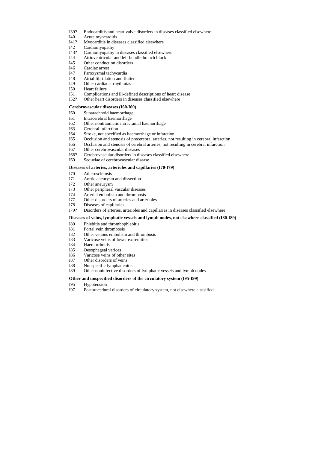- I39? Endocarditis and heart valve disorders in diseases classified elsewhere
- I40 Acute myocarditis
- I41? Myocarditis in diseases classified elsewhere
- I42 Cardiomyopathy
- I43? Cardiomyopathy in diseases classified elsewhere
- I44 Atrioventricular and left bundle-branch block
- I45 Other conduction disorders
- I46 Cardiac arrest
- I47 Paroxysmal tachycardia
- I48 Atrial fibrillation and flutter
- I49 Other cardiac arrhythmias
- I50 Heart failure
- I51 Complications and ill-defined descriptions of heart disease
- I52? Other heart disorders in diseases classified elsewhere

## **Cerebrovascular diseases (I60-I69)**

- I60 Subarachnoid haemorrhage
- I61 Intracerebral haemorrhage
- I62 Other nontraumatic intracranial haemorrhage
- I63 Cerebral infarction
- I64 Stroke, not specified as haemorrhage or infarction
- I65 Occlusion and stenosis of precerebral arteries, not resulting in cerebral infarction
- I66 Occlusion and stenosis of cerebral arteries, not resulting in cerebral infarction
- I67 Other cerebrovascular diseases
- I68? Cerebrovascular disorders in diseases classified elsewhere
- I69 Sequelae of cerebrovascular disease

#### **Diseases of arteries, arterioles and capillaries (I70-I79)**

- I70 Atherosclerosis
- I71 Aortic aneurysm and dissection
- I72 Other aneurysm
- I73 Other peripheral vascular diseases
- I74 Arterial embolism and thrombosis
- I77 Other disorders of arteries and arterioles
- I78 Diseases of capillaries
- I79? Disorders of arteries, arterioles and capillaries in diseases classified elsewhere

### **Diseases of veins, lymphatic vessels and lymph nodes, not elsewhere classified (I80-I89)**

- I80 Phlebitis and thrombophlebitis
- I81 Portal vein thrombosis
- I82 Other venous embolism and thrombosis
- I83 Varicose veins of lower extremities
- I84 Haemorrhoids
- I85 Oesophageal varices
- I86 Varicose veins of other sites
- I87 Other disorders of veins
- I88 Nonspecific lymphadenitis
- I89 Other noninfective disorders of lymphatic vessels and lymph nodes

#### **Other and unspecified disorders of the circulatory system (I95-I99)**

- I95 Hypotension
- I97 Postprocedural disorders of circulatory system, not elsewhere classified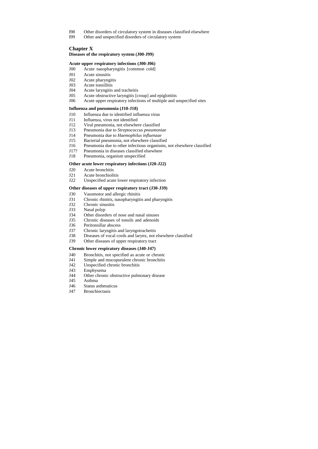- I98 Other disorders of circulatory system in diseases classified elsewhere
- I99 Other and unspecified disorders of circulatory system

# **Chapter X**

### **Diseases of the respiratory system (J00-J99)**

## **Acute upper respiratory infections (J00-J06)**

- J00 Acute nasopharyngitis [common cold]
- J01 Acute sinusitis
- J02 Acute pharyngitis
- J03 Acute tonsillitis
- J04 Acute laryngitis and tracheitis
- J05 Acute obstructive laryngitis [croup] and epiglottitis
- J06 Acute upper respiratory infections of multiple and unspecified sites

#### **Influenza and pneumonia (J10-J18)**

- J10 Influenza due to identified influenza virus
- J11 Influenza, virus not identified
- J12 Viral pneumonia, not elsewhere classified
- J13 Pneumonia due to *Streptococcus pneumoniae*
- J14 Pneumonia due to *Haemophilus influenzae*
- J15 Bacterial pneumonia, not elsewhere classified
- J16 Pneumonia due to other infectious organisms, not elsewhere classified
- J17? Pneumonia in diseases classified elsewhere
- J18 Pneumonia, organism unspecified

#### **Other acute lower respiratory infections (J20-J22)**

- J20 Acute bronchitis
- J21 Acute bronchiolitis
- J22 Unspecified acute lower respiratory infection

### **Other diseases of upper respiratory tract (J30-J39)**

- J30 Vasomotor and allergic rhinitis
- J31 Chronic rhinitis, nasopharyngitis and pharyngitis
- J32 Chronic sinusitis
- J33 Nasal polyp
- J34 Other disorders of nose and nasal sinuses
- J35 Chronic diseases of tonsils and adenoids
- J36 Peritonsillar abscess
- J37 Chronic laryngitis and laryngotracheitis
- J38 Diseases of vocal cords and larynx, not elsewhere classified
- J39 Other diseases of upper respiratory tract

#### **Chronic lower respiratory diseases (J40-J47)**

- J40 Bronchitis, not specified as acute or chronic
- J41 Simple and mucopurulent chronic bronchitis
- J42 Unspecified chronic bronchitis
- J43 Emphysema
- J44 Other chronic obstructive pulmonary disease
- J45 Asthma
- J46 Status asthmaticus
- J47 Bronchiectasis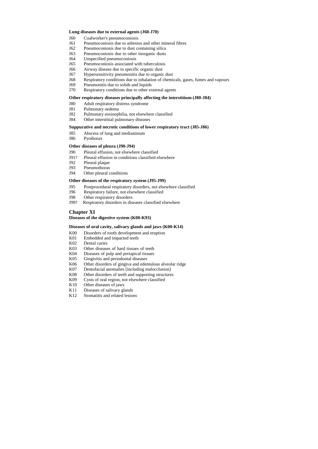#### **Lung diseases due to external agents (J60-J70)**

- J60 Coalworker's pneumoconiosis
- J61 Pneumoconiosis due to asbestos and other mineral fibres
- J62 Pneumoconiosis due to dust containing silica
- J63 Pneumoconiosis due to other inorganic dusts
- J64 Unspecified pneumoconiosis
- J65 Pneumoconiosis associated with tuberculosis
- J66 Airway disease due to specific organic dust
- J67 Hypersensitivity pneumonitis due to organic dust
- J68 Respiratory conditions due to inhalation of chemicals, gases, fumes and vapours
- J69 Pneumonitis due to solids and liquids
- J70 Respiratory conditions due to other external agents

### **Other respiratory diseases principally affecting the interstitium (J80-J84)**

- J80 Adult respiratory distress syndrome
- J81 Pulmonary oedema
- J82 Pulmonary eosinophilia, not elsewhere classified
- J84 Other interstitial pulmonary diseases

- K00 Disorders of tooth development and eruption
- K01 Embedded and impacted teeth
- K02 Dental caries
- K03 Other diseases of hard tissues of teeth
- K04 Diseases of pulp and periapical tissues
- K05 Gingivitis and periodontal diseases
- K06 Other disorders of gingiva and edentulous alveolar ridge
- K07 Dentofacial anomalies [including malocclusion]
- K08 Other disorders of teeth and supporting structures
- K09 Cysts of oral region, not elsewhere classified
- K10 Other diseases of jaws
- K11 Diseases of salivary glands
- K12 Stomatitis and related lesions

### **Suppurative and necrotic conditions of lower respiratory tract (J85-J86)**

- J85 Abscess of lung and mediastinum
- J86 Pyothorax

### **Other diseases of pleura (J90-J94)**

- J90 Pleural effusion, not elsewhere classified
- J91? Pleural effusion in conditions classified elsewhere
- J92 Pleural plaque
- J93 Pneumothorax
- J94 Other pleural conditions

### **Other diseases of the respiratory system (J95-J99)**

- J95 Postprocedural respiratory disorders, not elsewhere classified
- J96 Respiratory failure, not elsewhere classified
- J98 Other respiratory disorders
- J99? Respiratory disorders in diseases classified elsewhere

# **Chapter XI**

**Diseases of the digestive system (K00-K93)**

#### **Diseases of oral cavity, salivary glands and jaws (K00-K14)**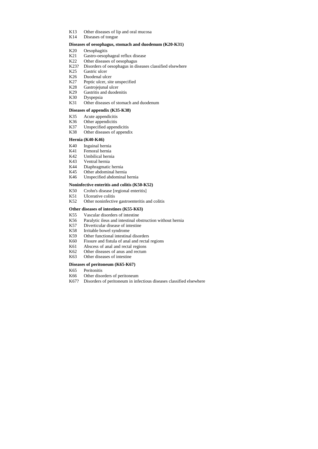- K13 Other diseases of lip and oral mucosa
- K14 Diseases of tongue

## **Diseases of oesophagus, stomach and duodenum (K20-K31)**

- K20 Oesophagitis
- K21 Gastro-oesophageal reflux disease
- K22 Other diseases of oesophagus
- K23? Disorders of oesophagus in diseases classified elsewhere
- K25 Gastric ulcer
- K26 Duodenal ulcer
- K27 Peptic ulcer, site unspecified
- K28 Gastrojejunal ulcer
- K29 Gastritis and duodenitis
- K30 Dyspepsia
- K31 Other diseases of stomach and duodenum

### **Diseases of appendix (K35-K38)**

- K35 Acute appendicitis
- K36 Other appendicitis
- K37 Unspecified appendicitis
- K38 Other diseases of appendix

## **Hernia (K40-K46)**

- K40 Inguinal hernia
- K41 Femoral hernia
- K42 Umbilical hernia
- K43 Ventral hernia
- K44 Diaphragmatic hernia
- K45 Other abdominal hernia
- K46 Unspecified abdominal hernia

#### **Noninfective enteritis and colitis (K50-K52)**

- K50 Crohn's disease [regional enteritis]
- K51 Ulcerative colitis
- K52 Other noninfective gastroenteritis and colitis

#### **Other diseases of intestines (K55-K63)**

- K55 Vascular disorders of intestine
- K56 Paralytic ileus and intestinal obstruction without hernia
- K57 Diverticular disease of intestine
- K58 Irritable bowel syndrome
- K59 Other functional intestinal disorders
- K60 Fissure and fistula of anal and rectal regions
- K61 Abscess of anal and rectal regions
- K62 Other diseases of anus and rectum
- K63 Other diseases of intestine

### **Diseases of peritoneum (K65-K67)**

- K65 Peritonitis
- K66 Other disorders of peritoneum
- K67? Disorders of peritoneum in infectious diseases classified elsewhere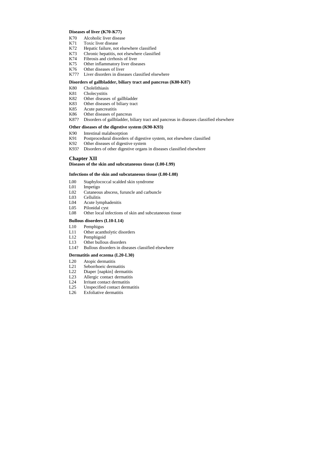#### **Diseases of liver (K70-K77)**

- K70 Alcoholic liver disease
- K71 Toxic liver disease
- K72 Hepatic failure, not elsewhere classified
- K73 Chronic hepatitis, not elsewhere classified
- K74 Fibrosis and cirrhosis of liver
- K75 Other inflammatory liver diseases
- K76 Other diseases of liver
- K77? Liver disorders in diseases classified elsewhere

#### **Disorders of gallbladder, biliary tract and pancreas (K80-K87)**

- K80 Cholelithiasis
- K81 Cholecystitis
- K82 Other diseases of gallbladder
- K83 Other diseases of biliary tract
- K85 Acute pancreatitis
- K86 Other diseases of pancreas
- K87? Disorders of gallbladder, biliary tract and pancreas in diseases classified elsewhere

#### **Other diseases of the digestive system (K90-K93)**

- L20 Atopic dermatitis
- L21 Seborrhoeic dermatitis
- L22 Diaper [napkin] dermatitis
- L23 Allergic contact dermatitis
- L24 Irritant contact dermatitis
- L25 Unspecified contact dermatitis
- L26 Exfoliative dermatitis

- K90 Intestinal malabsorption
- K91 Postprocedural disorders of digestive system, not elsewhere classified
- K92 Other diseases of digestive system
- K93? Disorders of other digestive organs in diseases classified elsewhere

# **Chapter XII**

### **Diseases of the skin and subcutaneous tissue (L00-L99)**

#### **Infections of the skin and subcutaneous tissue (L00-L08)**

- L00 Staphylococcal scalded skin syndrome
- L01 Impetigo
- L02 Cutaneous abscess, furuncle and carbuncle
- L03 Cellulitis
- L04 Acute lymphadenitis
- L05 Pilonidal cyst
- L08 Other local infections of skin and subcutaneous tissue

## **Bullous disorders (L10-L14)**

- L10 Pemphigus
- L11 Other acantholytic disorders
- L12 Pemphigoid
- L13 Other bullous disorders
- L14? Bullous disorders in diseases classified elsewhere

#### **Dermatitis and eczema (L20-L30)**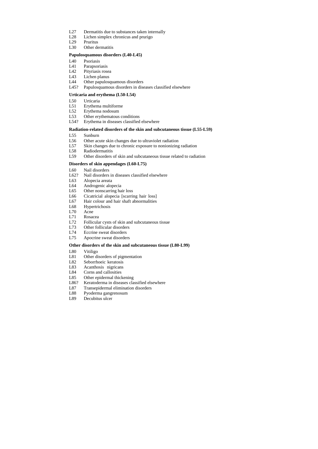- L27 Dermatitis due to substances taken internally
- L28 Lichen simplex chronicus and prurigo
- L29 Pruritus
- L30 Other dermatitis

### **Papulosquamous disorders (L40-L45)**

- L40 Psoriasis
- L41 Parapsoriasis
- L42 Pityriasis rosea
- L43 Lichen planus
- L44 Other papulosquamous disorders
- L45? Papulosquamous disorders in diseases classified elsewhere

### **Urticaria and erythema (L50-L54)**

- L50 Urticaria
- L51 Erythema multiforme
- L52 Erythema nodosum
- L53 Other erythematous conditions
- L54? Erythema in diseases classified elsewhere

### **Radiation-related disorders of the skin and subcutaneous tissue (L55-L59)**

- L55 Sunburn
- L56 Other acute skin changes due to ultraviolet radiation
- L57 Skin changes due to chronic exposure to nonionizing radiation
- L58 Radiodermatitis
- L59 Other disorders of skin and subcutaneous tissue related to radiation

### **Disorders of skin appendages (L60-L75)**

- L60 Nail disorders
- L62? Nail disorders in diseases classified elsewhere
- L63 Alopecia areata
- L64 Androgenic alopecia
- L65 Other nonscarring hair loss
- L66 Cicatricial alopecia [scarring hair loss]
- L67 Hair colour and hair shaft abnormalities
- L68 Hypertrichosis
- L70 Acne
- L71 Rosacea
- L72 Follicular cysts of skin and subcutaneous tissue
- L73 Other follicular disorders
- L74 Eccrine sweat disorders
- L75 Apocrine sweat disorders

#### **Other disorders of the skin and subcutaneous tissue (L80-L99)**

- L80 Vitiligo
- L81 Other disorders of pigmentation
- L82 Seborrhoeic keratosis
- L83 Acanthosis nigricans
- L84 Corns and callosities
- L85 Other epidermal thickening
- L86? Keratoderma in diseases classified elsewhere
- L87 Transepidermal elimination disorders
- L88 Pyoderma gangrenosum
- L89 Decubitus ulcer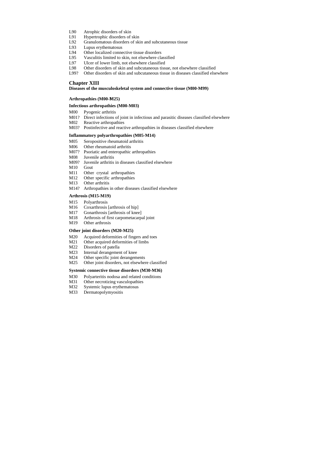- L90 Atrophic disorders of skin
- L91 Hypertrophic disorders of skin
- L92 Granulomatous disorders of skin and subcutaneous tissue
- L93 Lupus erythematosus
- L94 Other localized connective tissue disorders
- L95 Vasculitis limited to skin, not elsewhere classified
- L97 Ulcer of lower limb, not elsewhere classified
- L98 Other disorders of skin and subcutaneous tissue, not elsewhere classified
- L99? Other disorders of skin and subcutaneous tissue in diseases classified elsewhere

## **Chapter XIII**

#### **Diseases of the musculoskeletal system and connective tissue (M00-M99)**

### Arthropathies (M00-M25)

### **Infectious arthropathies (M00-M03)**

- M00 Pyogenic arthritis
- M01? Direct infections of joint in infectious and parasitic diseases classified elsewhere
- M02 Reactive arthropathies
- M03? Postinfective and reactive arthropathies in diseases classified elsewhere

### **Inflammatory polyarthropathies (M05-M14)**

- M05 Seropositive rheumatoid arthritis
- M06 Other rheumatoid arthritis
- M07? Psoriatic and enteropathic arthropathies
- M08 Juvenile arthritis
- M09? Juvenile arthritis in diseases classified elsewhere
- M10 Gout
- M11 Other crystal arthropathies
- M12 Other specific arthropathies
- M13 Other arthritis
- M14? Arthropathies in other diseases classified elsewhere

## **Arthrosis (M15-M19)**

- M15 Polyarthrosis
- M16 Coxarthrosis [arthrosis of hip]
- M17 Gonarthrosis [arthrosis of knee]
- M18 Arthrosis of first carpometacarpal joint
- M19 Other arthrosis

#### **Other joint disorders (M20-M25)**

- M20 Acquired deformities of fingers and toes
- M21 Other acquired deformities of limbs
- M22 Disorders of patella
- M23 Internal derangement of knee
- M24 Other specific joint derangements
- M25 Other joint disorders, not elsewhere classified

## **Systemic connective tissue disorders (M30-M36)**

- M30 Polyarteritis nodosa and related conditions
- M31 Other necrotizing vasculopathies
- M32 Systemic lupus erythematosus
- M33 Dermatopolymyositis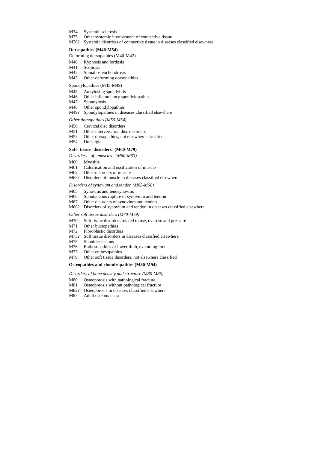- M34 Systemic sclerosis
- M35 Other systemic involvement of connective tissue
- M36? Systemic disorders of connective tissue in diseases classified elsewhere

- M40 Kyphosis and lordosis
- M41 Scoliosis
- M42 Spinal osteochondrosis
- M43 Other deforming dorsopathies

#### **Dorsopathies (M40-M54)**

#### Deforming dorsopathies (M40-M43)

#### Spondylopathies (M45-M49)

- M45 Ankylosing spondylitis
- M46 Other inflammatory spondylopathies
- M47 Spondylosis
- M48 Other spondylopathies
- M49? Spondylopathies in diseases classified elsewhere

- M<sub>60</sub> Myositis
- M61 Calcification and ossification of muscle
- M62 Other disorders of muscle
- M63? Disorders of muscle in diseases classified elsewhere

#### *Other dorsopathies (M50-M54)*

- M50 Cervical disc disorders
- M51 Other intervertebral disc disorders
- M53 Other dorsopathies, not elsewhere classified
- M54 Dorsalgia

## **Soft tissue disorders (M60-M79)**

*Disorders of muscles (M60-M63)* 

#### *Disorders of synovium and tendon (M65-M68)*

- M65 Synovitis and tenosynovitis
- M66 Spontaneous rupture of synovium and tendon
- M67 Other disorders of synovium and tendon
- M68? Disorders of synovium and tendon in diseases classified elsewhere

#### *Other soft tissue disorders (M70-M79)*

- M70 Soft tissue disorders related to use, overuse and pressure
- M71 Other bursopathies
- M72 Fibroblastic disorders
- M73? Soft tissue disorders in diseases classified elsewhere
- M75 Shoulder lesions
- M76 Enthesopathies of lower limb, excluding foot
- M77 Other enthesopathies
- M79 Other soft tissue disorders, not elsewhere classified

#### **Osteopathies and chondropathies (M80-M94)**

#### *Disorders of bone density and structure (M80-M85)*

- M80 Osteoporosis with pathological fracture
- M81 Osteoporosis without pathological fracture
- M82? Osteoporosis in diseases classified elsewhere
- M83 Adult osteomalacia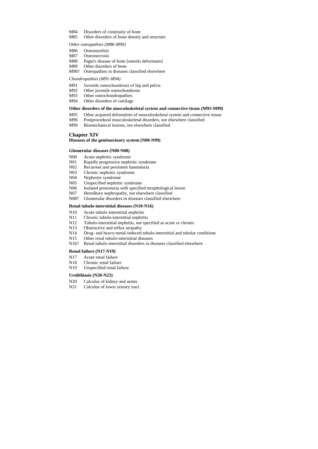- M84 Disorders of continuity of bone
- M85 Other disorders of bone density and structure

## *Other osteopathies (M86-M90)*

- M86 Osteomyelitis
- M87 Osteonecrosis
- M88 Paget's disease of bone [osteitis deformans]
- M89 Other disorders of bone
- M90? Osteopathies in diseases classified elsewhere

- M91 Juvenile osteochondrosis of hip and pelvis
- M92 Other juvenile osteochondrosis
- M93 Other osteochondropathies
- M94 Other disorders of cartilage

### *Chondropathies (M91-M94)*

#### **Other disorders of the musculoskeletal system and connective tissue (M95-M99)**

- M95 Other acquired deformities of musculoskeletal system and connective tissue
- M96 Postprocedural musculoskeletal disorders, not elsewhere classified
- M99 Biomechanical lesions, not elsewhere classified

## **Chapter XIV**

#### **Diseases of the genitourinary system (N00-N99)**

### **Glomerular diseases (N00-N08)**

- N20 Calculus of kidney and ureter
- N21 Calculus of lower urinary tract

- N00 Acute nephritic syndrome
- N01 Rapidly progressive nephritic syndrome
- N02 Recurrent and persistent haematuria
- N03 Chronic nephritic syndrome
- N04 Nephrotic syndrome
- N05 Unspecified nephritic syndrome
- N06 Isolated proteinuria with specified morphological lesion
- N07 Hereditary nephropathy, not elsewhere classified
- N08? Glomerular disorders in diseases classified elsewhere

#### **Renal tubulo-interstitial diseases (N10-N16)**

- N10 Acute tubulo-interstitial nephritis
- N11 Chronic tubulo-interstitial nephritis
- N12 Tubulo-interstitial nephritis, not specified as acute or chronic
- N13 Obstructive and reflux uropathy
- N14 Drug- and heavy-metal-induced tubulo-interstitial and tubular conditions
- N15 Other renal tubulo-interstitial diseases
- N16? Renal tubulo-interstitial disorders in diseases classified elsewhere

#### **Renal failure (N17-N19)**

- N17 Acute renal failure
- N18 Chronic renal failure
- N19 Unspecified renal failure

### **Urolithiasis (N20-N23)**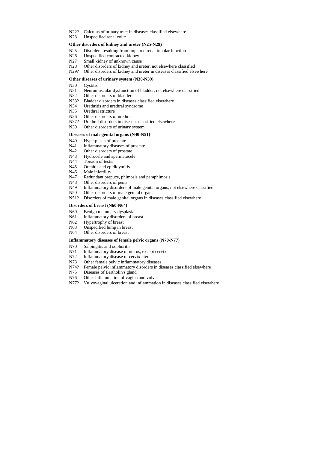- N22? Calculus of urinary tract in diseases classified elsewhere
- N23 Unspecified renal colic

#### **Other disorders of kidney and ureter (N25-N29)**

- N25 Disorders resulting from impaired renal tubular function
- N<sub>26</sub> Unspecified contracted kidney
- N27 Small kidney of unknown cause
- N28 Other disorders of kidney and ureter, not elsewhere classified
- N29? Other disorders of kidney and ureter in diseases classified elsewhere

#### **Other diseases of urinary system (N30-N39)**

- N30 Cystitis
- N31 Neuromuscular dysfunction of bladder, not elsewhere classified
- N32 Other disorders of bladder
- N33? Bladder disorders in diseases classified elsewhere
- N34 Urethritis and urethral syndrome
- N35 Urethral stricture
- N<sub>36</sub> Other disorders of urethra
- N37? Urethral disorders in diseases classified elsewhere
- N39 Other disorders of urinary system

#### **Diseases of male genital organs (N40-N51)**

- N40 Hyperplasia of prostate
- N41 Inflammatory diseases of prostate
- N42 Other disorders of prostate
- N43 Hydrocele and spermatocele
- N<sub>44</sub> Torsion of testis
- N45 Orchitis and epididymitis
- N<sub>46</sub> Male infertility
- N47 Redundant prepuce, phimosis and paraphimosis
- N48 Other disorders of penis
- N49 Inflammatory disorders of male genital organs, not elsewhere classified
- N50 Other disorders of male genital organs
- N51? Disorders of male genital organs in diseases classified elsewhere

#### **Disorders of breast (N60-N64)**

- N60 Benign mammary dysplasia
- N61 Inflammatory disorders of breast
- N62 Hypertrophy of breast
- N63 Unspecified lump in breast
- N64 Other disorders of breast

### **Inflammatory diseases of female pelvic organs (N70-N77)**

- N70 Salpingitis and oophoritis
- N71 Inflammatory disease of uterus, except cervix
- N72 Inflammatory disease of cervix uteri
- N73 Other female pelvic inflammatory diseases
- N74? Female pelvic inflammatory disorders in diseases classified elsewhere
- N75 Diseases of Bartholin's gland
- N76 Other inflammation of vagina and vulva
- N77? Vulvovaginal ulceration and inflammation in diseases classified elsewhere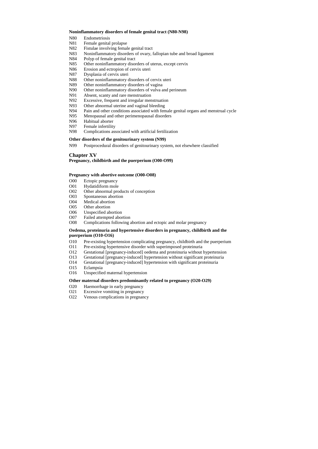#### **Noninflammatory disorders of female genital tract (N80-N98)**

- N80 Endometriosis
- N81 Female genital prolapse
- N82 Fistulae involving female genital tract
- N83 Noninflammatory disorders of ovary, fallopian tube and broad ligament
- N84 Polyp of female genital tract
- N85 Other noninflammatory disorders of uterus, except cervix
- N86 Erosion and ectropion of cervix uteri
- N87 Dysplasia of cervix uteri
- N88 Other noninflammatory disorders of cervix uteri
- N89 Other noninflammatory disorders of vagina
- N90 Other noninflammatory disorders of vulva and perineum
- N91 Absent, scanty and rare menstruation
- N92 Excessive, frequent and irregular menstruation
- N93 Other abnormal uterine and vaginal bleeding
- N94 Pain and other conditions associated with female genital organs and menstrual cycle
- N95 Menopausal and other perimenopausal disorders
- N96 Habitual aborter
- N97 Female infertility
- N98 Complications associated with artificial fertilization

### **Other disorders of the genitourinary system (N99)**

N99 Postprocedural disorders of genitourinary system, not elsewhere classified

# **Chapter XV**

### **Pregnancy, childbirth and the puerperium (O00-O99)**

#### **Pregnancy with abortive outcome (O00-O08)**

- O00 Ectopic pregnancy
- O01 Hydatidiform mole
- O02 Other abnormal products of conception
- O03 Spontaneous abortion
- O04 Medical abortion
- O05 Other abortion
- O06 Unspecified abortion
- O07 Failed attempted abortion
- O08 Complications following abortion and ectopic and molar pregnancy

## **Oedema, proteinuria and hypertensive disorders in pregnancy, childbirth and the puerperium (O10-O16)**

- O10 Pre-existing hypertension complicating pregnancy, childbirth and the puerperium
- O11 Pre-existing hypertensive disorder with superimposed proteinuria
- O12 Gestational [pregnancy-induced] oedema and proteinuria without hypertension
- O13 Gestational [pregnancy-induced] hypertension without significant proteinuria
- O14 Gestational [pregnancy-induced] hypertension with significant proteinuria
- O15 Eclampsia
- O16 Unspecified maternal hypertension

## **Other maternal disorders predominantly related to pregnancy (O20-O29)**

- O20 Haemorrhage in early pregnancy
- O21 Excessive vomiting in pregnancy
- O22 Venous complications in pregnancy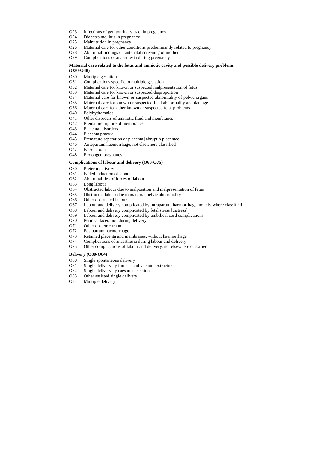- O23 Infections of genitourinary tract in pregnancy
- O24 Diabetes mellitus in pregnancy
- O25 Malnutrition in pregnancy
- O26 Maternal care for other conditions predominantly related to pregnancy
- O28 Abnormal findings on antenatal screening of mother
- O29 Complications of anaesthesia during pregnancy

## **Maternal care related to the fetus and amniotic cavity and possible delivery problems (O30-O48)**

- O30 Multiple gestation
- O31 Complications specific to multiple gestation
- O32 Maternal care for known or suspected malpresentation of fetus
- O33 Maternal care for known or suspected disproportion
- O34 Maternal care for known or suspected abnormality of pelvic organs
- O35 Maternal care for known or suspected fetal abnormality and damage
- O36 Maternal care for other known or suspected fetal problems
- O40 Polyhydramnios
- O41 Other disorders of amniotic fluid and membranes
- O42 Premature rupture of membranes
- O43 Placental disorders
- O44 Placenta praevia
- O45 Premature separation of placenta [abruptio placentae]
- O46 Antepartum haemorrhage, not elsewhere classified
- O47 False labour
- O48 Prolonged pregnancy

### **Complications of labour and delivery (O60-O75)**

- O60 Preterm delivery
- O61 Failed induction of labour
- O62 Abnormalities of forces of labour
- O63 Long labour
- O64 Obstructed labour due to malposition and malpresentation of fetus
- O65 Obstructed labour due to maternal pelvic abnormality
- O66 Other obstructed labour
- O67 Labour and delivery complicated by intrapartum haemorrhage, not elsewhere classified
- O68 Labour and delivery complicated by fetal stress [distress]
- O69 Labour and delivery complicated by umbilical cord complications
- O70 Perineal laceration during delivery
- O71 Other obstetric trauma
- O72 Postpartum haemorrhage
- O73 Retained placenta and membranes, without haemorrhage
- O74 Complications of anaesthesia during labour and delivery
- O75 Other complications of labour and delivery, not elsewhere classified

## **Delivery (O80-O84)**

- O80 Single spontaneous delivery
- O81 Single delivery by forceps and vacuum extractor
- O82 Single delivery by caesarean section
- O83 Other assisted single delivery
- O84 Multiple delivery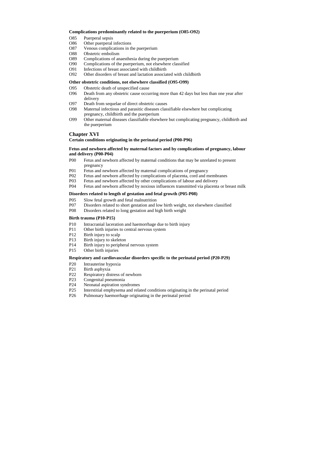### **Complications predominantly related to the puerperium (O85-O92)**

- O85 Puerperal sepsis
- O86 Other puerperal infections
- O87 Venous complications in the puerperium
- O88 Obstetric embolism
- O89 Complications of anaesthesia during the puerperium
- O90 Complications of the puerperium, not elsewhere classified
- O91 Infections of breast associated with childbirth
- O92 Other disorders of breast and lactation associated with childbirth

## **Other obstetric conditions, not elsewhere classified (O95-O99)**

- O95 Obstetric death of unspecified cause
- O96 Death from any obstetric cause occurring more than 42 days but less than one year after delivery
- O97 Death from sequelae of direct obstetric causes
- O98 Maternal infectious and parasitic diseases classifiable elsewhere but complicating pregnancy, childbirth and the puerperium
- O99 Other maternal diseases classifiable elsewhere but complicating pregnancy, childbirth and the puerperium

# **Chapter XVI**

## **Certain conditions originating in the perinatal period (P00-P96)**

- P10 Intracranial laceration and haemorrhage due to birth injury
- P11 Other birth injuries to central nervous system
- P12 Birth injury to scalp
- P13 Birth injury to skeleton
- P14 Birth injury to peripheral nervous system
- P15 Other birth injuries

## **Fetus and newborn affected by maternal factors and by complications of pregnancy, labour and delivery (P00-P04)**

- P20 Intrauterine hypoxia
- P21 Birth asphyxia
- P22 Respiratory distress of newborn
- P23 Congenital pneumonia
- P24 Neonatal aspiration syndromes
- P25 Interstitial emphysema and related conditions originating in the perinatal period
- P26 Pulmonary haemorrhage originating in the perinatal period

- P00 Fetus and newborn affected by maternal conditions that may be unrelated to present pregnancy
- P01 Fetus and newborn affected by maternal complications of pregnancy
- P02 Fetus and newborn affected by complications of placenta, cord and membranes
- P03 Fetus and newborn affected by other complications of labour and delivery
- P04 Fetus and newborn affected by noxious influences transmitted via placenta or breast milk

## **Disorders related to length of gestation and fetal growth (P05-P08)**

- P05 Slow fetal growth and fetal malnutrition
- P07 Disorders related to short gestation and low birth weight, not elsewhere classified
- P08 Disorders related to long gestation and high birth weight

## **Birth trauma (P10-P15)**

## **Respiratory and cardiovascular disorders specific to the perinatal period (P20-P29)**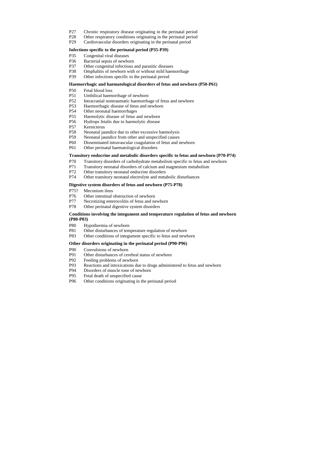- P27 Chronic respiratory disease originating in the perinatal period
- P28 Other respiratory conditions originating in the perinatal period
- P29 Cardiovascular disorders originating in the perinatal period

#### **Infections specific to the perinatal period (P35-P39)**

- P35 Congenital viral diseases
- P36 Bacterial sepsis of newborn
- P37 Other congenital infectious and parasitic diseases
- P38 Omphalitis of newborn with or without mild haemorrhage
- P39 Other infections specific to the perinatal period

#### **Haemorrhagic and haematological disorders of fetus and newborn (P50-P61)**

- P50 Fetal blood loss
- P51 Umbilical haemorrhage of newborn
- P52 Intracranial nontraumatic haemorrhage of fetus and newborn
- P53 Haemorrhagic disease of fetus and newborn
- P54 Other neonatal haemorrhages
- P55 Haemolytic disease of fetus and newborn
- P56 Hydrops fetalis due to haemolytic disease
- P57 Kernicterus
- P58 Neonatal jaundice due to other excessive haemolysis
- P59 Neonatal jaundice from other and unspecified causes
- P60 Disseminated intravascular coagulation of fetus and newborn
- P61 Other perinatal haematological disorders

#### **Transitory endocrine and metabolic disorders specific to fetus and newborn (P70-P74)**

- P70 Transitory disorders of carbohydrate metabolism specific to fetus and newborn
- P71 Transitory neonatal disorders of calcium and magnesium metabolism
- P72 Other transitory neonatal endocrine disorders
- P74 Other transitory neonatal electrolyte and metabolic disturbances

#### **Digestive system disorders of fetus and newborn (P75-P78)**

- P75? Meconium ileus
- P76 Other intestinal obstruction of newborn
- P77 Necrotizing enterocolitis of fetus and newborn
- P78 Other perinatal digestive system disorders

## **Conditions involving the integument and temperature regulation of fetus and newborn (P80-P83)**

- P80 Hypothermia of newborn
- P81 Other disturbances of temperature regulation of newborn
- P83 Other conditions of integument specific to fetus and newborn

#### **Other disorders originating in the perinatal period (P90-P96)**

- P90 Convulsions of newborn
- P91 Other disturbances of cerebral status of newborn
- P92 Feeding problems of newborn
- P93 Reactions and intoxications due to drugs administered to fetus and newborn
- P94 Disorders of muscle tone of newborn
- P95 Fetal death of unspecified cause
- P96 Other conditions originating in the perinatal period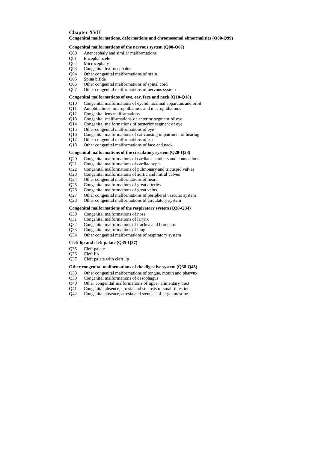# **Chapter XVII**

### **Congenital malformations, deformations and chromosomal abnormalities (Q00-Q99)**

#### **Congenital malformations of the nervous system (Q00-Q07)**

- Q00 Anencephaly and similar malformations
- Q01 Encephalocele
- Q02 Microcephaly
- Q03 Congenital hydrocephalus
- Q04 Other congenital malformations of brain
- Q05 Spina bifida
- Q06 Other congenital malformations of spinal cord
- Q07 Other congenital malformations of nervous system

#### **Congenital malformations of eye, ear, face and neck (Q10-Q18)**

- Q10 Congenital malformations of eyelid, lacrimal apparatus and orbit
- Q11 Anophthalmos, microphthalmos and macrophthalmos
- Q12 Congenital lens malformations
- Q13 Congenital malformations of anterior segment of eye
- Q14 Congenital malformations of posterior segment of eye
- Q15 Other congenital malformations of eye
- Q16 Congenital malformations of ear causing impairment of hearing
- Q17 Other congenital malformations of ear
- Q18 Other congenital malformations of face and neck

#### **Congenital malformations of the circulatory system (Q20-Q28)**

- Q20 Congenital malformations of cardiac chambers and connections
- Q21 Congenital malformations of cardiac septa
- Q22 Congenital malformations of pulmonary and tricuspid valves
- Q23 Congenital malformations of aortic and mitral valves
- Q24 Other congenital malformations of heart
- Q25 Congenital malformations of great arteries
- Q26 Congenital malformations of great veins
- Q27 Other congenital malformations of peripheral vascular system
- Q28 Other congenital malformations of circulatory system

## **Congenital malformations of the respiratory system (Q30-Q34)**

- Q30 Congenital malformations of nose
- Q31 Congenital malformations of larynx
- Q32 Congenital malformations of trachea and bronchus
- Q33 Congenital malformations of lung
- Q34 Other congenital malformations of respiratory system

#### **Cleft lip and cleft palate (Q35-Q37)**

- Q35 Cleft palate
- Q36 Cleft lip
- Q37 Cleft palate with cleft lip

#### **Other congenital malformations of the digestive system (Q38-Q45)**

- Q38 Other congenital malformations of tongue, mouth and pharynx
- Q39 Congenital malformations of oesophagus
- Q40 Other congenital malformations of upper alimentary tract
- Q41 Congenital absence, atresia and stenosis of small intestine
- Q42 Congenital absence, atresia and stenosis of large intestine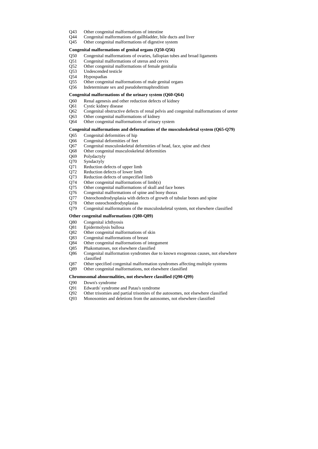- Q43 Other congenital malformations of intestine
- Q44 Congenital malformations of gallbladder, bile ducts and liver
- Q45 Other congenital malformations of digestive system

#### **Congenital malformations of genital organs (Q50-Q56)**

- Q50 Congenital malformations of ovaries, fallopian tubes and broad ligaments
- Q51 Congenital malformations of uterus and cervix
- Q52 Other congenital malformations of female genitalia
- Q53 Undescended testicle
- Q54 Hypospadias
- Q55 Other congenital malformations of male genital organs
- Q56 Indeterminate sex and pseudohermaphroditism

#### **Congenital malformations of the urinary system (Q60-Q64)**

- Q60 Renal agenesis and other reduction defects of kidney
- Q61 Cystic kidney disease
- Q62 Congenital obstructive defects of renal pelvis and congenital malformations of ureter
- Q63 Other congenital malformations of kidney
- Q64 Other congenital malformations of urinary system

### **Congenital malformations and deformations of the musculoskeletal system (Q65-Q79)**

- Q65 Congenital deformities of hip
- Q66 Congenital deformities of feet
- Q67 Congenital musculoskeletal deformities of head, face, spine and chest
- Q68 Other congenital musculoskeletal deformities
- Q69 Polydactyly
- Q70 Syndactyly
- Q71 Reduction defects of upper limb
- Q72 Reduction defects of lower limb
- Q73 Reduction defects of unspecified limb
- Q74 Other congenital malformations of limb(s)
- Q75 Other congenital malformations of skull and face bones
- Q76 Congenital malformations of spine and bony thorax
- Q77 Osteochondrodysplasia with defects of growth of tubular bones and spine
- Q78 Other osteochondrodysplasias
- Q79 Congenital malformations of the musculoskeletal system, not elsewhere classified

#### **Other congenital malformations (Q80-Q89)**

- Q80 Congenital ichthyosis
- Q81 Epidermolysis bullosa
- Q82 Other congenital malformations of skin
- Q83 Congenital malformations of breast
- Q84 Other congenital malformations of integument
- Q85 Phakomatoses, not elsewhere classified
- Q86 Congenital malformation syndromes due to known exogenous causes, not elsewhere classified
- Q87 Other specified congenital malformation syndromes affecting multiple systems
- Q89 Other congenital malformations, not elsewhere classified

#### **Chromosomal abnormalities, not elsewhere classified (Q90-Q99)**

- Q90 Down's syndrome
- Q91 Edwards' syndrome and Patau's syndrome
- Q92 Other trisomies and partial trisomies of the autosomes, not elsewhere classified
- Q93 Monosomies and deletions from the autosomes, not elsewhere classified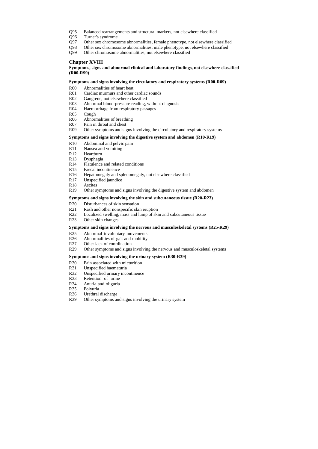- Q95 Balanced rearrangements and structural markers, not elsewhere classified
- Q96 Turner's syndrome
- Q97 Other sex chromosome abnormalities, female phenotype, not elsewhere classified
- Q98 Other sex chromosome abnormalities, male phenotype, not elsewhere classified
- Q99 Other chromosome abnormalities, not elsewhere classified

# **Chapter XVIII**

**Symptoms, signs and abnormal clinical and laboratory findings, not elsewhere classified (R00-R99)**

**Symptoms and signs involving the circulatory and respiratory systems (R00-R09)**

- R00 Abnormalities of heart beat
- R01 Cardiac murmurs and other cardiac sounds
- R02 Gangrene, not elsewhere classified
- R03 Abnormal blood-pressure reading, without diagnosis
- R04 Haemorrhage from respiratory passages
- R05 Cough
- R06 Abnormalities of breathing
- R07 Pain in throat and chest
- R09 Other symptoms and signs involving the circulatory and respiratory systems

### **Symptoms and signs involving the digestive system and abdomen (R10-R19)**

- R10 Abdominal and pelvic pain
- R11 Nausea and vomiting
- R12 Heartburn
- R13 Dysphagia
- R14 Flatulence and related conditions
- R15 Faecal incontinence
- R16 Hepatomegaly and splenomegaly, not elsewhere classified
- R17 Unspecified jaundice
- R18 Ascites
- R19 Other symptoms and signs involving the digestive system and abdomen

#### **Symptoms and signs involving the skin and subcutaneous tissue (R20-R23)**

- R20 Disturbances of skin sensation
- R21 Rash and other nonspecific skin eruption
- R22 Localized swelling, mass and lump of skin and subcutaneous tissue
- R23 Other skin changes

#### **Symptoms and signs involving the nervous and musculoskeletal systems (R25-R29)**

- R25 Abnormal involuntary movements
- R26 Abnormalities of gait and mobility
- R27 Other lack of coordination
- R29 Other symptoms and signs involving the nervous and musculoskeletal systems

#### **Symptoms and signs involving the urinary system (R30-R39)**

- R30 Pain associated with micturition
- R31 Unspecified haematuria
- R32 Unspecified urinary incontinence
- R33 Retention of urine
- R34 Anuria and oliguria
- R35 Polyuria
- R36 Urethral discharge
- R39 Other symptoms and signs involving the urinary system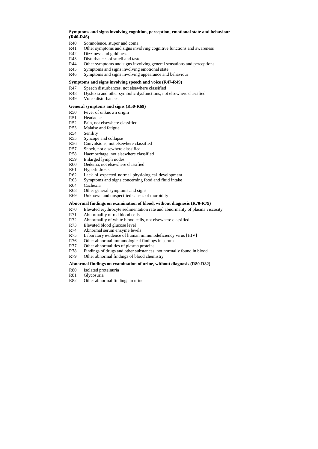## **Symptoms and signs involving cognition, perception, emotional state and behaviour (R40-R46)**

- R40 Somnolence, stupor and coma
- R41 Other symptoms and signs involving cognitive functions and awareness
- R42 Dizziness and giddiness
- R43 Disturbances of smell and taste
- R44 Other symptoms and signs involving general sensations and perceptions
- R45 Symptoms and signs involving emotional state
- R46 Symptoms and signs involving appearance and behaviour

#### **Symptoms and signs involving speech and voice (R47-R49)**

- R47 Speech disturbances, not elsewhere classified
- R48 Dyslexia and other symbolic dysfunctions, not elsewhere classified
- R49 Voice disturbances

### **General symptoms and signs (R50-R69)**

- R50 Fever of unknown origin
- R51 Headache
- R52 Pain, not elsewhere classified
- R53 Malaise and fatigue
- R54 Senility
- R55 Syncope and collapse
- R56 Convulsions, not elsewhere classified
- R57 Shock, not elsewhere classified
- R58 Haemorrhage, not elsewhere classified
- R59 Enlarged lymph nodes
- R60 Oedema, not elsewhere classified
- R61 Hyperhidrosis
- R62 Lack of expected normal physiological development
- R63 Symptoms and signs concerning food and fluid intake
- R64 Cachexia
- R68 Other general symptoms and signs
- R69 Unknown and unspecified causes of morbidity

#### **Abnormal findings on examination of blood, without diagnosis (R70-R79)**

- R70 Elevated erythrocyte sedimentation rate and abnormality of plasma viscosity
- R71 Abnormality of red blood cells
- R72 Abnormality of white blood cells, not elsewhere classified
- R73 Elevated blood glucose level
- R74 Abnormal serum enzyme levels
- R75 Laboratory evidence of human immunodeficiency virus [HIV]
- R76 Other abnormal immunological findings in serum
- R77 Other abnormalities of plasma proteins
- R78 Findings of drugs and other substances, not normally found in blood
- R79 Other abnormal findings of blood chemistry

#### **Abnormal findings on examination of urine, without diagnosis (R80-R82)**

- R80 Isolated proteinuria
- R81 Glycosuria
- R82 Other abnormal findings in urine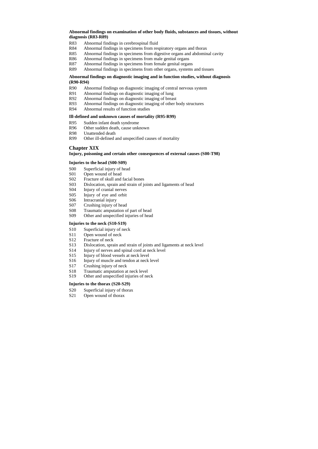## **Abnormal findings on examination of other body fluids, substances and tissues, without diagnosis (R83-R89)**

- R83 Abnormal findings in cerebrospinal fluid
- R84 Abnormal findings in specimens from respiratory organs and thorax
- R85 Abnormal findings in specimens from digestive organs and abdominal cavity
- R86 Abnormal findings in specimens from male genital organs
- R87 Abnormal findings in specimens from female genital organs
- R89 Abnormal findings in specimens from other organs, systems and tissues

### **Abnormal findings on diagnostic imaging and in function studies, without diagnosis (R90-R94)**

- R90 Abnormal findings on diagnostic imaging of central nervous system
- R91 Abnormal findings on diagnostic imaging of lung
- R92 Abnormal findings on diagnostic imaging of breast
- R93 Abnormal findings on diagnostic imaging of other body structures
- R94 Abnormal results of function studies

### **Ill-defined and unknown causes of mortality (R95-R99)**

- S10 Superficial injury of neck
- S11 Open wound of neck
- S12 Fracture of neck
- S13 Dislocation, sprain and strain of joints and ligaments at neck level
- S14 Injury of nerves and spinal cord at neck level
- S15 Injury of blood vessels at neck level
- S16 Injury of muscle and tendon at neck level
- S17 Crushing injury of neck
- S18 Traumatic amputation at neck level
- S19 Other and unspecified injuries of neck
- R95 Sudden infant death syndrome
- R96 Other sudden death, cause unknown
- R98 Unattended death
- R99 Other ill-defined and unspecified causes of mortality

- S20 Superficial injury of thorax
- S21 Open wound of thorax

# **Chapter XIX**

### **Injury, poisoning and certain other consequences of external causes (S00-T98)**

### **Injuries to the head (S00-S09)**

- S00 Superficial injury of head
- S01 Open wound of head
- S02 Fracture of skull and facial bones
- S03 Dislocation, sprain and strain of joints and ligaments of head
- S04 Injury of cranial nerves
- S05 Injury of eye and orbit
- S06 Intracranial injury
- S07 Crushing injury of head
- S08 Traumatic amputation of part of head
- S09 Other and unspecified injuries of head

## **Injuries to the neck (S10-S19)**

## **Injuries to the thorax (S20-S29)**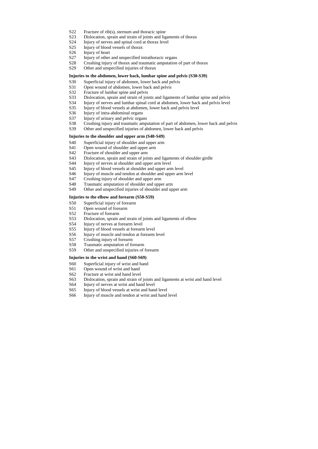- S22 Fracture of rib(s), sternum and thoracic spine
- S23 Dislocation, sprain and strain of joints and ligaments of thorax
- S24 Injury of nerves and spinal cord at thorax level
- S25 Injury of blood vessels of thorax
- S26 Injury of heart
- S27 Injury of other and unspecified intrathoracic organs
- S28 Crushing injury of thorax and traumatic amputation of part of thorax
- S29 Other and unspecified injuries of thorax

#### **Injuries to the abdomen, lower back, lumbar spine and pelvis (S30-S39)**

- S30 Superficial injury of abdomen, lower back and pelvis
- S31 Open wound of abdomen, lower back and pelvis
- S32 Fracture of lumbar spine and pelvis
- S33 Dislocation, sprain and strain of joints and ligaments of lumbar spine and pelvis
- S34 Injury of nerves and lumbar spinal cord at abdomen, lower back and pelvis level
- S35 Injury of blood vessels at abdomen, lower back and pelvis level
- S36 Injury of intra-abdominal organs
- S37 Injury of urinary and pelvic organs
- S38 Crushing injury and traumatic amputation of part of abdomen, lower back and pelvis
- S39 Other and unspecified injuries of abdomen, lower back and pelvis

#### **Injuries to the shoulder and upper arm (S40-S49)**

- S40 Superficial injury of shoulder and upper arm
- S41 Open wound of shoulder and upper arm
- S42 Fracture of shoulder and upper arm
- S43 Dislocation, sprain and strain of joints and ligaments of shoulder girdle
- S44 Injury of nerves at shoulder and upper arm level
- S45 Injury of blood vessels at shoulder and upper arm level
- S46 Injury of muscle and tendon at shoulder and upper arm level
- S47 Crushing injury of shoulder and upper arm
- S48 Traumatic amputation of shoulder and upper arm
- S49 Other and unspecified injuries of shoulder and upper arm

#### **Injuries to the elbow and forearm (S50-S59)**

- S50 Superficial injury of forearm
- S51 Open wound of forearm
- S52 Fracture of forearm
- S53 Dislocation, sprain and strain of joints and ligaments of elbow
- S54 Injury of nerves at forearm level
- S55 Injury of blood vessels at forearm level
- S56 Injury of muscle and tendon at forearm level
- S57 Crushing injury of forearm
- S58 Traumatic amputation of forearm
- S59 Other and unspecified injuries of forearm

#### **Injuries to the wrist and hand (S60-S69)**

- S60 Superficial injury of wrist and hand
- S61 Open wound of wrist and hand
- S62 Fracture at wrist and hand level
- S63 Dislocation, sprain and strain of joints and ligaments at wrist and hand level
- S64 Injury of nerves at wrist and hand level
- S65 Injury of blood vessels at wrist and hand level
- S66 Injury of muscle and tendon at wrist and hand level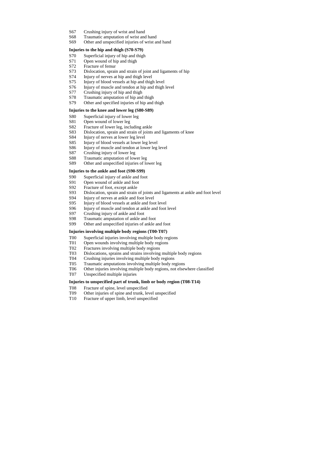- S67 Crushing injury of wrist and hand
- S68 Traumatic amputation of wrist and hand
- S69 Other and unspecified injuries of wrist and hand

#### **Injuries to the hip and thigh (S70-S79)**

- S70 Superficial injury of hip and thigh
- S71 Open wound of hip and thigh
- S72 Fracture of femur
- S73 Dislocation, sprain and strain of joint and ligaments of hip
- S74 Injury of nerves at hip and thigh level
- S75 Injury of blood vessels at hip and thigh level
- S76 Injury of muscle and tendon at hip and thigh level
- S77 Crushing injury of hip and thigh
- S78 Traumatic amputation of hip and thigh
- S79 Other and specified injuries of hip and thigh

### **Injuries to the knee and lower leg (S80-S89)**

- S80 Superficial injury of lower leg
- S81 Open wound of lower leg
- S82 Fracture of lower leg, including ankle
- S83 Dislocation, sprain and strain of joints and ligaments of knee
- S84 Injury of nerves at lower leg level
- S85 Injury of blood vessels at lower leg level
- S86 Injury of muscle and tendon at lower leg level
- S87 Crushing injury of lower leg
- S88 Traumatic amputation of lower leg
- S89 Other and unspecified injuries of lower leg

## **Injuries to the ankle and foot (S90-S99)**

- S90 Superficial injury of ankle and foot
- S91 Open wound of ankle and foot
- S92 Fracture of foot, except ankle
- S93 Dislocation, sprain and strain of joints and ligaments at ankle and foot level
- S94 Injury of nerves at ankle and foot level
- S95 Injury of blood vessels at ankle and foot level
- S96 Injury of muscle and tendon at ankle and foot level
- S97 Crushing injury of ankle and foot
- S98 Traumatic amputation of ankle and foot
- S99 Other and unspecified injuries of ankle and foot

## **Injuries involving multiple body regions (T00-T07)**

- T00 Superficial injuries involving multiple body regions
- T01 Open wounds involving multiple body regions
- T02 Fractures involving multiple body regions
- T03 Dislocations, sprains and strains involving multiple body regions
- T04 Crushing injuries involving multiple body regions
- T05 Traumatic amputations involving multiple body regions
- T06 Other injuries involving multiple body regions, not elsewhere classified
- T07 Unspecified multiple injuries

## **Injuries to unspecified part of trunk, limb or body region (T08-T14)**

- T08 Fracture of spine, level unspecified
- T09 Other injuries of spine and trunk, level unspecified
- T10 Fracture of upper limb, level unspecified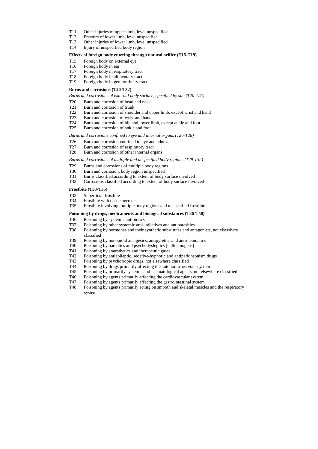- T11 Other injuries of upper limb, level unspecified
- T12 Fracture of lower limb, level unspecified
- T13 Other injuries of lower limb, level unspecified
- T14 Injury of unspecified body region

#### **Effects of foreign body entering through natural orifice (T15-T19)**

- T15 Foreign body on external eye
- T16 Foreign body in ear
- T17 Foreign body in respiratory tract
- T18 Foreign body in alimentary tract
- T19 Foreign body in genitourinary tract

#### **Burns and corrosions (T20-T32)**

*Burns and corrosions of external body surface, specified by site (T20-T25)*

- T20 Burn and corrosion of head and neck
- T21 Burn and corrosion of trunk
- T22 Burn and corrosion of shoulder and upper limb, except wrist and hand
- T23 Burn and corrosion of wrist and hand
- T24 Burn and corrosion of hip and lower limb, except ankle and foot
- T25 Burn and corrosion of ankle and foot

*Burns and corrosions confined to eye and internal organs (T26-T28)*

- T26 Burn and corrosion confined to eye and adnexa
- T27 Burn and corrosion of respiratory tract
- T28 Burn and corrosion of other internal organs

*Burns and corrosions of multiple and unspecified body regions (T29-T32)*

- T29 Burns and corrosions of multiple body regions
- T30 Burn and corrosion, body region unspecified
- T31 Burns classified according to extent of body surface involved
- T32 Corrosions classified according to extent of body surface involved

#### **Frostbite (T33-T35)**

- T33 Superficial frostbite
- T34 Frostbite with tissue necrosis
- T35 Frostbite involving multiple body regions and unspecified frostbite

#### **Poisoning by drugs, medicaments and biological substances (T36-T50)**

- T36 Poisoning by systemic antibiotics
- T37 Poisoning by other systemic anti-infectives and antiparasitics
- T38 Poisoning by hormones and their synthetic substitutes and antagonists, not elsewhere classified
- T39 Poisoning by nonopioid analgesics, antipyretics and antirheumatics
- T40 Poisoning by narcotics and psychodysleptics [hallucinogens]
- T41 Poisoning by anaesthetics and therapeutic gases
- T42 Poisoning by antiepileptic, sedative-hypnotic and antiparkinsonism drugs
- T43 Poisoning by psychotropic drugs, not elsewhere classified
- T44 Poisoning by drugs primarily affecting the autonomic nervous system
- T45 Poisoning by primarily systemic and haematological agents, not elsewhere classified
- T46 Poisoning by agents primarily affecting the cardiovascular system
- T47 Poisoning by agents primarily affecting the gastrointestinal system
- T48 Poisoning by agents primarily acting on smooth and skeletal muscles and the respiratory system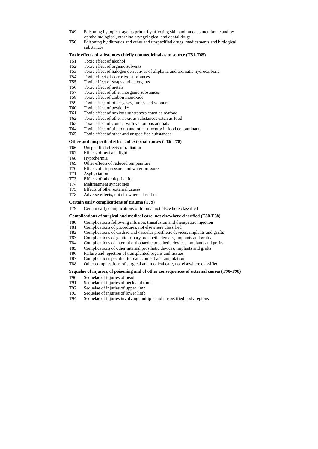- T49 Poisoning by topical agents primarily affecting skin and mucous membrane and by ophthalmological, otorhinolaryngological and dental drugs
- T50 Poisoning by diuretics and other and unspecified drugs, medicaments and biological substances

### **Toxic effects of substances chiefly nonmedicinal as to source (T51-T65)**

- T51 Toxic effect of alcohol
- T52 Toxic effect of organic solvents
- T53 Toxic effect of halogen derivatives of aliphatic and aromatic hydrocarbons
- T54 Toxic effect of corrosive substances
- T55 Toxic effect of soaps and detergents
- T56 Toxic effect of metals
- T57 Toxic effect of other inorganic substances
- T58 Toxic effect of carbon monoxide
- T59 Toxic effect of other gases, fumes and vapours
- T60 Toxic effect of pesticides
- T61 Toxic effect of noxious substances eaten as seafood
- T62 Toxic effect of other noxious substances eaten as food
- T63 Toxic effect of contact with venomous animals
- T64 Toxic effect of aflatoxin and other mycotoxin food contaminants
- T65 Toxic effect of other and unspecified substances

## **Other and unspecified effects of external causes (T66-T78)**

- T66 Unspecified effects of radiation
- T67 Effects of heat and light
- T68 Hypothermia
- T69 Other effects of reduced temperature
- T70 Effects of air pressure and water pressure
- T71 Asphyxiation
- T73 Effects of other deprivation
- T74 Maltreatment syndromes
- T75 Effects of other external causes
- T78 Adverse effects, not elsewhere classified

#### **Certain early complications of trauma (T79)**

T79 Certain early complications of trauma, not elsewhere classified

#### **Complications of surgical and medical care, not elsewhere classified (T80-T88)**

- T80 Complications following infusion, transfusion and therapeutic injection
- T81 Complications of procedures, not elsewhere classified
- T82 Complications of cardiac and vascular prosthetic devices, implants and grafts
- T83 Complications of genitourinary prosthetic devices, implants and grafts
- T84 Complications of internal orthopaedic prosthetic devices, implants and grafts
- T85 Complications of other internal prosthetic devices, implants and grafts
- T86 Failure and rejection of transplanted organs and tissues
- T87 Complications peculiar to reattachment and amputation
- T88 Other complications of surgical and medical care, not elsewhere classified

## **Sequelae of injuries, of poisoning and of other consequences of external causes (T90-T98)**

- T90 Sequelae of injuries of head
- T91 Sequelae of injuries of neck and trunk
- T92 Sequelae of injuries of upper limb
- T93 Sequelae of injuries of lower limb
- T94 Sequelae of injuries involving multiple and unspecified body regions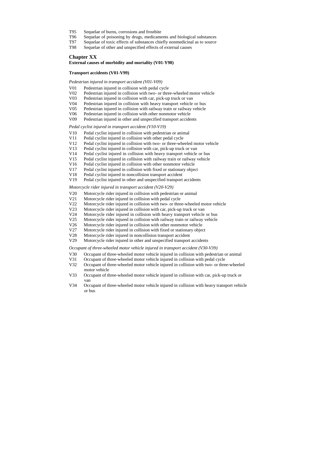- T95 Sequelae of burns, corrosions and frostbite
- T96 Sequelae of poisoning by drugs, medicaments and biological substances
- T97 Sequelae of toxic effects of substances chiefly nonmedicinal as to source
- T98 Sequelae of other and unspecified effects of external causes

### **Chapter XX**

**External causes of morbidity and mortality (V01-Y98)**

#### **Transport accidents (V01-V99)**

*Pedestrian injured in transport accident (V01-V09)*

- V01 Pedestrian injured in collision with pedal cycle
- V02 Pedestrian injured in collision with two- or three-wheeled motor vehicle
- V03 Pedestrian injured in collision with car, pick-up truck or van
- V04 Pedestrian injured in collision with heavy transport vehicle or bus
- V05 Pedestrian injured in collision with railway train or railway vehicle
- V06 Pedestrian injured in collision with other nonmotor vehicle
- V09 Pedestrian injured in other and unspecified transport accidents

#### *Pedal cyclist injured in transport accident (V10-V19)*

- V10 Pedal cyclist injured in collision with pedestrian or animal
- V11 Pedal cyclist injured in collision with other pedal cycle
- V12 Pedal cyclist injured in collision with two- or three-wheeled motor vehicle
- V13 Pedal cyclist injured in collision with car, pick-up truck or van
- V14 Pedal cyclist injured in collision with heavy transport vehicle or bus
- V15 Pedal cyclist injured in collision with railway train or railway vehicle
- V16 Pedal cyclist injured in collision with other nonmotor vehicle
- V17 Pedal cyclist injured in collision with fixed or stationary object
- V18 Pedal cyclist injured in noncollision transport accident
- V19 Pedal cyclist injured in other and unspecified transport accidents

#### *Motorcycle rider injured in transport accident (V20-V29)*

- V20 Motorcycle rider injured in collision with pedestrian or animal
- V21 Motorcycle rider injured in collision with pedal cycle
- V22 Motorcycle rider injured in collision with two- or three-wheeled motor vehicle
- V23 Motorcycle rider injured in collision with car, pick-up truck or van
- V24 Motorcycle rider injured in collision with heavy transport vehicle or bus
- V25 Motorcycle rider injured in collision with railway train or railway vehicle
- V26 Motorcycle rider injured in collision with other nonmotor vehicle
- V27 Motorcycle rider injured in collision with fixed or stationary object
- V28 Motorcycle rider injured in noncollision transport accident
- V29 Motorcycle rider injured in other and unspecified transport accidents

*Occupant of three-wheeled motor vehicle injured in transport accident (V30-V39)*

- V30 Occupant of three-wheeled motor vehicle injured in collision with pedestrian or animal
- V31 Occupant of three-wheeled motor vehicle injured in collision with pedal cycle
- V32 Occupant of three-wheeled motor vehicle injured in collision with two- or three-wheeled motor vehicle
- V33 Occupant of three-wheeled motor vehicle injured in collision with car, pick-up truck or van
- V34 Occupant of three-wheeled motor vehicle injured in collision with heavy transport vehicle or bus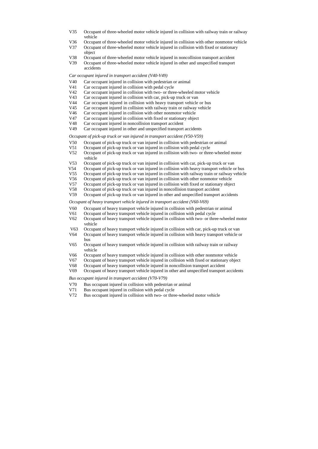- V35 Occupant of three-wheeled motor vehicle injured in collision with railway train or railway vehicle
- V36 Occupant of three-wheeled motor vehicle injured in collision with other nonmotor vehicle
- V37 Occupant of three-wheeled motor vehicle injured in collision with fixed or stationary object
- V38 Occupant of three-wheeled motor vehicle injured in noncollision transport accident
- V39 Occupant of three-wheeled motor vehicle injured in other and unspecified transport accidents

### *Car occupant injured in transport accident (V40-V49)*

- V40 Car occupant injured in collision with pedestrian or animal
- V41 Car occupant injured in collision with pedal cycle
- V42 Car occupant injured in collision with two- or three-wheeled motor vehicle
- V43 Car occupant injured in collision with car, pick-up truck or van
- V44 Car occupant injured in collision with heavy transport vehicle or bus
- V45 Car occupant injured in collision with railway train or railway vehicle
- V46 Car occupant injured in collision with other nonmotor vehicle
- V47 Car occupant injured in collision with fixed or stationary object
- V48 Car occupant injured in noncollision transport accident
- V49 Car occupant injured in other and unspecified transport accidents

### *Occupant of pick-up truck or van injured in transport accident (V50-V59)*

- V50 Occupant of pick-up truck or van injured in collision with pedestrian or animal
- V51 Occupant of pick-up truck or van injured in collision with pedal cycle
- V52 Occupant of pick-up truck or van injured in collision with two- or three-wheeled motor vehicle
- V53 Occupant of pick-up truck or van injured in collision with car, pick-up truck or van
- V54 Occupant of pick-up truck or van injured in collision with heavy transport vehicle or bus
- V55 Occupant of pick-up truck or van injured in collision with railway train or railway vehicle
- V56 Occupant of pick-up truck or van injured in collision with other nonmotor vehicle
- V57 Occupant of pick-up truck or van injured in collision with fixed or stationary object
- V58 Occupant of pick-up truck or van injured in noncollision transport accident
- V59 Occupant of pick-up truck or van injured in other and unspecified transport accidents

*Occupant of heavy transport vehicle injured in transport accident (V60-V69)*

- V60 Occupant of heavy transport vehicle injured in collision with pedestrian or animal
- V61 Occupant of heavy transport vehicle injured in collision with pedal cycle
- V62 Occupant of heavy transport vehicle injured in collision with two- or three-wheeled motor vehicle
- V63 Occupant of heavy transport vehicle injured in collision with car, pick-up truck or van
- V64 Occupant of heavy transport vehicle injured in collision with heavy transport vehicle or bus
- V65 Occupant of heavy transport vehicle injured in collision with railway train or railway vehicle
- V66 Occupant of heavy transport vehicle injured in collision with other nonmotor vehicle
- V67 Occupant of heavy transport vehicle injured in collision with fixed or stationary object
- V68 Occupant of heavy transport vehicle injured in noncollision transport accident
- V69 Occupant of heavy transport vehicle injured in other and unspecified transport accidents

#### *Bus occupant injured in transport accident (V70-V79)*

- V70 Bus occupant injured in collision with pedestrian or animal
- V71 Bus occupant injured in collision with pedal cycle
- V72 Bus occupant injured in collision with two- or three-wheeled motor vehicle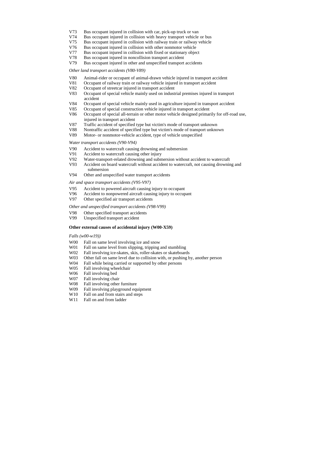- V73 Bus occupant injured in collision with car, pick-up truck or van
- V74 Bus occupant injured in collision with heavy transport vehicle or bus
- V75 Bus occupant injured in collision with railway train or railway vehicle
- V76 Bus occupant injured in collision with other nonmotor vehicle
- V77 Bus occupant injured in collision with fixed or stationary object
- V78 Bus occupant injured in noncollision transport accident
- V79 Bus occupant injured in other and unspecified transport accidents

#### *Other land transport accidents (V80-V89)*

- V80 Animal-rider or occupant of animal-drawn vehicle injured in transport accident
- V81 Occupant of railway train or railway vehicle injured in transport accident
- V82 Occupant of streetcar injured in transport accident
- V83 Occupant of special vehicle mainly used on industrial premises injured in transport accident
- V84 Occupant of special vehicle mainly used in agriculture injured in transport accident
- V85 Occupant of special construction vehicle injured in transport accident
- V86 Occupant of special all-terrain or other motor vehicle designed primarily for off-road use, injured in transport accident
- V87 Traffic accident of specified type but victim's mode of transport unknown
- V88 Nontraffic accident of specified type but victim's mode of transport unknown
- V89 Motor- or nonmotor-vehicle accident, type of vehicle unspecified

- W00 Fall on same level involving ice and snow
- W01 Fall on same level from slipping, tripping and stumbling
- W02 Fall involving ice-skates, skis, roller-skates or skateboards
- W03 Other fall on same level due to collision with, or pushing by, another person
- W04 Fall while being carried or supported by other persons
- W05 Fall involving wheelchair
- W06 Fall involving bed
- W07 Fall involving chair
- W08 Fall involving other furniture
- W09 Fall involving playground equipment
- W<sub>10</sub> Fall on and from stairs and steps
- W<sub>11</sub> Fall on and from ladder

#### *Water transport accidents (V90-V94)*

- V90 Accident to watercraft causing drowning and submersion
- V91 Accident to watercraft causing other injury
- V92 Water-transport-related drowning and submersion without accident to watercraft
- V93 Accident on board watercraft without accident to watercraft, not causing drowning and submersion
- V94 Other and unspecified water transport accidents

#### *Air and space transport accidents (V95-V97)*

- V95 Accident to powered aircraft causing injury to occupant
- V96 Accident to nonpowered aircraft causing injury to occupant
- V97 Other specified air transport accidents

#### *Other and unspecified transport accidents (V98-V99)*

- V98 Other specified transport accidents
- V99 Unspecified transport accident

#### **Other external causes of accidental injury (W00-X59)**

*Falls (w00-w19))*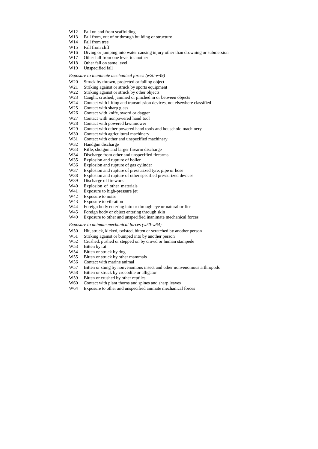- W12 Fall on and from scaffolding
- W13 Fall from, out of or through building or structure
- W14 Fall from tree
- W<sub>15</sub> Fall from cliff
- W16 Diving or jumping into water causing injury other than drowning or submersion
- W17 Other fall from one level to another
- W<sub>18</sub> Other fall on same level
- W19 Unspecified fall

#### *Exposure to inanimate mechanical forces (w20-w49)*

- W<sub>20</sub> Struck by thrown, projected or falling object
- W21 Striking against or struck by sports equipment
- W<sub>22</sub> Striking against or struck by other objects
- W23 Caught, crushed, jammed or pinched in or between objects
- W24 Contact with lifting and transmission devices, not elsewhere classified
- W<sub>25</sub> Contact with sharp glass
- W<sub>26</sub> Contact with knife, sword or dagger
- W27 Contact with nonpowered hand tool
- W28 Contact with powered lawnmower
- W<sub>29</sub> Contact with other powered hand tools and household machinery
- W30 Contact with agricultural machinery
- W31 Contact with other and unspecified machinery
- W32 Handgun discharge
- W33 Rifle, shotgun and larger firearm discharge
- W34 Discharge from other and unspecified firearms
- W35 Explosion and rupture of boiler
- W36 Explosion and rupture of gas cylinder
- W37 Explosion and rupture of pressurized tyre, pipe or hose
- W38 Explosion and rupture of other specified pressurized devices
- W39 Discharge of firework
- W40 Explosion of other materials
- W41 Exposure to high-pressure jet
- W42 Exposure to noise
- W43 Exposure to vibration
- W<sub>44</sub> Foreign body entering into or through eye or natural orifice
- W45 Foreign body or object entering through skin
- W49 Exposure to other and unspecified inanimate mechanical forces

#### *Exposure to animate mechanical forces (w50-w64)*

- W50 Hit, struck, kicked, twisted, bitten or scratched by another person
- W51 Striking against or bumped into by another person
- W52 Crushed, pushed or stepped on by crowd or human stampede
- W53 Bitten by rat
- W54 Bitten or struck by dog
- W55 Bitten or struck by other mammals
- W56 Contact with marine animal
- W57 Bitten or stung by nonvenomous insect and other nonvenomous arthropods
- W58 Bitten or struck by crocodile or alligator
- W59 Bitten or crushed by other reptiles
- W60 Contact with plant thorns and spines and sharp leaves
- W64 Exposure to other and unspecified animate mechanical forces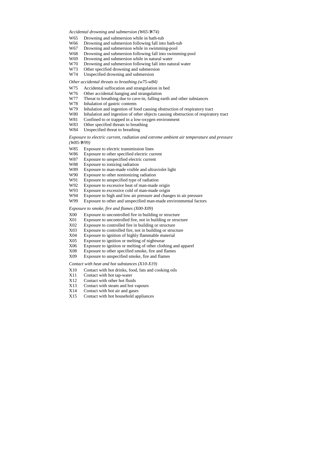#### Accidental drowning and submersion (W65-W74)

- W65 Drowning and submersion while in bath-tub
- W66 Drowning and submersion following fall into bath-tub
- W67 Drowning and submersion while in swimming-pool
- W68 Drowning and submersion following fall into swimming-pool
- W69 Drowning and submersion while in natural water
- W70 Drowning and submersion following fall into natural water
- W73 Other specified drowning and submersion
- W74 Unspecified drowning and submersion

- W75 Accidental suffocation and strangulation in bed
- W76 Other accidental hanging and strangulation
- W77 Threat to breathing due to cave-in, falling earth and other substances
- W78 Inhalation of gastric contents
- W79 Inhalation and ingestion of food causing obstruction of respiratory tract
- W80 Inhalation and ingestion of other objects causing obstruction of respiratory tract
- W81 Confined to or trapped in a low-oxygen environment
- W83 Other specified threats to breathing
- W84 Unspecified threat to breathing

#### *Other accidental threats to breathing (w75-w84)*

- W85 Exposure to electric transmission lines
- W86 Exposure to other specified electric current
- W87 Exposure to unspecified electric current
- W88 Exposure to ionizing radiation
- W89 Exposure to man-made visible and ultraviolet light
- W90 Exposure to other nonionizing radiation
- W91 Exposure to unspecified type of radiation
- W92 Exposure to excessive heat of man-made origin
- W93 Exposure to excessive cold of man-made origin
- W94 Exposure to high and low air pressure and changes in air pressure
- W99 Exposure to other and unspecified man-made environmental factors

*Exposure to electric current, radiation and extreme ambient air temperature and pressure (W85-?W99)*

#### *Exposure to smoke, fire and flames (X00-X09)*

- X00 Exposure to uncontrolled fire in building or structure
- X01 Exposure to uncontrolled fire, not in building or structure
- X02 Exposure to controlled fire in building or structure
- X03 Exposure to controlled fire, not in building or structure
- X04 Exposure to ignition of highly flammable material
- X05 Exposure to ignition or melting of nightwear
- X06 Exposure to ignition or melting of other clothing and apparel
- X08 Exposure to other specified smoke, fire and flames
- X09 Exposure to unspecified smoke, fire and flames

#### *Contact with heat and hot substances (X10-X19)*

- X10 Contact with hot drinks, food, fats and cooking oils
- X11 Contact with hot tap-water
- X12 Contact with other hot fluids
- X13 Contact with steam and hot vapours
- X14 Contact with hot air and gases
- X15 Contact with hot household appliances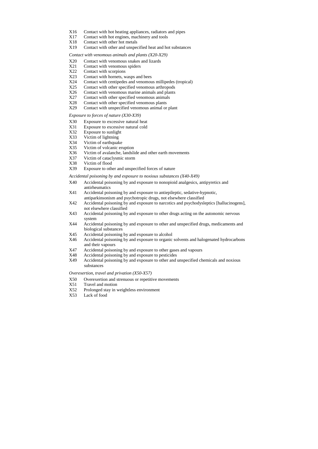- X16 Contact with hot heating appliances, radiators and pipes
- X17 Contact with hot engines, machinery and tools
- X18 Contact with other hot metals
- X19 Contact with other and unspecified heat and hot substances

*Contact with venomous animals and plants (X20-X29)*

- X20 Contact with venomous snakes and lizards
- X21 Contact with venomous spiders
- X22 Contact with scorpions
- X23 Contact with hornets, wasps and bees
- X24 Contact with centipedes and venomous millipedes (tropical)
- X25 Contact with other specified venomous arthropods
- X26 Contact with venomous marine animals and plants
- X27 Contact with other specified venomous animals
- X28 Contact with other specified venomous plants
- X29 Contact with unspecified venomous animal or plant

#### *Exposure to forces of nature (X30-X39)*

- X30 Exposure to excessive natural heat
- X31 Exposure to excessive natural cold
- X32 Exposure to sunlight
- X33 Victim of lightning
- X34 Victim of earthquake
- X35 Victim of volcanic eruption
- X36 Victim of avalanche, landslide and other earth movements
- X37 Victim of cataclysmic storm
- X38 Victim of flood
- X39 Exposure to other and unspecified forces of nature

*Accidental poisoning by and exposure to noxious substances (X40-X49)*

- X40 Accidental poisoning by and exposure to nonopioid analgesics, antipyretics and antirheumatics
- X41 Accidental poisoning by and exposure to antiepileptic, sedative-hypnotic, antiparkinsonism and psychotropic drugs, not elsewhere classified
- X42 Accidental poisoning by and exposure to narcotics and psychodysleptics [hallucinogens], not elsewhere classified
- X43 Accidental poisoning by and exposure to other drugs acting on the autonomic nervous system
- X44 Accidental poisoning by and exposure to other and unspecified drugs, medicaments and biological substances
- X45 Accidental poisoning by and exposure to alcohol
- X46 Accidental poisoning by and exposure to organic solvents and halogenated hydrocarbons and their vapours
- X47 Accidental poisoning by and exposure to other gases and vapours
- X48 Accidental poisoning by and exposure to pesticides
- X49 Accidental poisoning by and exposure to other and unspecified chemicals and noxious substances

*Overexertion, travel and privation (X50-X57)*

- X50 Overexertion and strenuous or repetitive movements
- X51 Travel and motion
- X52 Prolonged stay in weightless environment
- X53 Lack of food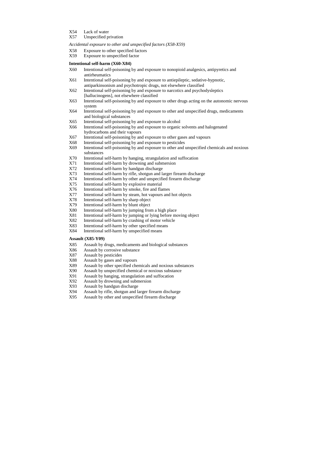- X54 Lack of water
- X57 Unspecified privation

*Accidental exposure to other and unspecified factors (X58-X59)*

- X58 Exposure to other specified factors
- X59 Exposure to unspecified factor

#### **Intentional self-harm (X60-X84)**

- X60 Intentional self-poisoning by and exposure to nonopioid analgesics, antipyretics and antirheumatics
- X61 Intentional self-poisoning by and exposure to antiepileptic, sedative-hypnotic, antiparkinsonism and psychotropic drugs, not elsewhere classified
- X62 Intentional self-poisoning by and exposure to narcotics and psychodysleptics [hallucinogens], not elsewhere classified
- X63 Intentional self-poisoning by and exposure to other drugs acting on the autonomic nervous system
- X64 Intentional self-poisoning by and exposure to other and unspecified drugs, medicaments and biological substances
- X65 Intentional self-poisoning by and exposure to alcohol
- X66 Intentional self-poisoning by and exposure to organic solvents and halogenated hydrocarbons and their vapours
- X67 Intentional self-poisoning by and exposure to other gases and vapours
- X68 Intentional self-poisoning by and exposure to pesticides
- X69 Intentional self-poisoning by and exposure to other and unspecified chemicals and noxious substances
- X70 Intentional self-harm by hanging, strangulation and suffocation
- X71 Intentional self-harm by drowning and submersion
- X72 Intentional self-harm by handgun discharge
- X73 Intentional self-harm by rifle, shotgun and larger firearm discharge
- X74 Intentional self-harm by other and unspecified firearm discharge
- X75 Intentional self-harm by explosive material
- X76 Intentional self-harm by smoke, fire and flames
- X77 Intentional self-harm by steam, hot vapours and hot objects
- X78 Intentional self-harm by sharp object
- X79 Intentional self-harm by blunt object
- X80 Intentional self-harm by jumping from a high place
- X81 Intentional self-harm by jumping or lying before moving object
- X82 Intentional self-harm by crashing of motor vehicle
- X83 Intentional self-harm by other specified means
- X84 Intentional self-harm by unspecified means

#### **Assault (X85-Y09)**

- X85 Assault by drugs, medicaments and biological substances
- X86 Assault by corrosive substance
- X87 Assault by pesticides
- X88 Assault by gases and vapours
- X89 Assault by other specified chemicals and noxious substances
- X90 Assault by unspecified chemical or noxious substance
- X91 Assault by hanging, strangulation and suffocation
- X92 Assault by drowning and submersion
- X93 Assault by handgun discharge
- X94 Assault by rifle, shotgun and larger firearm discharge
- X95 Assault by other and unspecified firearm discharge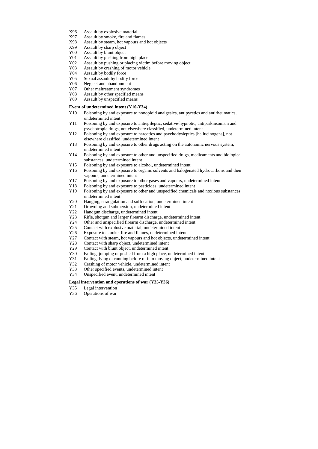- X96 Assault by explosive material
- X97 Assault by smoke, fire and flames
- X98 Assault by steam, hot vapours and hot objects
- X99 Assault by sharp object
- Y00 Assault by blunt object
- Y01 Assault by pushing from high place
- Y02 Assault by pushing or placing victim before moving object
- Y03 Assault by crashing of motor vehicle
- Y04 Assault by bodily force
- Y05 Sexual assault by bodily force
- Y06 Neglect and abandonment
- Y07 Other maltreatment syndromes
- Y08 Assault by other specified means
- Y09 Assault by unspecified means

## **Event of undetermined intent (Y10-Y34)**

- Y10 Poisoning by and exposure to nonopioid analgesics, antipyretics and antirheumatics, undetermined intent
- Y11 Poisoning by and exposure to antiepileptic, sedative-hypnotic, antiparkinsonism and psychotropic drugs, not elsewhere classified, undetermined intent
- Y12 Poisoning by and exposure to narcotics and psychodysleptics [hallucinogens], not elsewhere classified, undetermined intent
- Y13 Poisoning by and exposure to other drugs acting on the autonomic nervous system, undetermined intent
- Y14 Poisoning by and exposure to other and unspecified drugs, medicaments and biological substances, undetermined intent
- Y15 Poisoning by and exposure to alcohol, undetermined intent
- Y16 Poisoning by and exposure to organic solvents and halogenated hydrocarbons and their vapours, undetermined intent
- Y17 Poisoning by and exposure to other gases and vapours, undetermined intent
- Y18 Poisoning by and exposure to pesticides, undetermined intent
- Y19 Poisoning by and exposure to other and unspecified chemicals and noxious substances, undetermined intent
- Y20 Hanging, strangulation and suffocation, undetermined intent
- Y21 Drowning and submersion, undetermined intent
- Y22 Handgun discharge, undetermined intent
- Y23 Rifle, shotgun and larger firearm discharge, undetermined intent
- Y24 Other and unspecified firearm discharge, undetermined intent
- Y25 Contact with explosive material, undetermined intent
- Y26 Exposure to smoke, fire and flames, undetermined intent
- Y27 Contact with steam, hot vapours and hot objects, undetermined intent
- Y28 Contact with sharp object, undetermined intent
- Y29 Contact with blunt object, undetermined intent
- Y30 Falling, jumping or pushed from a high place, undetermined intent
- Y31 Falling, lying or running before or into moving object, undetermined intent
- Y32 Crashing of motor vehicle, undetermined intent
- Y33 Other specified events, undetermined intent
- Y34 Unspecified event, undetermined intent

## **Legal intervention and operations of war (Y35-Y36)**

- Y35 Legal intervention
- Y36 Operations of war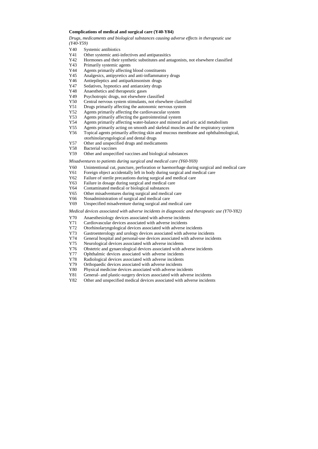#### **Complications of medical and surgical care (Y40-Y84)**

*Drugs, medicaments and biological substances causing adverse effects in therapeutic use (Y40-Y59)*

- Y40 Systemic antibiotics
- Y41 Other systemic anti-infectives and antiparasitics
- Y42 Hormones and their synthetic substitutes and antagonists, not elsewhere classified
- Y43 Primarily systemic agents
- Y44 Agents primarily affecting blood constituents
- Y45 Analgesics, antipyretics and anti-inflammatory drugs
- Y46 Antiepileptics and antiparkinsonism drugs
- Y47 Sedatives, hypnotics and antianxiety drugs
- Y48 Anaesthetics and therapeutic gases
- Y49 Psychotropic drugs, not elsewhere classified
- Y50 Central nervous system stimulants, not elsewhere classified
- Y51 Drugs primarily affecting the autonomic nervous system
- Y52 Agents primarily affecting the cardiovascular system
- Y53 Agents primarily affecting the gastrointestinal system
- Y54 Agents primarily affecting water-balance and mineral and uric acid metabolism
- Y55 Agents primarily acting on smooth and skeletal muscles and the respiratory system
- Y56 Topical agents primarily affecting skin and mucous membrane and ophthalmological, otorhinolaryngological and dental drugs
- Y57 Other and unspecified drugs and medicaments
- Y58 Bacterial vaccines
- Y59 Other and unspecified vaccines and biological substances

*Misadventures to patients during surgical and medical care (Y60-Y69)*

- Y60 Unintentional cut, puncture, perforation or haemorrhage during surgical and medical care
- Y61 Foreign object accidentally left in body during surgical and medical care
- Y62 Failure of sterile precautions during surgical and medical care
- Y63 Failure in dosage during surgical and medical care
- Y64 Contaminated medical or biological substances
- Y65 Other misadventures during surgical and medical care
- Y66 Nonadministration of surgical and medical care
- Y69 Unspecified misadventure during surgical and medical care

*Medical devices associated with adverse incidents in diagnostic and therapeutic use (Y70-Y82)*

- Y70 Anaesthesiology devices associated with adverse incidents
- Y71 Cardiovascular devices associated with adverse incidents
- Y72 Otorhinolaryngological devices associated with adverse incidents
- Y73 Gastroenterology and urology devices associated with adverse incidents
- Y74 General hospital and personal-use devices associated with adverse incidents
- Y75 Neurological devices associated with adverse incidents
- Y76 Obstetric and gynaecological devices associated with adverse incidents
- Y77 Ophthalmic devices associated with adverse incidents
- Y78 Radiological devices associated with adverse incidents
- Y79 Orthopaedic devices associated with adverse incidents
- Y80 Physical medicine devices associated with adverse incidents
- Y81 General- and plastic-surgery devices associated with adverse incidents
- Y82 Other and unspecified medical devices associated with adverse incidents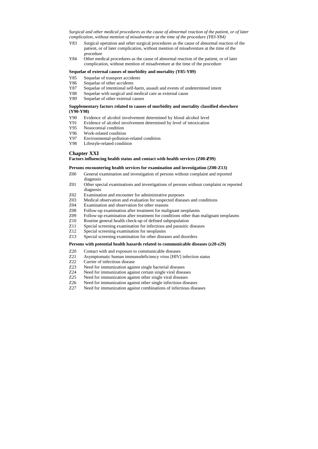*Surgical and other medical procedures as the cause of abnormal reaction of the patient, or of later complication, without mention of misadventure at the time of the procedure (Y83-Y84)*

- Y83 Surgical operation and other surgical procedures as the cause of abnormal reaction of the patient, or of later complication, without mention of misadventure at the time of the procedure
- Y84 Other medical procedures as the cause of abnormal reaction of the patient, or of later complication, without mention of misadventure at the time of the procedure

#### **Sequelae of external causes of morbidity and mortality (Y85-Y89)**

- Y85 Sequelae of transport accidents
- Y86 Sequelae of other accidents
- Y87 Sequelae of intentional self-harm, assault and events of undetermined intent
- Y88 Sequelae with surgical and medical care as external cause
- Y89 Sequelae of other external causes

### **Supplementary factors related to causes of morbidity and mortality classified elsewhere (Y90-Y98)**

- Y90 Evidence of alcohol involvement determined by blood alcohol level
- Y91 Evidence of alcohol involvement determined by level of intoxication
- Y95 Nosocomial condition
- Y96 Work-related condition
- Y97 Environmental-pollution-related condition
- Y98 Lifestyle-related condition

# **Chapter XXI**

### Factors influencing health status and contact with health services (Z00-Z99)

#### **Persons encountering health services for examination and investigation (Z00-Z13)**

- Z00 General examination and investigation of persons without complaint and reported diagnosis
- Z01 Other special examinations and investigations of persons without complaint or reported diagnosis
- Z02 Examination and encounter for administrative purposes
- Z03 Medical observation and evaluation for suspected diseases and conditions
- Z04 Examination and observation for other reasons
- Z08 Follow-up examination after treatment for malignant neoplasms
- Z09 Follow-up examination after treatment for conditions other than malignant neoplasms
- Z10 Routine general health check-up of defined subpopulation
- Z11 Special screening examination for infectious and parasitic diseases
- Z12 Special screening examination for neoplasms
- Z13 Special screening examination for other diseases and disorders

#### **Persons with potential health hazards related to communicable diseases (z20-z29)**

- Z20 Contact with and exposure to communicable diseases
- Z21 Asymptomatic human immunodeficiency virus [HIV] infection status
- Z22 Carrier of infectious disease
- Z23 Need for immunization against single bacterial diseases
- Z24 Need for immunization against certain single viral diseases<br>Z25 Need for immunization against other single viral diseases
- Need for immunization against other single viral diseases
- Z26 Need for immunization against other single infectious diseases
- Z27 Need for immunization against combinations of infectious diseases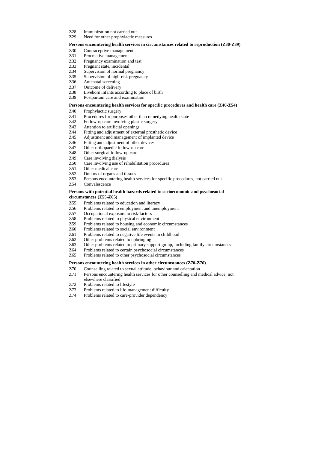- Z28 Immunization not carried out
- Z29 Need for other prophylactic measures

## **Persons encountering health services in circumstances related to reproduction (Z30-Z39)**

- Z30 Contraceptive management
- Z31 Procreative management
- Z32 Pregnancy examination and test
- Z33 Pregnant state, incidental
- Z34 Supervision of normal pregnancy
- Z35 Supervision of high-risk pregnancy
- Z36 Antenatal screening
- Z37 Outcome of delivery
- Z38 Liveborn infants according to place of birth
- Z39 Postpartum care and examination

## Persons encountering health services for specific procedures and health care (Z40-Z54)

- Z40 Prophylactic surgery
- Z41 Procedures for purposes other than remedying health state
- Z42 Follow-up care involving plastic surgery
- Z43 Attention to artificial openings
- Z44 Fitting and adjustment of external prosthetic device
- Z45 Adjustment and management of implanted device
- Z46 Fitting and adjustment of other devices
- Z47 Other orthopaedic follow-up care
- Z48 Other surgical follow-up care
- Z49 Care involving dialysis
- Z50 Care involving use of rehabilitation procedures
- Z51 Other medical care
- Z52 Donors of organs and tissues
- Z53 Persons encountering health services for specific procedures, not carried out
- Z54 Convalescence

### **Persons with potential health hazards related to socioeconomic and psychosocial circumstances (Z55-- Z65)**

- Z55 Problems related to education and literacy
- Z56 Problems related to employment and unemployment
- Z57 Occupational exposure to risk-factors
- Z58 Problems related to physical environment
- Z59 Problems related to housing and economic circumstances
- Z60 Problems related to social environment
- Z61 Problems related to negative life events in childhood
- Z62 Other problems related to upbringing
- Z63 Other problems related to primary support group, including family circumstances
- Z64 Problems related to certain psychosocial circumstances
- Z65 Problems related to other psychosocial circumstances

## Persons encountering health services in other circumstances (Z70-Z76)

- Z70 Counselling related to sexual attitude, behaviour and orientation
- Z71 Persons encountering health services for other counselling and medical advice, not elsewhere classified
- Z72 Problems related to lifestyle
- Z73 Problems related to life-management difficulty
- Z74 Problems related to care-provider dependency